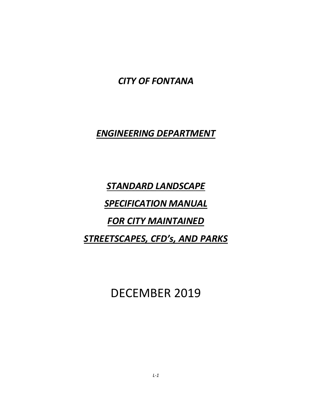*CITY OF FONTANA*

# *ENGINEERING DEPARTMENT*

*STANDARD LANDSCAPE SPECIFICATION MANUAL FOR CITY MAINTAINED STREETSCAPES, CFD's, AND PARKS*

DECEMBER 2019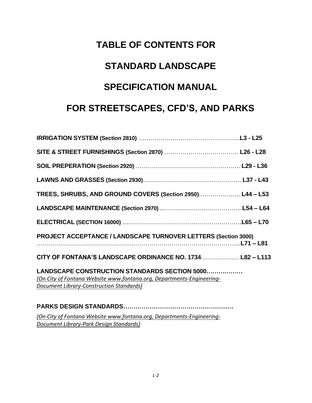# **TABLE OF CONTENTS FOR STANDARD LANDSCAPE SPECIFICATION MANUAL FOR STREETSCAPES, CFD'S, AND PARKS**

| TREES, SHRUBS, AND GROUND COVERS (Section 2950) L44 - L53                                                                                                                 |  |
|---------------------------------------------------------------------------------------------------------------------------------------------------------------------------|--|
|                                                                                                                                                                           |  |
|                                                                                                                                                                           |  |
| PROJECT ACCEPTANCE / LANDSCAPE TURNOVER LETTERS (Section 3000)                                                                                                            |  |
| CITY OF FONTANA'S LANDSCAPE ORDINANCE NO. 1734 L82 - L113                                                                                                                 |  |
| LANDSCAPE CONSTRUCTION STANDARDS SECTION 5000<br>(On City of Fontana Website www.fontana.org, Departments-Engineering-<br><b>Document Library-Construction Standards)</b> |  |
|                                                                                                                                                                           |  |

*(On City of Fontana Website [www.fontana.org,](http://www.fontana.org/) Departments-Engineering-Document Library-Park Design Standards)*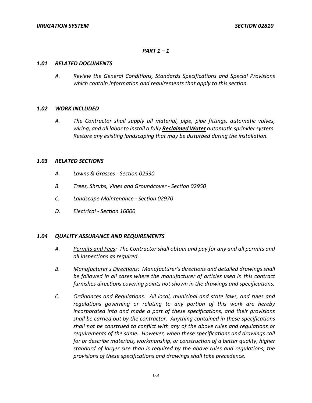#### *PART 1 – 1*

#### *1.01 RELATED DOCUMENTS*

*A. Review the General Conditions, Standards Specifications and Special Provisions which contain information and requirements that apply to this section.*

#### *1.02 WORK INCLUDED*

*A. The Contractor shall supply all material, pipe, pipe fittings, automatic valves, wiring, and all labor to install a fully Reclaimed Water automatic sprinkler system. Restore any existing landscaping that may be disturbed during the installation.*

#### *1.03 RELATED SECTIONS*

- *A. Lawns & Grasses - Section 02930*
- *B. Trees, Shrubs, Vines and Groundcover - Section 02950*
- *C. Landscape Maintenance - Section 02970*
- *D. Electrical - Section 16000*

#### *1.04 QUALITY ASSURANCE AND REQUIREMENTS*

- *A. Permits and Fees: The Contractor shall obtain and pay for any and all permits and all inspections as required.*
- *B. Manufacturer's Directions: Manufacturer's directions and detailed drawings shall be followed in all cases where the manufacturer of articles used in this contract furnishes directions covering points not shown in the drawings and specifications.*
- *C. Ordinances and Regulations: All local, municipal and state laws, and rules and regulations governing or relating to any portion of this work are hereby incorporated into and made a part of these specifications, and their provisions shall be carried out by the contractor. Anything contained in these specifications shall not be construed to conflict with any of the above rules and regulations or requirements of the same. However, when these specifications and drawings call for or describe materials, workmanship, or construction of a better quality, higher standard of larger size than is required by the above rules and regulations, the provisions of these specifications and drawings shall take precedence.*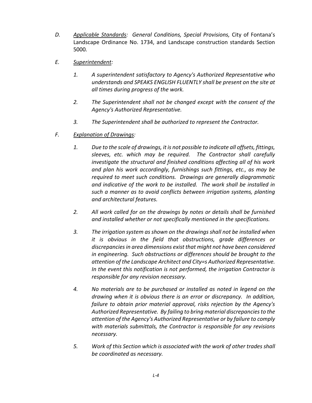- *D. Applicable Standards: General Conditions, Special Provisions,* City of Fontana's Landscape Ordinance No. 1734, and Landscape construction standards Section 5000*.*
- *E. Superintendent:* 
	- *1. A superintendent satisfactory to Agency's Authorized Representative who understands and SPEAKS ENGLISH FLUENTLY shall be present on the site at all times during progress of the work.*
	- *2. The Superintendent shall not be changed except with the consent of the Agency's Authorized Representative.*
	- *3. The Superintendent shall be authorized to represent the Contractor.*
- *F. Explanation of Drawings:*
	- *1. Due to the scale of drawings, it is not possible to indicate all offsets, fittings, sleeves, etc. which may be required. The Contractor shall carefully investigate the structural and finished conditions affecting all of his work and plan his work accordingly, furnishings such fittings, etc., as may be required to meet such conditions. Drawings are generally diagrammatic and indicative of the work to be installed. The work shall be installed in such a manner as to avoid conflicts between irrigation systems, planting and architectural features.*
	- *2. All work called for on the drawings by notes or details shall be furnished and installed whether or not specifically mentioned in the specifications.*
	- *3. The irrigation system as shown on the drawings shall not be installed when it is obvious in the field that obstructions, grade differences or discrepancies in area dimensions exist that might not have been considered in engineering. Such obstructions or differences should be brought to the attention of the Landscape Architect and City=s Authorized Representative. In the event this notification is not performed, the irrigation Contractor is responsible for any revision necessary.*
	- *4. No materials are to be purchased or installed as noted in legend on the drawing when it is obvious there is an error or discrepancy. In addition, failure to obtain prior material approval, risks rejection by the Agency's Authorized Representative. By failing to bring material discrepancies to the attention of the Agency's Authorized Representative or by failure to comply with materials submittals, the Contractor is responsible for any revisions necessary.*
	- *5. Work of this Section which is associated with the work of other trades shall be coordinated as necessary.*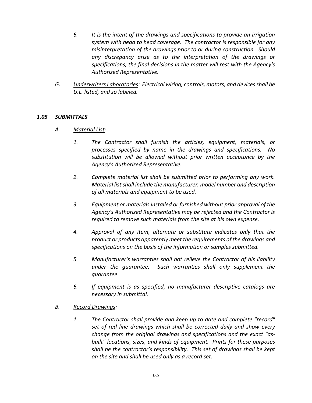- *6. It is the intent of the drawings and specifications to provide an irrigation system with head to head coverage. The contractor is responsible for any misinterpretation of the drawings prior to or during construction. Should any discrepancy arise as to the interpretation of the drawings or specifications, the final decisions in the matter will rest with the Agency's Authorized Representative.*
- *G. Underwriters Laboratories: Electrical wiring, controls, motors, and devices shall be U.L. listed, and so labeled.*

#### *1.05 SUBMITTALS*

- *A. Material List:*
	- *1. The Contractor shall furnish the articles, equipment, materials, or processes specified by name in the drawings and specifications. No substitution will be allowed without prior written acceptance by the Agency's Authorized Representative.*
	- *2. Complete material list shall be submitted prior to performing any work. Material list shall include the manufacturer, model number and description of all materials and equipment to be used.*
	- *3. Equipment or materials installed or furnished without prior approval of the Agency's Authorized Representative may be rejected and the Contractor is required to remove such materials from the site at his own expense.*
	- *4. Approval of any item, alternate or substitute indicates only that the product or products apparently meet the requirements of the drawings and specifications on the basis of the information or samples submitted.*
	- *5. Manufacturer's warranties shall not relieve the Contractor of his liability under the guarantee. Such warranties shall only supplement the guarantee.*
	- *6. If equipment is as specified, no manufacturer descriptive catalogs are necessary in submittal.*
- *B. Record Drawings:*
	- *1. The Contractor shall provide and keep up to date and complete "record" set of red line drawings which shall be corrected daily and show every change from the original drawings and specifications and the exact "asbuilt" locations, sizes, and kinds of equipment. Prints for these purposes shall be the contractor's responsibility. This set of drawings shall be kept on the site and shall be used only as a record set.*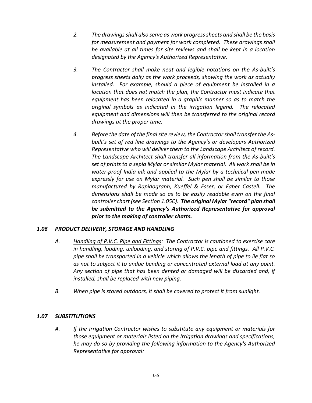- *2. The drawings shall also serve as work progress sheets and shall be the basis for measurement and payment for work completed. These drawings shall be available at all times for site reviews and shall be kept in a location designated by the Agency's Authorized Representative.*
- *3. The Contractor shall make neat and legible notations on the As-built's progress sheets daily as the work proceeds, showing the work as actually installed. For example, should a piece of equipment be installed in a location that does not match the plan, the Contractor must indicate that equipment has been relocated in a graphic manner so as to match the original symbols as indicated in the irrigation legend. The relocated equipment and dimensions will then be transferred to the original record drawings at the proper time.*
- *4. Before the date of the final site review, the Contractor shall transfer the Asbuilt's set of red line drawings to the Agency's or developers Authorized Representative who will deliver them to the Landscape Architect of record. The Landscape Architect shall transfer all information from the As-built's set of prints to a sepia Mylar or similar Mylar material. All work shall be in water-proof India ink and applied to the Mylar by a technical pen made expressly for use on Mylar material. Such pen shall be similar to those manufactured by Rapidograph, Kueffel & Esser, or Faber Castell. The dimensions shall be made so as to be easily readable even on the final controller chart (see Section 1.05C). The original Mylar "record" plan shall be submitted to the Agency's Authorized Representative for approval prior to the making of controller charts.*

#### *1.06 PRODUCT DELIVERY, STORAGE AND HANDLING*

- *A. Handling of P.V.C. Pipe and Fittings: The Contractor is cautioned to exercise care in handling, loading, unloading, and storing of P.V.C. pipe and fittings. All P.V.C. pipe shall be transported in a vehicle which allows the length of pipe to lie flat so as not to subject it to undue bending or concentrated external load at any point. Any section of pipe that has been dented or damaged will be discarded and, if installed, shall be replaced with new piping.*
- *B. When pipe is stored outdoors, it shall be covered to protect it from sunlight.*

# *1.07 SUBSTITUTIONS*

*A. If the Irrigation Contractor wishes to substitute any equipment or materials for those equipment or materials listed on the Irrigation drawings and specifications, he may do so by providing the following information to the Agency's Authorized Representative for approval:*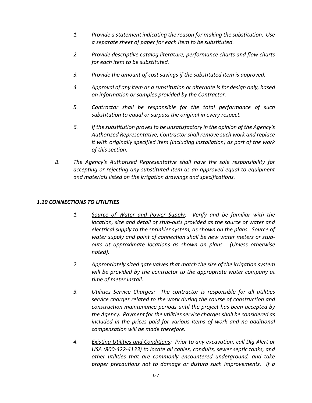- *1. Provide a statement indicating the reason for making the substitution. Use a separate sheet of paper for each item to be substituted.*
- *2. Provide descriptive catalog literature, performance charts and flow charts for each item to be substituted.*
- *3. Provide the amount of cost savings if the substituted item is approved.*
- *4. Approval of any item as a substitution or alternate is for design only, based on information or samples provided by the Contractor.*
- *5. Contractor shall be responsible for the total performance of such substitution to equal or surpass the original in every respect.*
- *6. If the substitution proves to be unsatisfactory in the opinion of the Agency's Authorized Representative, Contractor shall remove such work and replace it with originally specified item (including installation) as part of the work of this section.*
- *B. The Agency's Authorized Representative shall have the sole responsibility for accepting or rejecting any substituted item as an approved equal to equipment and materials listed on the irrigation drawings and specifications.*

#### *1.10 CONNECTIONS TO UTILITIES*

- *1. Source of Water and Power Supply: Verify and be familiar with the location, size and detail of stub-outs provided as the source of water and electrical supply to the sprinkler system, as shown on the plans. Source of water supply and point of connection shall be new water meters or stubouts at approximate locations as shown on plans. (Unless otherwise noted).*
- *2. Appropriately sized gate valves that match the size of the irrigation system will be provided by the contractor to the appropriate water company at time of meter install.*
- *3. Utilities Service Charges: The contractor is responsible for all utilities service charges related to the work during the course of construction and construction maintenance periods until the project has been accepted by the Agency. Payment for the utilities service charges shall be considered as included in the prices paid for various items of work and no additional compensation will be made therefore.*
- *4. Existing Utilities and Conditions: Prior to any excavation, call Dig Alert or USA (800-422-4133) to locate all cables, conduits, sewer septic tanks, and other utilities that are commonly encountered underground, and take proper precautions not to damage or disturb such improvements. If a*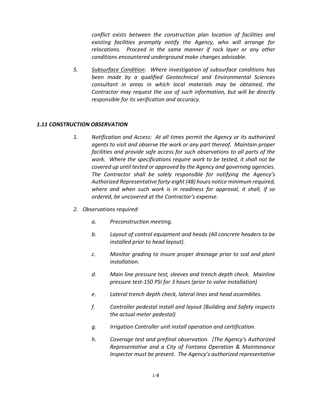*conflict exists between the construction plan location of facilities and existing facilities promptly notify the Agency, who will arrange for relocations. Proceed in the same manner if rock layer or any other conditions encountered underground make changes advisable.*

*5. Subsurface Condition: Where investigation of subsurface conditions has been made by a qualified Geotechnical and Environmental Sciences consultant in areas in which local materials may be obtained, the Contractor may request the use of such information, but will be directly responsible for its verification and accuracy.*

#### *1.11 CONSTRUCTION OBSERVATION*

- *1. Notification and Access: At all times permit the Agency or its authorized agents to visit and observe the work or any part thereof. Maintain proper facilities and provide safe access for such observations to all parts of the work. Where the specifications require work to be tested, it shall not be covered up until tested or approved by the Agency and governing agencies. The Contractor shall be solely responsible for notifying the Agency's Authorized Representative forty-eight (48) hours notice minimum required, where and when such work is in readiness for approval, it shall, if so ordered, be uncovered at the Contractor's expense.*
- *2. Observations required:*
	- *a. Preconstruction meeting.*
	- *b. Layout of control equipment and heads (All concrete headers to be installed prior to head layout).*
	- *c. Monitor grading to insure proper drainage prior to sod and plant installation.*
	- *d. Main line pressure test, sleeves and trench depth check. Mainline pressure test-150 PSI for 3 hours (prior to valve installation)*
	- *e. Lateral trench depth check, lateral lines and head assemblies.*
	- *f. Controller pedestal install and layout (Building and Safety inspects the actual meter pedestal)*
	- *g. Irrigation Controller unit install operation and certification.*
	- *h. Coverage test and prefinal observation. (The Agency's Authorized Representative and a City of Fontana Operation & Maintenance Inspector must be present. The Agency's authorized representative*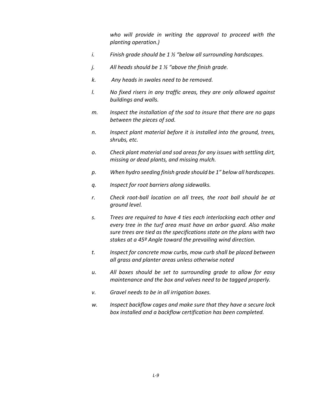*who will provide in writing the approval to proceed with the planting operation.)*

- *i. Finish grade should be 1 ½ "below all surrounding hardscapes.*
- *j. All heads should be 1 ½ "above the finish grade.*
- *k. Any heads in swales need to be removed.*
- *l. No fixed risers in any traffic areas, they are only allowed against buildings and walls.*
- *m. Inspect the installation of the sod to insure that there are no gaps between the pieces of sod.*
- *n. Inspect plant material before it is installed into the ground, trees, shrubs, etc.*
- *o. Check plant material and sod areas for any issues with settling dirt, missing or dead plants, and missing mulch.*
- *p. When hydro seeding finish grade should be 1" below all hardscapes.*
- *q. Inspect for root barriers along sidewalks.*
- *r. Check root-ball location on all trees, the root ball should be at ground level.*
- *s. Trees are required to have 4 ties each interlocking each other and every tree in the turf area must have an arbor guard. Also make sure trees are tied as the specifications state on the plans with two stakes at a 45º Angle toward the prevailing wind direction.*
- *t. Inspect for concrete mow curbs, mow curb shall be placed between all grass and planter areas unless otherwise noted*
- *u. All boxes should be set to surrounding grade to allow for easy maintenance and the box and valves need to be tagged properly.*
- *v. Gravel needs to be in all irrigation boxes.*
- *w. Inspect backflow cages and make sure that they have a secure lock box installed and a backflow certification has been completed.*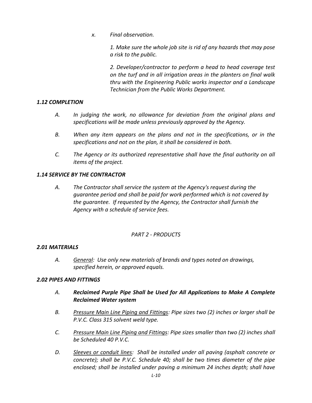*x. Final observation.*

*1. Make sure the whole job site is rid of any hazards that may pose a risk to the public.* 

*2. Developer/contractor to perform a head to head coverage test on the turf and in all irrigation areas in the planters on final walk thru with the Engineering Public works inspector and a Landscape Technician from the Public Works Department.*

# *1.12 COMPLETION*

- *A. In judging the work, no allowance for deviation from the original plans and specifications will be made unless previously approved by the Agency.*
- *B. When any item appears on the plans and not in the specifications, or in the specifications and not on the plan, it shall be considered in both.*
- *C. The Agency or its authorized representative shall have the final authority on all items of the project.*

# *1.14 SERVICE BY THE CONTRACTOR*

*A. The Contractor shall service the system at the Agency's request during the guarantee period and shall be paid for work performed which is not covered by the guarantee. If requested by the Agency, the Contractor shall furnish the Agency with a schedule of service fees.*

# *PART 2 - PRODUCTS*

#### *2.01 MATERIALS*

*A. General: Use only new materials of brands and types noted on drawings, specified herein, or approved equals.*

#### *2.02 PIPES AND FITTINGS*

- *A. Reclaimed Purple Pipe Shall be Used for All Applications to Make A Complete Reclaimed Water system*
- *B. Pressure Main Line Piping and Fittings: Pipe sizes two (2) inches or larger shall be P.V.C. Class 315 solvent weld type.*
- *C. Pressure Main Line Piping and Fittings: Pipe sizes smaller than two (2) inches shall be Scheduled 40 P.V.C.*
- *D. Sleeves or conduit lines: Shall be installed under all paving (asphalt concrete or concrete); shall be P.V.C. Schedule 40; shall be two times diameter of the pipe enclosed; shall be installed under paving a minimum 24 inches depth; shall have*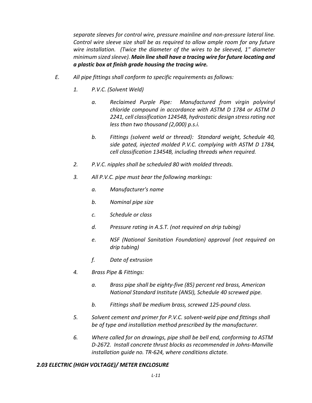*separate sleeves for control wire, pressure mainline and non-pressure lateral line. Control wire sleeve size shall be as required to allow ample room for any future wire installation. (Twice the diameter of the wires to be sleeved, 1" diameter minimum sized sleeve). Main line shall have a tracing wire for future locating and a plastic box at finish grade housing the tracing wire.*

- *E. All pipe fittings shall conform to specific requirements as follows:*
	- *1. P.V.C. (Solvent Weld)*
		- *a. Reclaimed Purple Pipe: Manufactured from virgin polyvinyl chloride compound in accordance with ASTM D 1784 or ASTM D 2241, cell classification 12454B, hydrostatic design stress rating not less than two thousand (2,000) p.s.i.*
		- *b. Fittings (solvent weld or thread): Standard weight, Schedule 40, side gated, injected molded P.V.C. complying with ASTM D 1784, cell classification 13454B, including threads when required.*
	- *2. P.V.C. nipples shall be scheduled 80 with molded threads.*
	- *3. All P.V.C. pipe must bear the following markings:*
		- *a. Manufacturer's name*
		- *b. Nominal pipe size*
		- *c. Schedule or class*
		- *d. Pressure rating in A.S.T. (not required on drip tubing)*
		- *e. NSF (National Sanitation Foundation) approval (not required on drip tubing)*
		- *f. Date of extrusion*
	- *4. Brass Pipe & Fittings:*
		- *a. Brass pipe shall be eighty-five (85) percent red brass, American National Standard Institute (ANSI), Schedule 40 screwed pipe.*
		- *b. Fittings shall be medium brass, screwed 125-pound class.*
	- *5. Solvent cement and primer for P.V.C. solvent-weld pipe and fittings shall be of type and installation method prescribed by the manufacturer.*
	- *6. Where called for on drawings, pipe shall be bell end, conforming to ASTM D-2672. Install concrete thrust blocks as recommended in Johns-Manville installation guide no. TR-624, where conditions dictate.*

#### *2.03 ELECTRIC (HIGH VOLTAGE)/ METER ENCLOSURE*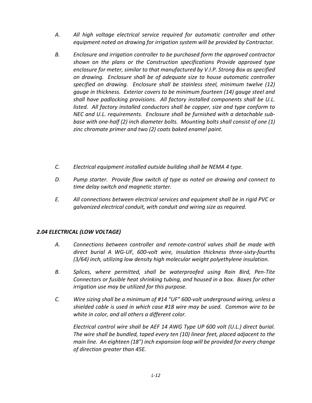- *A. All high voltage electrical service required for automatic controller and other equipment noted on drawing for irrigation system will be provided by Contractor.*
- *B. Enclosure and irrigation controller to be purchased form the approved contractor shown on the plans or the Construction specifications Provide approved type enclosure for meter, similar to that manufactured by V.I.P. Strong Box as specified on drawing. Enclosure shall be of adequate size to house automatic controller specified on drawing. Enclosure shall be stainless steel, minimum twelve (12) gauge in thickness. Exterior covers to be minimum fourteen (14) gauge steel and shall have padlocking provisions. All factory installed components shall be U.L. listed. All factory installed conductors shall be copper, size and type conform to NEC and U.L. requirements. Enclosure shall be furnished with a detachable subbase with one-half (2) inch diameter bolts. Mounting bolts shall consist of one (1) zinc chromate primer and two (2) coats baked enamel paint.*
- *C. Electrical equipment installed outside building shall be NEMA 4 type.*
- *D. Pump starter. Provide flow switch of type as noted on drawing and connect to time delay switch and magnetic starter.*
- *E. All connections between electrical services and equipment shall be in rigid PVC or galvanized electrical conduit, with conduit and wiring size as required.*

#### *2.04 ELECTRICAL (LOW VOLTAGE)*

- *A. Connections between controller and remote-control valves shall be made with direct burial A WG-UF, 600-volt wire, insulation thickness three-sixty-fourths (3/64) inch, utilizing low density high molecular weight polyethylene insulation.*
- *B. Splices, where permitted, shall be waterproofed using Rain Bird, Pen-Tite Connectors or fusible heat shrinking tubing, and housed in a box. Boxes for other irrigation use may be utilized for this purpose.*
- *C. Wire sizing shall be a minimum of #14 "UF" 600-volt underground wiring, unless a shielded cable is used in which case #18 wire may be used. Common wire to be white in color, and all others a different color.*

*Electrical control wire shall be AEF 14 AWG Type UP 600 volt (U.L.) direct burial. The wire shall be bundled, taped every ten (10) linear feet, placed adjacent to the main line. An eighteen (18") inch expansion loop will be provided for every change of direction greater than 45E.*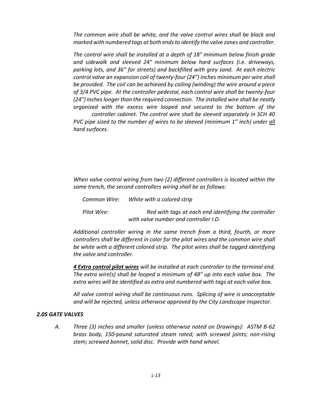*The common wire shall be white, and the valve control wires shall be black and marked with numbered tags at both ends to identify the valve zones and controller.*

*The control wire shall be installed at a depth of 18" minimum below finish grade and sidewalk and sleeved 24" minimum below hard surfaces (i.e. driveways, parking lots, and 36" for streets) and backfilled with grey sand. At each electric control valve an expansion coil of twenty-four (24") inches minimum per wire shall be provided. The coil can be achieved by coiling (winding) the wire around a piece of 3/4 PVC pipe. At the controller pedestal, each control wire shall be twenty-four (24") inches longer than the required connection. The installed wire shall be neatly organized with the excess wire looped and secured to the bottom of the controller cabinet. The control wire shall be sleeved separately in SCH 40 PVC pipe sized to the number of wires to be sleeved (minimum 1" inch) under all*

*hard surfaces.*

*When valve control wiring from two (2) different controllers is located within the same trench, the second controllers wiring shall be as follows:*

*Common Wire: White with a colored strip*

*Pilot Wire: Red with tags at each end identifying the controller with valve number and controller I.D.*

*Additional controller wiring in the same trench from a third, fourth, or more controllers shall be different in color for the pilot wires and the common wire shall be white with a different colored strip. The pilot wires shall be tagged identifying the valve and controller.*

*4 Extra control pilot wires will be installed at each controller to the terminal end. The extra wire(s) shall be looped a minimum of 48" up into each valve box. The extra wires will be identified as extra and numbered with tags at each valve box.*

*All valve control wiring shall be continuous runs. Splicing of wire is unacceptable and will be rejected, unless otherwise approved by the City Landscape Inspector.*

#### *2.05 GATE VALVES*

*A. Three (3) inches and smaller (unless otherwise noted on Drawings): ASTM B-62 brass body, 150-pound saturated steam rated; with screwed joints; non-rising stem; screwed bonnet, solid disc. Provide with hand wheel.*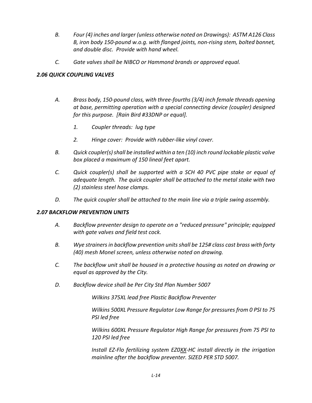- *B. Four (4) inches and larger (unless otherwise noted on Drawings): ASTM A126 Class B, iron body 150-pound w.o.g. with flanged joints, non-rising stem, bolted bonnet, and double disc. Provide with hand wheel.*
- *C. Gate valves shall be NIBCO or Hammond brands or approved equal.*

# *2.06 QUICK COUPLING VALVES*

- *A. Brass body, 150-pound class, with three-fourths (3/4) inch female threads opening at base, permitting operation with a special connecting device (coupler) designed for this purpose. [Rain Bird #33DNP or equal].*
	- *1. Coupler threads: lug type*
	- *2. Hinge cover: Provide with rubber-like vinyl cover.*
- *B. Quick coupler(s) shall be installed within a ten (10) inch round lockable plastic valve box placed a maximum of 150 lineal feet apart.*
- *C. Quick coupler(s) shall be supported with a SCH 40 PVC pipe stake or equal of adequate length. The quick coupler shall be attached to the metal stake with two (2) stainless steel hose clamps.*
- *D. The quick coupler shall be attached to the main line via a triple swing assembly.*

#### *2.07 BACKFLOW PREVENTION UNITS*

- *A. Backflow preventer design to operate on a "reduced pressure" principle; equipped with gate valves and field test cock.*
- *B. Wye strainers in backflow prevention units shall be 125# class cast brass with forty (40) mesh Monel screen, unless otherwise noted on drawing.*
- *C. The backflow unit shall be housed in a protective housing as noted on drawing or equal as approved by the City.*
- *D. Backflow device shall be Per City Std Plan Number 5007*

*Wilkins 375XL lead free Plastic Backflow Preventer*

*Wilkins 500XL Pressure Regulator Low Range for pressures from 0 PSI to 75 PSI led free*

*Wilkins 600XL Pressure Regulator High Range for pressures from 75 PSI to 120 PSI led free* 

*Install EZ-Flo fertilizing system EZ0XX-HC install directly in the irrigation mainline after the backflow preventer. SIZED PER STD 5007.*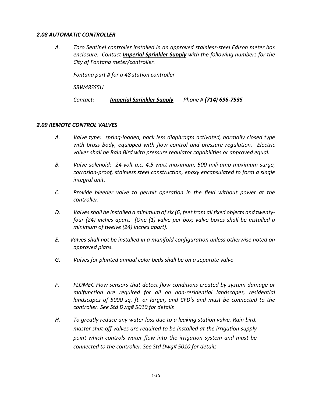#### *2.08 AUTOMATIC CONTROLLER*

*A. Toro Sentinel controller installed in an approved stainless-steel Edison meter box enclosure. Contact Imperial Sprinkler Supply with the following numbers for the City of Fontana meter/controller.*

*Fontana part # for a 48 station controller*

*SBW48SS5U*

*Contact: Imperial Sprinkler Supply Phone # (714) 696-7535*

#### *2.09 REMOTE CONTROL VALVES*

- *A. Valve type: spring-loaded, pack less diaphragm activated, normally closed type with brass body, equipped with flow control and pressure regulation. Electric valves shall be Rain Bird with pressure regulator capabilities or approved equal.*
- *B. Valve solenoid: 24-volt a.c. 4.5 watt maximum, 500 mili-amp maximum surge, corrosion-proof, stainless steel construction, epoxy encapsulated to form a single integral unit.*
- *C. Provide bleeder valve to permit operation in the field without power at the controller.*
- *D. Valves shall be installed a minimum of six (6) feet from all fixed objects and twentyfour (24) inches apart. [One (1) valve per box; valve boxes shall be installed a minimum of twelve (24) inches apart].*
- *E. Valves shall not be installed in a manifold configuration unless otherwise noted on approved plans.*
- *G. Valves for planted annual color beds shall be on a separate valve*
- *F. FLOMEC Flow sensors that detect flow conditions created by system damage or malfunction are required for all on non-residential landscapes, residential landscapes of 5000 sq. ft. or larger, and CFD's and must be connected to the controller. See Std Dwg# 5010 for details*
- *H. To greatly reduce any water loss due to a leaking station valve. Rain bird, master shut-off valves are required to be installed at the irrigation supply point which controls water flow into the irrigation system and must be connected to the controller. See Std Dwg# 5010 for details*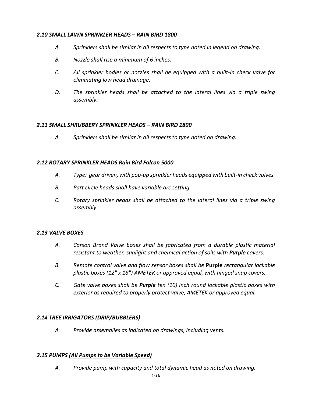#### *2.10 SMALL LAWN SPRINKLER HEADS – RAIN BIRD 1800*

- *A. Sprinklers shall be similar in all respects to type noted in legend on drawing.*
- *B. Nozzle shall rise a minimum of 6 inches.*
- *C. All sprinkler bodies or nozzles shall be equipped with a built-in check valve for eliminating low head drainage.*
- *D. The sprinkler heads shall be attached to the lateral lines via a triple swing assembly.*

# *2.11 SMALL SHRUBBERY SPRINKLER HEADS – RAIN BIRD 1800*

*A. Sprinklers shall be similar in all respects to type noted on drawing.*

# *2.12 ROTARY SPRINKLER HEADS Rain Bird Falcon 5000*

- *A. Type: gear driven, with pop-up sprinkler heads equipped with built-in check valves.*
- *B. Part circle heads shall have variable arc setting.*
- *C. Rotary sprinkler heads shall be attached to the lateral lines via a triple swing assembly.*

#### *2.13 VALVE BOXES*

- *A. Carson Brand Valve boxes shall be fabricated from a durable plastic material resistant to weather, sunlight and chemical action of soils with Purple covers.*
- *B. Remote control valve and flow sensor boxes shall be* **Purple** *rectangular lockable plastic boxes (12" x 18") AMETEK or approved equal, with hinged snap covers.*
- *C. Gate valve boxes shall be Purple ten (10) inch round lockable plastic boxes with exterior as required to properly protect valve, AMETEK or approved equal.*

# *2.14 TREE IRRIGATORS (DRIP/BUBBLERS)*

*A. Provide assemblies as indicated on drawings, including vents.*

#### *2.15 PUMPS (All Pumps to be Variable Speed)*

*A. Provide pump with capacity and total dynamic head as noted on drawing.*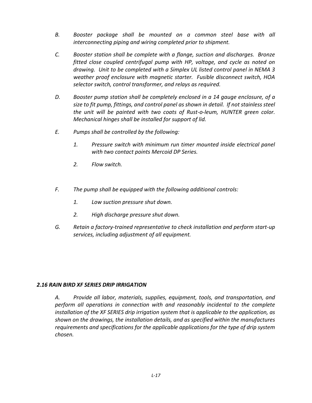- *B. Booster package shall be mounted on a common steel base with all interconnecting piping and wiring completed prior to shipment.*
- *C. Booster station shall be complete with a flange, suction and discharges. Bronze fitted close coupled centrifugal pump with HP, voltage, and cycle as noted on drawing. Unit to be completed with a Simplex UL listed control panel in NEMA 3 weather proof enclosure with magnetic starter. Fusible disconnect switch, HOA selector switch, control transformer, and relays as required.*
- *D. Booster pump station shall be completely enclosed in a 14 gauge enclosure, of a size to fit pump, fittings, and control panel as shown in detail. If not stainless steel the unit will be painted with two coats of Rust-o-leum, HUNTER green color. Mechanical hinges shall be installed for support of lid.*
- *E. Pumps shall be controlled by the following:*
	- *1. Pressure switch with minimum run timer mounted inside electrical panel with two contact points Mercoid DP Series.*
	- *2. Flow switch.*
- *F. The pump shall be equipped with the following additional controls:*
	- *1. Low suction pressure shut down.*
	- *2. High discharge pressure shut down.*
- *G. Retain a factory-trained representative to check installation and perform start-up services, including adjustment of all equipment.*

#### *2.16 RAIN BIRD XF SERIES DRIP IRRIGATION*

*A. Provide all labor, materials, supplies, equipment, tools, and transportation, and perform all operations in connection with and reasonably incidental to the complete installation of the XF SERIES drip irrigation system that is applicable to the application, as shown on the drawings, the installation details, and as specified within the manufactures requirements and specifications for the applicable applications for the type of drip system chosen.*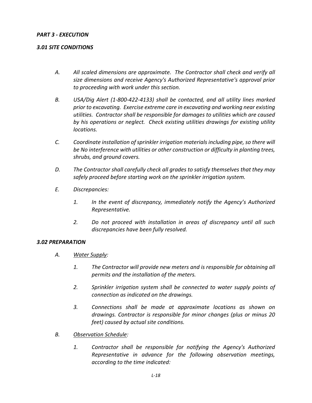#### *PART 3 - EXECUTION*

#### *3.01 SITE CONDITIONS*

- *A. All scaled dimensions are approximate. The Contractor shall check and verify all size dimensions and receive Agency's Authorized Representative's approval prior to proceeding with work under this section.*
- *B. USA/Dig Alert (1-800-422-4133) shall be contacted, and all utility lines marked prior to excavating. Exercise extreme care in excavating and working near existing utilities. Contractor shall be responsible for damages to utilities which are caused by his operations or neglect. Check existing utilities drawings for existing utility locations.*
- *C. Coordinate installation of sprinkler irrigation materials including pipe, so there will be No interference with utilities or other construction or difficulty in planting trees, shrubs, and ground covers.*
- *D. The Contractor shall carefully check all grades to satisfy themselves that they may safely proceed before starting work on the sprinkler irrigation system.*
- *E. Discrepancies:*
	- *1. In the event of discrepancy, immediately notify the Agency's Authorized Representative.*
	- *2. Do not proceed with installation in areas of discrepancy until all such discrepancies have been fully resolved.*

#### *3.02 PREPARATION*

- *A. Water Supply:*
	- *1. The Contractor will provide new meters and is responsible for obtaining all permits and the installation of the meters.*
	- *2. Sprinkler irrigation system shall be connected to water supply points of connection as indicated on the drawings.*
	- *3. Connections shall be made at approximate locations as shown on drawings. Contractor is responsible for minor changes (plus or minus 20 feet) caused by actual site conditions.*
- *B. Observation Schedule:*
	- *1. Contractor shall be responsible for notifying the Agency's Authorized Representative in advance for the following observation meetings, according to the time indicated:*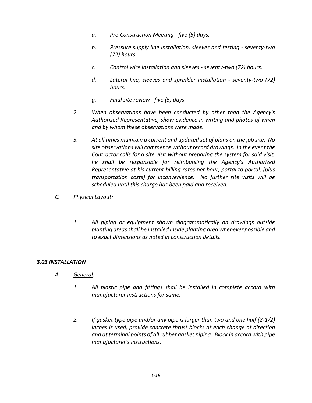- *a. Pre-Construction Meeting - five (5) days.*
- *b. Pressure supply line installation, sleeves and testing - seventy-two (72) hours.*
- *c. Control wire installation and sleeves - seventy-two (72) hours.*
- *d. Lateral line, sleeves and sprinkler installation - seventy-two (72) hours.*
- *g. Final site review - five (5) days.*
- *2. When observations have been conducted by other than the Agency's Authorized Representative, show evidence in writing and photos of when and by whom these observations were made.*
- *3. At all times maintain a current and updated set of plans on the job site. No site observations will commence without record drawings. In the event the Contractor calls for a site visit without preparing the system for said visit, he shall be responsible for reimbursing the Agency's Authorized Representative at his current billing rates per hour, portal to portal, (plus transportation costs) for inconvenience. No further site visits will be scheduled until this charge has been paid and received.*
- *C. Physical Layout:*
	- *1. All piping or equipment shown diagrammatically on drawings outside planting areas shall be installed inside planting area whenever possible and to exact dimensions as noted in construction details.*

# *3.03 INSTALLATION*

- *A. General:*
	- *1. All plastic pipe and fittings shall be installed in complete accord with manufacturer instructions for same.*
	- *2. If gasket type pipe and/or any pipe is larger than two and one half (2-1/2) inches is used, provide concrete thrust blocks at each change of direction and at terminal points of all rubber gasket piping. Block in accord with pipe manufacturer's instructions.*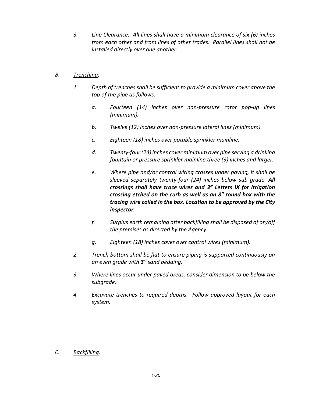*3. Line Clearance: All lines shall have a minimum clearance of six (6) inches from each other and from lines of other trades. Parallel lines shall not be installed directly over one another.*

# *B. Trenching:*

- *1. Depth of trenches shall be sufficient to provide a minimum cover above the top of the pipe as follows:*
	- *a. Fourteen (14) inches over non-pressure rotor pop-up lines (minimum).*
	- *b. Twelve (12) inches over non-pressure lateral lines (minimum).*
	- *c. Eighteen (18) inches over potable sprinkler mainline.*
	- *d. Twenty-four (24) inches cover minimum over pipe serving a drinking fountain or pressure sprinkler mainline three (3) inches and larger.*
	- *e. Where pipe and/or control wiring crosses under paving, it shall be sleeved separately twenty-four (24) inches below sub grade. All crossings shall have trace wires and 3" Letters IX for irrigation crossing etched on the curb as well as an 8" round box with the tracing wire coiled in the box. Location to be approved by the City inspector.*
	- *f. Surplus earth remaining after backfilling shall be disposed of on/off the premises as directed by the Agency.*
	- *g. Eighteen (18) inches cover over control wires (minimum).*
- *2. Trench bottom shall be flat to ensure piping is supported continuously on an even grade with 3" sand bedding.*
- *3. Where lines occur under paved areas, consider dimension to be below the subgrade.*
- *4. Excavate trenches to required depths. Follow approved layout for each system.*

#### *C. Backfilling:*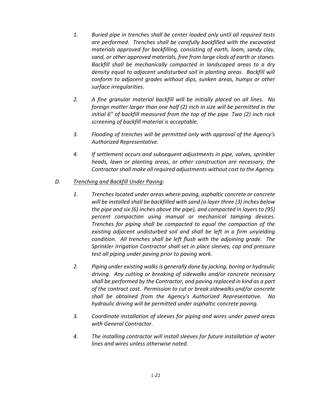- *1. Buried pipe in trenches shall be center loaded only until all required tests are performed. Trenches shall be carefully backfilled with the excavated materials approved for backfilling, consisting of earth, loam, sandy clay, sand, or other approved materials, free from large clods of earth or stones. Backfill shall be mechanically compacted in landscaped areas to a dry density equal to adjacent undisturbed soil in planting areas. Backfill will conform to adjacent grades without dips, sunken areas, humps or other surface irregularities.*
- *2. A fine granular material backfill will be initially placed on all lines. No foreign matter larger than one half (2) inch in size will be permitted in the initial 6" of backfill measured from the top of the pipe. Two (2) inch rock screening of backfill material is acceptable.*
- *3. Flooding of trenches will be permitted only with approval of the Agency's Authorized Representative.*
- *4. If settlement occurs and subsequent adjustments in pipe, valves, sprinkler heads, lawn or planting areas, or other construction are necessary, the Contractor shall make all required adjustments without cost to the Agency.*

# *D. Trenching and Backfill Under Paving:*

- *1. Trenches located under areas where paving, asphaltic concrete or concrete will be installed shall be backfilled with sand (a layer three (3) inches below the pipe and six (6) inches above the pipe), and compacted in layers to (95) percent compaction using manual or mechanical tamping devices. Trenches for piping shall be compacted to equal the compaction of the existing adjacent undisturbed soil and shall be left in a firm unyielding condition. All trenches shall be left flush with the adjoining grade. The Sprinkler Irrigation Contractor shall set in place sleeves, cap and pressure test all piping under paving prior to paving work.*
- *2. Piping under existing walks is generally done by jacking, boring or hydraulic driving. Any cutting or breaking of sidewalks and/or concrete necessary shall be performed by the Contractor, and paving replaced in kind as a part of the contract cost. Permission to cut or break sidewalks and/or concrete shall be obtained from the Agency's Authorized Representative. No hydraulic driving will be permitted under asphaltic concrete paving.*
- *3. Coordinate installation of sleeves for piping and wires under paved areas with General Contractor.*
- *4. The installing contractor will install sleeves for future installation of water lines and wires unless otherwise noted.*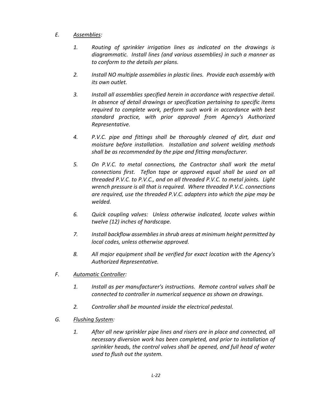# *E. Assemblies:*

- *1. Routing of sprinkler irrigation lines as indicated on the drawings is diagrammatic. Install lines (and various assemblies) in such a manner as to conform to the details per plans.*
- *2. Install NO multiple assemblies in plastic lines. Provide each assembly with its own outlet.*
- *3. Install all assemblies specified herein in accordance with respective detail. In absence of detail drawings or specification pertaining to specific items required to complete work, perform such work in accordance with best standard practice, with prior approval from Agency's Authorized Representative.*
- *4. P.V.C. pipe and fittings shall be thoroughly cleaned of dirt, dust and moisture before installation. Installation and solvent welding methods shall be as recommended by the pipe and fitting manufacturer.*
- *5. On P.V.C. to metal connections, the Contractor shall work the metal connections first. Teflon tape or approved equal shall be used on all threaded P.V.C. to P.V.C., and on all threaded P.V.C. to metal joints. Light wrench pressure is all that is required. Where threaded P.V.C. connections are required, use the threaded P.V.C. adapters into which the pipe may be welded.*
- *6. Quick coupling valves: Unless otherwise indicated, locate valves within twelve (12) inches of hardscape.*
- *7. Install backflow assemblies in shrub areas at minimum height permitted by local codes, unless otherwise approved.*
- *8. All major equipment shall be verified for exact location with the Agency's Authorized Representative.*
- *F. Automatic Controller:*
	- *1. Install as per manufacturer's instructions. Remote control valves shall be connected to controller in numerical sequence as shown on drawings.*
	- *2. Controller shall be mounted inside the electrical pedestal.*
- *G. Flushing System:*
	- *1. After all new sprinkler pipe lines and risers are in place and connected, all necessary diversion work has been completed, and prior to installation of sprinkler heads, the control valves shall be opened, and full head of water used to flush out the system.*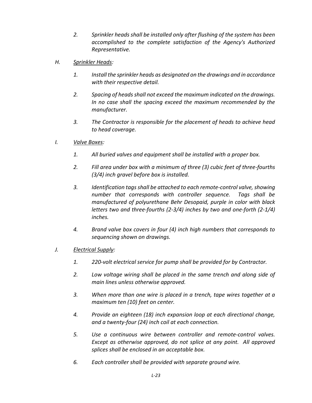- *2. Sprinkler heads shall be installed only after flushing of the system has been accomplished to the complete satisfaction of the Agency's Authorized Representative.*
- *H. Sprinkler Heads:*
	- *1. Install the sprinkler heads as designated on the drawings and in accordance with their respective detail.*
	- *2. Spacing of heads shall not exceed the maximum indicated on the drawings. In no case shall the spacing exceed the maximum recommended by the manufacturer.*
	- *3. The Contractor is responsible for the placement of heads to achieve head to head coverage.*
- *I. Valve Boxes:*
	- *1. All buried valves and equipment shall be installed with a proper box.*
	- *2. Fill area under box with a minimum of three (3) cubic feet of three-fourths (3/4) inch gravel before box is installed.*
	- *3. Identification tags shall be attached to each remote-control valve, showing number that corresponds with controller sequence. Tags shall be manufactured of polyurethane Behr Desopaid, purple in color with black letters two and three-fourths (2-3/4) inches by two and one-forth (2-1/4) inches.*
	- *4. Brand valve box covers in four (4) inch high numbers that corresponds to sequencing shown on drawings.*
- *J. Electrical Supply:*
	- *1. 220-volt electrical service for pump shall be provided for by Contractor.*
	- *2. Low voltage wiring shall be placed in the same trench and along side of main lines unless otherwise approved.*
	- *3. When more than one wire is placed in a trench, tape wires together at a maximum ten (10) feet on center.*
	- *4. Provide an eighteen (18) inch expansion loop at each directional change, and a twenty-four (24) inch coil at each connection.*
	- *5. Use a continuous wire between controller and remote-control valves. Except as otherwise approved, do not splice at any point. All approved splices shall be enclosed in an acceptable box.*
	- *6. Each controller shall be provided with separate ground wire.*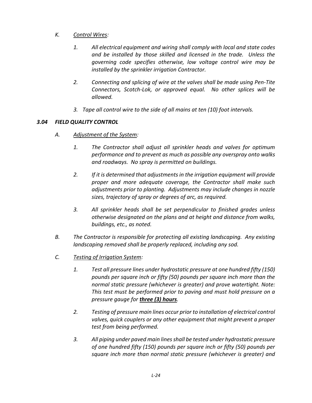# *K. Control Wires:*

- *1. All electrical equipment and wiring shall comply with local and state codes and be installed by those skilled and licensed in the trade. Unless the governing code specifies otherwise, low voltage control wire may be installed by the sprinkler irrigation Contractor.*
- *2. Connecting and splicing of wire at the valves shall be made using Pen-Tite Connectors, Scotch-Lok, or approved equal. No other splices will be allowed.*
- *3. Tape all control wire to the side of all mains at ten (10) foot intervals.*

# *3.04 FIELD QUALITY CONTROL*

- *A. Adjustment of the System:*
	- *1. The Contractor shall adjust all sprinkler heads and valves for optimum performance and to prevent as much as possible any overspray onto walks and roadways. No spray is permitted on buildings.*
	- *2. If it is determined that adjustments in the irrigation equipment will provide proper and more adequate coverage, the Contractor shall make such adjustments prior to planting. Adjustments may include changes in nozzle sizes, trajectory of spray or degrees of arc, as required.*
	- *3. All sprinkler heads shall be set perpendicular to finished grades unless otherwise designated on the plans and at height and distance from walks, buildings, etc., as noted.*
- *B. The Contractor is responsible for protecting all existing landscaping. Any existing landscaping removed shall be properly replaced, including any sod.*
- *C. Testing of Irrigation System:*
	- *1. Test all pressure lines under hydrostatic pressure at one hundred fifty (150) pounds per square inch or fifty (50) pounds per square inch more than the normal static pressure (whichever is greater) and prove watertight. Note: This test must be performed prior to paving and must hold pressure on a pressure gauge for three (3) hours.*
	- *2. Testing of pressure main lines occur prior to installation of electrical control valves, quick couplers or any other equipment that might prevent a proper test from being performed.*
	- *3. All piping under paved main linesshall be tested under hydrostatic pressure of one hundred fifty (150) pounds per square inch or fifty (50) pounds per square inch more than normal static pressure (whichever is greater) and*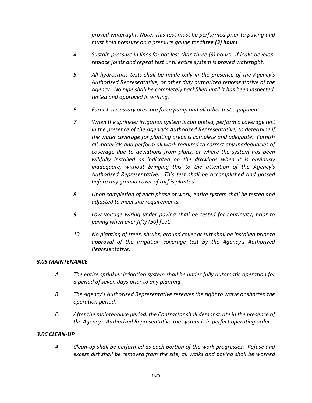*proved watertight. Note: This test must be performed prior to paving and must hold pressure on a pressure gauge for three (3) hours.*

- *4. Sustain pressure in lines for not less than three (3) hours. If leaks develop, replace joints and repeat test until entire system is proved watertight.*
- *5. All hydrostatic tests shall be made only in the presence of the Agency's Authorized Representative, or other duly authorized representative of the Agency. No pipe shall be completely backfilled until it has been inspected, tested and approved in writing.*
- *6. Furnish necessary pressure force pump and all other test equipment.*
- *7. When the sprinkler irrigation system is completed, perform a coverage test in the presence of the Agency's Authorized Representative, to determine if the water coverage for planting areas is complete and adequate. Furnish all materials and perform all work required to correct any inadequacies of coverage due to deviations from plans, or where the system has been willfully installed as indicated on the drawings when it is obviously inadequate, without bringing this to the attention of the Agency's Authorized Representative. This test shall be accomplished and passed before any ground cover of turf is planted.*
- *8. Upon completion of each phase of work, entire system shall be tested and adjusted to meet site requirements.*
- *9. Low voltage wiring under paving shall be tested for continuity, prior to paving when over fifty (50) feet.*
- *10. No planting of trees, shrubs, ground cover or turf shall be installed prior to approval of the irrigation coverage test by the Agency's Authorized Representative.*

#### *3.05 MAINTENANCE*

- *A. The entire sprinkler irrigation system shall be under fully automatic operation for a period of seven days prior to any planting.*
- *B. The Agency's Authorized Representative reserves the right to waive or shorten the operation period.*
- *C. After the maintenance period, the Contractor shall demonstrate in the presence of the Agency's Authorized Representative the system is in perfect operating order.*

#### *3.06 CLEAN-UP*

*A. Clean-up shall be performed as each portion of the work progresses. Refuse and excess dirt shall be removed from the site, all walks and paving shall be washed*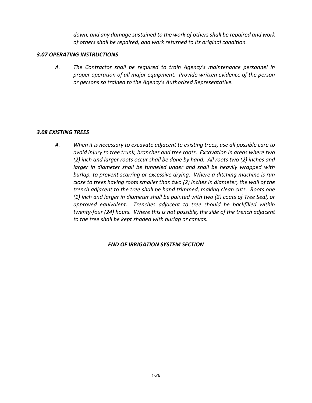*down, and any damage sustained to the work of others shall be repaired and work of others shall be repaired, and work returned to its original condition.*

#### *3.07 OPERATING INSTRUCTIONS*

*A. The Contractor shall be required to train Agency's maintenance personnel in proper operation of all major equipment. Provide written evidence of the person or persons so trained to the Agency's Authorized Representative.*

#### *3.08 EXISTING TREES*

*A. When it is necessary to excavate adjacent to existing trees, use all possible care to avoid injury to tree trunk, branches and tree roots. Excavation in areas where two (2) inch and larger roots occur shall be done by hand. All roots two (2) inches and larger in diameter shall be tunneled under and shall be heavily wrapped with burlap, to prevent scarring or excessive drying. Where a ditching machine is run close to trees having roots smaller than two (2) inches in diameter, the wall of the trench adjacent to the tree shall be hand trimmed, making clean cuts. Roots one (1) inch and larger in diameter shall be painted with two (2) coats of Tree Seal, or approved equivalent. Trenches adjacent to tree should be backfilled within twenty-four (24) hours. Where this is not possible, the side of the trench adjacent to the tree shall be kept shaded with burlap or canvas.*

#### *END OF IRRIGATION SYSTEM SECTION*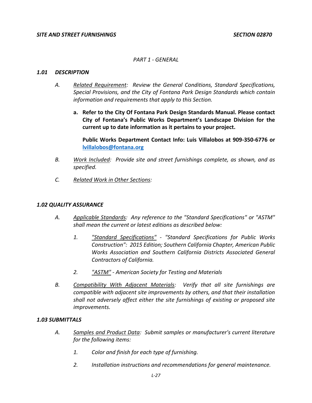# *PART 1 - GENERAL*

#### *1.01 DESCRIPTION*

- *A. Related Requirement: Review the General Conditions, Standard Specifications, Special Provisions, and the City of Fontana Park Design Standards which contain information and requirements that apply to this Section.*
	- **a. Refer to the City Of Fontana Park Design Standards Manual. Please contact City of Fontana's Public Works Department's Landscape Division for the current up to date information as it pertains to your project.**

**Public Works Department Contact Info: Luis Villalobos at 909-350-6776 or [lvillalobos@fontana.org](mailto:lvillalobos@fontana.org)**

- *B. Work Included: Provide site and street furnishings complete, as shown, and as specified.*
- *C. Related Work in Other Sections:*

#### *1.02 QUALITY ASSURANCE*

- *A. Applicable Standards: Any reference to the "Standard Specifications" or "ASTM" shall mean the current or latest editions as described below:*
	- *1. "Standard Specifications" - "Standard Specifications for Public Works Construction": 2015 Edition; Southern California Chapter, American Public Works Association and Southern California Districts Associated General Contractors of California.*
	- *2. "ASTM" - American Society for Testing and Materials*
- *B. Compatibility With Adjacent Materials: Verify that all site furnishings are compatible with adjacent site improvements by others, and that their installation shall not adversely affect either the site furnishings of existing or proposed site improvements.*

#### *1.03 SUBMITTALS*

- *A. Samples and Product Data: Submit samples or manufacturer's current literature for the following items:*
	- *1. Color and finish for each type of furnishing.*
	- *2. Installation instructions and recommendations for general maintenance.*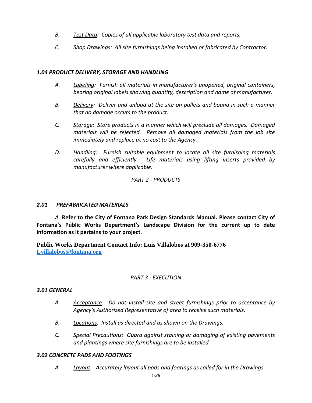- *B. Test Data: Copies of all applicable laboratory test data and reports.*
- *C. Shop Drawings: All site furnishings being installed or fabricated by Contractor.*

# *1.04 PRODUCT DELIVERY, STORAGE AND HANDLING*

- *A. Labeling: Furnish all materials in manufacturer's unopened, original containers, bearing original labels showing quantity, description and name of manufacturer.*
- *B. Delivery: Deliver and unload at the site on pallets and bound in such a manner that no damage occurs to the product.*
- *C. Storage: Store products in a manner which will preclude all damages. Damaged materials will be rejected. Remove all damaged materials from the job site immediately and replace at no cost to the Agency.*
- *D. Handling: Furnish suitable equipment to locate all site furnishing materials carefully and efficiently. Life materials using lifting inserts provided by manufacturer where applicable.*

# *PART 2 - PRODUCTS*

# *2.01 PREFABRICATED MATERIALS*

*A.* **Refer to the City of Fontana Park Design Standards Manual. Please contact City of Fontana's Public Works Department's Landscape Division for the current up to date information as it pertains to your project.**

**Public Works Department Contact Info: Luis Villalobos at 909-350-6776 [Lvillalobos@fontana.org](mailto:Lvillalobos@fontana.org)** 

# *PART 3 - EXECUTION*

# *3.01 GENERAL*

- *A. Acceptance: Do not install site and street furnishings prior to acceptance by Agency's Authorized Representative of area to receive such materials.*
- *B. Locations: Install as directed and as shown on the Drawings.*
- *C. Special Precautions: Guard against staining or damaging of existing pavements and plantings where site furnishings are to be installed.*

# *3.02 CONCRETE PADS AND FOOTINGS*

*A. Layout: Accurately layout all pads and footings as called for in the Drawings.*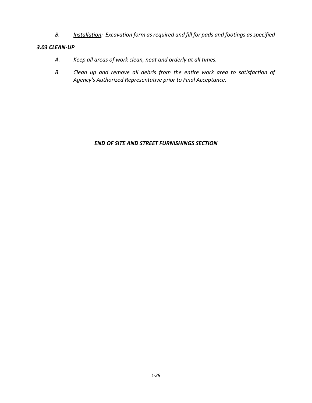*B. Installation: Excavation form as required and fill for pads and footings as specified* 

# *3.03 CLEAN-UP*

- *A. Keep all areas of work clean, neat and orderly at all times.*
- *B. Clean up and remove all debris from the entire work area to satisfaction of Agency's Authorized Representative prior to Final Acceptance.*

*END OF SITE AND STREET FURNISHINGS SECTION*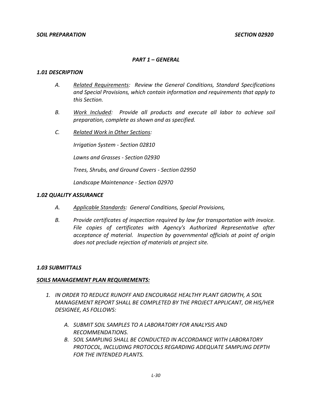#### *PART 1 – GENERAL*

#### *1.01 DESCRIPTION*

- *A. Related Requirements: Review the General Conditions, Standard Specifications and Special Provisions, which contain information and requirements that apply to this Section.*
- *B. Work Included: Provide all products and execute all labor to achieve soil preparation, complete as shown and as specified.*
- *C. Related Work in Other Sections:*

*Irrigation System - Section 02810*

*Lawns and Grasses - Section 02930*

*Trees, Shrubs, and Ground Covers - Section 02950*

*Landscape Maintenance - Section 02970*

#### *1.02 QUALITY ASSURANCE*

- *A. Applicable Standards: General Conditions, Special Provisions,*
- *B. Provide certificates of inspection required by law for transportation with invoice. File copies of certificates with Agency's Authorized Representative after acceptance of material. Inspection by governmental officials at point of origin does not preclude rejection of materials at project site.*

#### *1.03 SUBMITTALS*

#### *SOILS MANAGEMENT PLAN REQUIREMENTS:*

- *1. IN ORDER TO REDUCE RUNOFF AND ENCOURAGE HEALTHY PLANT GROWTH, A SOIL MANAGEMENT REPORT SHALL BE COMPLETED BY THE PROJECT APPLICANT, OR HIS/HER DESIGNEE, AS FOLLOWS:*
	- *A. SUBMIT SOIL SAMPLES TO A LABORATORY FOR ANALYSIS AND RECOMMENDATIONS.*
	- *B. SOIL SAMPLING SHALL BE CONDUCTED IN ACCORDANCE WITH LABORATORY PROTOCOL, INCLUDING PROTOCOLS REGARDING ADEQUATE SAMPLING DEPTH FOR THE INTENDED PLANTS.*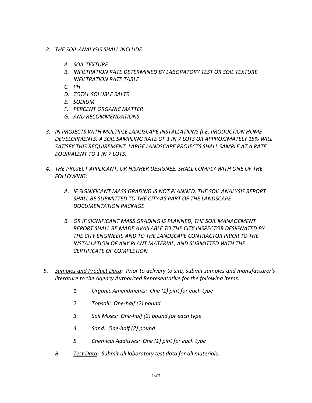- *2. THE SOIL ANALYSIS SHALL INCLUDE:*
	- *A. SOIL TEXTURE*
	- *B. INFILTRATION RATE DETERMINED BY LABORATORY TEST OR SOIL TEXTURE INFILTRATION RATE TABLE*
	- *C. PH*
	- *D. TOTAL SOLUBLE SALTS*
	- *E. SODIUM*
	- *F. PERCENT ORGANIC MATTER*
	- *G. AND RECOMMENDATIONS.*
- *3. IN PROJECTS WITH MULTIPLE LANDSCAPE INSTALLATIONS (I.E. PRODUCTION HOME DEVELOPMENTS) A SOIL SAMPLING RATE OF 1 IN 7 LOTS OR APPROXIMATELY 15% WILL SATISFY THIS REQUIREMENT. LARGE LANDSCAPE PROJECTS SHALL SAMPLE AT A RATE EQUIVALENT TO 1 IN 7 LOTS.*
- *4. THE PROJECT APPLICANT, OR HIS/HER DESIGNEE, SHALL COMPLY WITH ONE OF THE FOLLOWING:*
	- *A. IF SIGNIFICANT MASS GRADING IS NOT PLANNED, THE SOIL ANALYSIS REPORT SHALL BE SUBMITTED TO THE CITY AS PART OF THE LANDSCAPE DOCUMENTATION PACKAGE*
	- *B. OR IF SIGNIFICANT MASS GRADING IS PLANNED, THE SOIL MANAGEMENT REPORT SHALL BE MADE AVAILABLE TO THE CITY INSPECTOR DESIGNATED BY THE CITY ENGINEER, AND TO THE LANDSCAPE CONTRACTOR PRIOR TO THE INSTALLATION OF ANY PLANT MATERIAL, AND SUBMITTED WITH THE CERTIFICATE OF COMPLETION*
- *5. Samples and Product Data: Prior to delivery to site, submit samples and manufacturer's literature to the Agency Authorized Representative for the following items:*
	- *1. Organic Amendments: One (1) pint for each type*
	- *2. Topsoil: One-half (2) pound*
	- *3. Soil Mixes: One-half (2) pound for each type*
	- *4. Sand: One-half (2) pound*
	- *5. Chemical Additives: One (1) pint for each type*
	- *B. Test Data: Submit all laboratory test data for all materials.*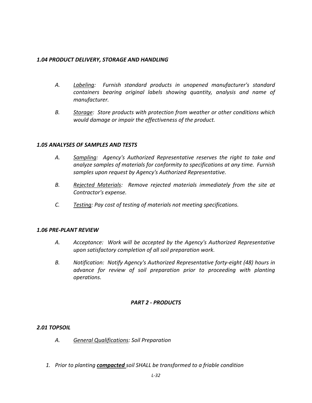# *1.04 PRODUCT DELIVERY, STORAGE AND HANDLING*

- *A. Labeling: Furnish standard products in unopened manufacturer's standard containers bearing original labels showing quantity, analysis and name of manufacturer.*
- *B. Storage: Store products with protection from weather or other conditions which would damage or impair the effectiveness of the product.*

# *1.05 ANALYSES OF SAMPLES AND TESTS*

- *A. Sampling: Agency's Authorized Representative reserves the right to take and analyze samples of materials for conformity to specifications at any time. Furnish samples upon request by Agency's Authorized Representative.*
- *B. Rejected Materials: Remove rejected materials immediately from the site at Contractor's expense.*
- *C. Testing: Pay cost of testing of materials not meeting specifications.*

#### *1.06 PRE-PLANT REVIEW*

- *A. Acceptance: Work will be accepted by the Agency's Authorized Representative upon satisfactory completion of all soil preparation work.*
- *B. Notification: Notify Agency's Authorized Representative forty-eight (48) hours in advance for review of soil preparation prior to proceeding with planting operations.*

#### *PART 2 - PRODUCTS*

#### *2.01 TOPSOIL*

- *A. General Qualifications: Soil Preparation*
- *1. Prior to planting compacted soil SHALL be transformed to a friable condition*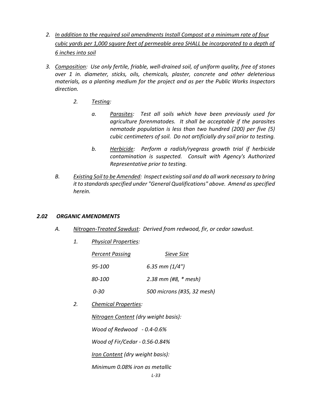- *2. In addition to the required soil amendments Install Compost at a minimum rate of four cubic yards per 1,000 square feet of permeable area SHALL be incorporated to a depth of 6 inches into soil*
- *3. Composition: Use only fertile, friable, well-drained soil, of uniform quality, free of stones over 1 in. diameter, sticks, oils, chemicals, plaster, concrete and other deleterious materials, as a planting medium for the project and as per the Public Works Inspectors direction.*
	- *2. Testing:*
		- *a. Parasites: Test all soils which have been previously used for agriculture forenmatodes. It shall be acceptable if the parasites nematode population is less than two hundred (200) per five (5) cubic centimeters of soil. Do not artificially dry soil prior to testing.*
		- *b. Herbicide: Perform a radish/ryegrass growth trial if herbicide contamination is suspected. Consult with Agency's Authorized Representative prior to testing.*
	- *B. Existing Soil to be Amended: Inspect existing soil and do all work necessary to bring it to standards specified under "General Qualifications" above. Amend as specified herein.*

#### *2.02 ORGANIC AMENDMENTS*

- *A. Nitrogen-Treated Sawdust: Derived from redwood, fir, or cedar sawdust.*
	- *1. Physical Properties:*

|    | Percent Passing                                                                                                                                                                                     | Sieve Size                 |  |
|----|-----------------------------------------------------------------------------------------------------------------------------------------------------------------------------------------------------|----------------------------|--|
|    | 95-100                                                                                                                                                                                              | 6.35 mm $(1/4")$           |  |
|    | 80-100                                                                                                                                                                                              | 2.38 mm (#8, * mesh)       |  |
|    | $0 - 30$                                                                                                                                                                                            | 500 microns (#35, 32 mesh) |  |
| 2. | Chemical Properties:<br>Nitrogen Content (dry weight basis):<br>Wood of Redwood $-0.4-0.6%$<br>Wood of Fir/Cedar - 0.56-0.84%<br>Iron Content (dry weight basis):<br>Minimum 0.08% iron as metallic |                            |  |
|    |                                                                                                                                                                                                     |                            |  |
|    |                                                                                                                                                                                                     |                            |  |
|    |                                                                                                                                                                                                     |                            |  |
|    |                                                                                                                                                                                                     |                            |  |
|    |                                                                                                                                                                                                     |                            |  |
|    |                                                                                                                                                                                                     | L-33                       |  |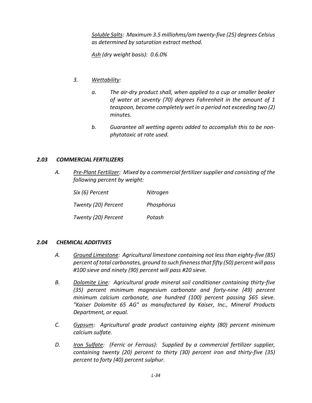*Soluble Salts: Maximum 3.5 milliohms/am twenty-five (25) degrees Celsius as determined by saturation extract method.*

*Ash (dry weight basis): 0.6.0%*

# *3. Wettability:*

- *a. The air-dry product shall, when applied to a cup or smaller beaker of water at seventy (70) degrees Fahrenheit in the amount of 1 teaspoon, become completely wet in a period not exceeding two (2) minutes.*
- *b. Guarantee all wetting agents added to accomplish this to be nonphytotoxic at rate used.*

#### *2.03 COMMERCIAL FERTILIZERS*

*A. Pre-Plant Fertilizer: Mixed by a commercial fertilizer supplier and consisting of the following percent by weight:*

| Six (6) Percent     | Nitrogen   |
|---------------------|------------|
| Twenty (20) Percent | Phosphorus |
| Twenty (20) Percent | Potash     |

#### *2.04 CHEMICAL ADDITIVES*

- *A. Ground Limestone: Agricultural limestone containing not less than eighty-five (85) percent of total carbonates, ground to such fineness that fifty (50) percent will pass #100 sieve and ninety (90) percent will pass #20 sieve.*
- *B. Dolomite Line: Agricultural grade mineral soil conditioner containing thirty-five (35) percent minimum magnesium carbonate and forty-nine (49) percent minimum calcium carbonate, one hundred (100) percent passing \$65 sieve. "Kaiser Dolomite 65 AG" as manufactured by Kaiser, Inc., Mineral Products Department, or equal.*
- *C. Gypsum: Agricultural grade product containing eighty (80) percent minimum calcium sulfate.*
- *D. Iron Sulfate: (Ferric or Ferrous): Supplied by a commercial fertilizer supplier, containing twenty (20) percent to thirty (30) percent iron and thirty-five (35) percent to forty (40) percent sulphur.*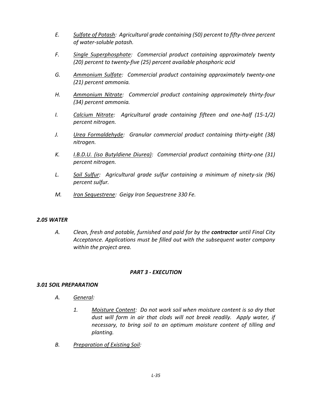- *E. Sulfate of Potash: Agricultural grade containing (50) percent to fifty-three percent of water-soluble potash.*
- *F. Single Superphosphate: Commercial product containing approximately twenty (20) percent to twenty-five (25) percent available phosphoric acid*
- *G. Ammonium Sulfate: Commercial product containing approximately twenty-one (21) percent ammonia.*
- *H. Ammonium Nitrate: Commercial product containing approximately thirty-four (34) percent ammonia.*
- *I. Calcium Nitrate: Agricultural grade containing fifteen and one-half (15-1/2) percent nitrogen.*
- *J. Urea Formaldehyde: Granular commercial product containing thirty-eight (38) nitrogen.*
- *K. I.B.D.U. (iso Butyldiene Diurea): Commercial product containing thirty-one (31) percent nitrogen.*
- *L. Soil Sulfur: Agricultural grade sulfur containing a minimum of ninety-six (96) percent sulfur.*
- *M. Iron Sequestrene: Geigy Iron Sequestrene 330 Fe.*

#### *2.05 WATER*

*A. Clean, fresh and potable, furnished and paid for by the contractor until Final City Acceptance. Applications must be filled out with the subsequent water company within the project area.*

#### *PART 3 - EXECUTION*

#### *3.01 SOIL PREPARATION*

- *A. General:*
	- *1. Moisture Content: Do not work soil when moisture content is so dry that dust will form in air that clods will not break readily. Apply water, if necessary, to bring soil to an optimum moisture content of tilling and planting.*
- *B. Preparation of Existing Soil:*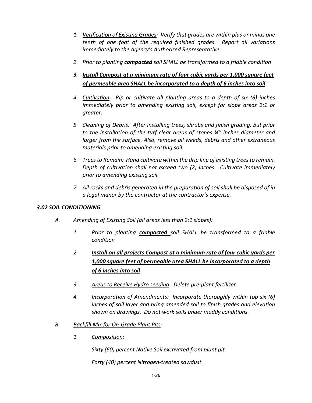- *1. Verification of Existing Grades: Verify that grades are within plus or minus one tenth of one foot of the required finished grades. Report all variations immediately to the Agency's Authorized Representative.*
- *2. Prior to planting compacted soil SHALL be transformed to a friable condition*
- *3. Install Compost at a minimum rate of four cubic yards per 1,000 square feet of permeable area SHALL be incorporated to a depth of 6 inches into soil*
- *4. Cultivation: Rip or cultivate all planting areas to a depth of six (6) inches immediately prior to amending existing soil, except for slope areas 2:1 or greater.*
- *5. Cleaning of Debris: After installing trees, shrubs and finish grading, but prior to the installation of the turf clear areas of stones ¾" inches diameter and larger from the surface. Also, remove all weeds, debris and other extraneous materials prior to amending existing soil.*
- *6. Trees to Remain: Hand cultivate within the drip line of existing trees to remain. Depth of cultivation shall not exceed two (2) inches. Cultivate immediately prior to amending existing soil.*
- *7. All rocks and debris generated in the preparation of soil shall be disposed of in a legal manor by the contractor at the contractor's expense.*

# *3.02 SOIL CONDITIONING*

- *A. Amending of Existing Soil (all areas less than 2:1 slopes):*
	- *1. Prior to planting compacted soil SHALL be transformed to a friable condition*
	- *2. Install on all projects Compost at a minimum rate of four cubic yards per 1,000 square feet of permeable area SHALL be incorporated to a depth of 6 inches into soil*
	- *3. Areas to Receive Hydro seeding: Delete pre-plant fertilizer.*
	- *4. Incorporation of Amendments: Incorporate thoroughly within top six (6) inches of soil layer and bring amended soil to finish grades and elevation shown on drawings. Do not work soils under muddy conditions.*
- *B. Backfill Mix for On-Grade Plant Pits:*
	- *1. Composition:*

*Sixty (60) percent Native Soil excavated from plant pit* 

*Forty (40) percent Nitrogen-treated sawdust*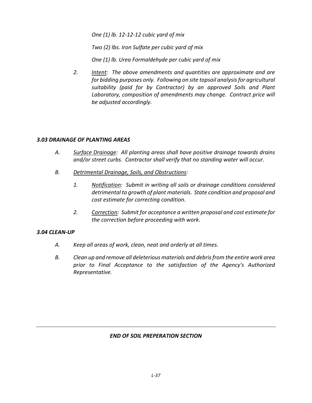*One (1) lb. 12-12-12 cubic yard of mix*

*Two (2) lbs. Iron Sulfate per cubic yard of mix*

*One (1) lb. Urea Formaldehyde per cubic yard of mix*

*2. Intent: The above amendments and quantities are approximate and are for bidding purposes only. Following on site topsoil analysis for agricultural suitability (paid for by Contractor) by an approved Soils and Plant Laboratory, composition of amendments may change. Contract price will be adjusted accordingly.*

### *3.03 DRAINAGE OF PLANTING AREAS*

- *A. Surface Drainage: All planting areas shall have positive drainage towards drains and/or street curbs. Contractor shall verify that no standing water will occur.*
- *B. Detrimental Drainage, Soils, and Obstructions:*
	- *1. Notification: Submit in writing all soils or drainage conditions considered detrimental to growth of plant materials. State condition and proposal and cost estimate for correcting condition.*
	- *2. Correction: Submit for acceptance a written proposal and cost estimate for the correction before proceeding with work.*

### *3.04 CLEAN-UP*

- *A. Keep all areas of work, clean, neat and orderly at all times.*
- *B. Clean up and remove all deleterious materials and debris from the entire work area prior to Final Acceptance to the satisfaction of the Agency's Authorized Representative.*

# *END OF SOIL PREPERATION SECTION*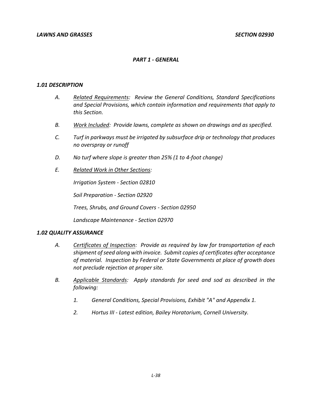# *PART 1 - GENERAL*

### *1.01 DESCRIPTION*

- *A. Related Requirements: Review the General Conditions, Standard Specifications and Special Provisions, which contain information and requirements that apply to this Section.*
- *B. Work Included: Provide lawns, complete as shown on drawings and as specified.*
- *C. Turf in parkways must be irrigated by subsurface drip or technology that produces no overspray or runoff*
- *D. No turf where slope is greater than 25% (1 to 4-foot change)*
- *E. Related Work in Other Sections:*

*Irrigation System - Section 02810*

*Soil Preparation - Section 02920*

*Trees, Shrubs, and Ground Covers - Section 02950*

*Landscape Maintenance - Section 02970*

### *1.02 QUALITY ASSURANCE*

- *A. Certificates of Inspection: Provide as required by law for transportation of each shipment of seed along with invoice. Submit copies of certificates after acceptance of material. Inspection by Federal or State Governments at place of growth does not preclude rejection at proper site.*
- *B. Applicable Standards: Apply standards for seed and sod as described in the following:*
	- *1. General Conditions, Special Provisions, Exhibit "A" and Appendix 1.*
	- *2. Hortus III - Latest edition, Bailey Horatorium, Cornell University.*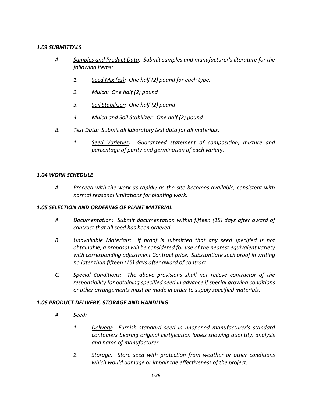# *1.03 SUBMITTALS*

- *A. Samples and Product Data: Submit samples and manufacturer's literature for the following items:*
	- *1. Seed Mix (es): One half (2) pound for each type.*
	- *2. Mulch: One half (2) pound*
	- *3. Soil Stabilizer: One half (2) pound*
	- *4. Mulch and Soil Stabilizer: One half (2) pound*
- *B. Test Data: Submit all laboratory test data for all materials.*
	- *1. Seed Varieties: Guaranteed statement of composition, mixture and percentage of purity and germination of each variety.*

# *1.04 WORK SCHEDULE*

*A. Proceed with the work as rapidly as the site becomes available, consistent with normal seasonal limitations for planting work.*

# *1.05 SELECTION AND ORDERING OF PLANT MATERIAL*

- *A. Documentation: Submit documentation within fifteen (15) days after award of contract that all seed has been ordered.*
- *B. Unavailable Materials: If proof is submitted that any seed specified is not obtainable, a proposal will be considered for use of the nearest equivalent variety with corresponding adjustment Contract price. Substantiate such proof in writing no later than fifteen (15) days after award of contract.*
- *C. Special Conditions: The above provisions shall not relieve contractor of the responsibility for obtaining specified seed in advance if special growing conditions or other arrangements must be made in order to supply specified materials.*

# *1.06 PRODUCT DELIVERY, STORAGE AND HANDLING*

- *A. Seed:*
	- *1. Delivery: Furnish standard seed in unopened manufacturer's standard containers bearing original certification labels showing quantity, analysis and name of manufacturer.*
	- *2. Storage: Store seed with protection from weather or other conditions which would damage or impair the effectiveness of the project.*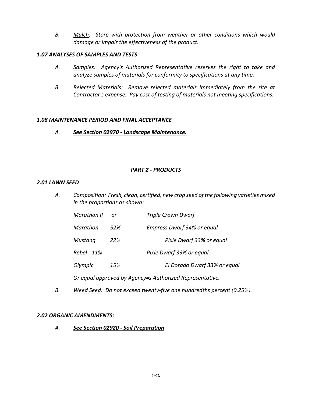*B. Mulch: Store with protection from weather or other conditions which would damage or impair the effectiveness of the product.*

### *1.07 ANALYSES OF SAMPLES AND TESTS*

- *A. Samples: Agency's Authorized Representative reserves the right to take and analyze samples of materials for conformity to specifications at any time.*
- *B. Rejected Materials: Remove rejected materials immediately from the site at Contractor's expense. Pay cost of testing of materials not meeting specifications.*

### *1.08 MAINTENANCE PERIOD AND FINAL ACCEPTANCE*

*A. See Section 02970 - Landscape Maintenance.*

### *PART 2 - PRODUCTS*

### *2.01 LAWN SEED*

*A. Composition: Fresh, clean, certified, new crop seed of the following varieties mixed in the proportions as shown:*

| <b>Marathon II</b>                                       | or  | <b>Triple Crown Dwarf</b>         |
|----------------------------------------------------------|-----|-----------------------------------|
| Marathon                                                 | 52% | <b>Empress Dwarf 34% or equal</b> |
| Mustang                                                  | 22% | Pixie Dwarf 33% or equal          |
| Rebel 11%                                                |     | Pixie Dwarf 33% or equal          |
| Olympic                                                  | 15% | El Dorado Dwarf 33% or equal      |
| Or equal approved by Agency=s Authorized Representative. |     |                                   |

*B. Weed Seed: Do not exceed twenty-five one hundredths percent (0.25%).*

### *2.02 ORGANIC AMENDMENTS:*

*A. See Section 02920 - Soil Preparation*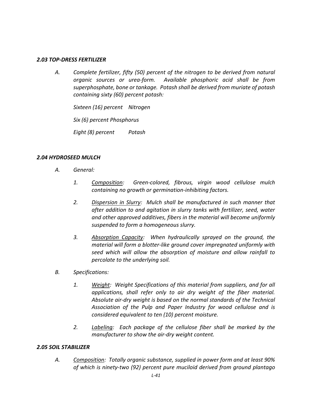# *2.03 TOP-DRESS FERTILIZER*

*A. Complete fertilizer, fifty (50) percent of the nitrogen to be derived from natural organic sources or urea-form. Available phosphoric acid shall be from superphosphate, bone or tankage. Potash shall be derived from muriate of potash containing sixty (60) percent potash:*

*Sixteen (16) percent Nitrogen*

*Six (6) percent Phosphorus*

*Eight (8) percent Potash*

# *2.04 HYDROSEED MULCH*

- *A. General:*
	- *1. Composition: Green-colored, fibrous, virgin wood cellulose mulch containing no growth or germination-inhibiting factors.*
	- *2. Dispersion in Slurry: Mulch shall be manufactured in such manner that after addition to and agitation in slurry tanks with fertilizer, seed, water and other approved additives, fibers in the material will become uniformly suspended to form a homogeneous slurry.*
	- *3. Absorption Capacity: When hydraulically sprayed on the ground, the material will form a blotter-like ground cover impregnated uniformly with seed which will allow the absorption of moisture and allow rainfall to percolate to the underlying soil.*
- *B. Specifications:*
	- *1. Weight: Weight Specifications of this material from suppliers, and for all applications, shall refer only to air dry weight of the fiber material. Absolute air-dry weight is based on the normal standards of the Technical Association of the Pulp and Paper Industry for wood cellulose and is considered equivalent to ten (10) percent moisture.*
	- *2. Labeling: Each package of the cellulose fiber shall be marked by the manufacturer to show the air-dry weight content.*

# *2.05 SOIL STABILIZER*

*A. Composition: Totally organic substance, supplied in power form and at least 90% of which is ninety-two (92) percent pure muciloid derived from ground plantago*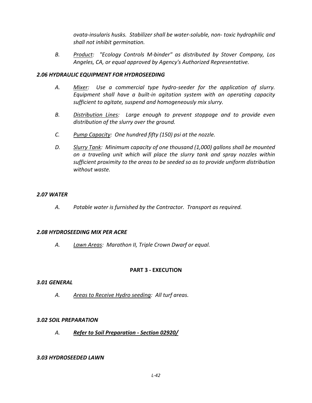*ovata-insularis husks. Stabilizer shall be water-soluble, non- toxic hydrophilic and shall not inhibit germination.*

*B. Product: "Ecology Controls M-binder" as distributed by Stover Company, Los Angeles, CA, or equal approved by Agency's Authorized Representative.*

# *2.06 HYDRAULIC EQUIPMENT FOR HYDROSEEDING*

- *A. Mixer: Use a commercial type hydro-seeder for the application of slurry. Equipment shall have a built-in agitation system with an operating capacity sufficient to agitate, suspend and homogeneously mix slurry.*
- *B. Distribution Lines: Large enough to prevent stoppage and to provide even distribution of the slurry over the ground.*
- *C. Pump Capacity: One hundred fifty (150) psi at the nozzle.*
- *D. Slurry Tank: Minimum capacity of one thousand (1,000) gallons shall be mounted on a traveling unit which will place the slurry tank and spray nozzles within sufficient proximity to the areas to be seeded so as to provide uniform distribution without waste.*

# *2.07 WATER*

*A. Potable water is furnished by the Contractor. Transport as required.*

# *2.08 HYDROSEEDING MIX PER ACRE*

*A. Lawn Areas: Marathon II, Triple Crown Dwarf or equal.*

# **PART 3 - EXECUTION**

# *3.01 GENERAL*

*A. Areas to Receive Hydro seeding: All turf areas.*

# *3.02 SOIL PREPARATION*

*A. Refer to Soil Preparation - Section 02920/*

# *3.03 HYDROSEEDED LAWN*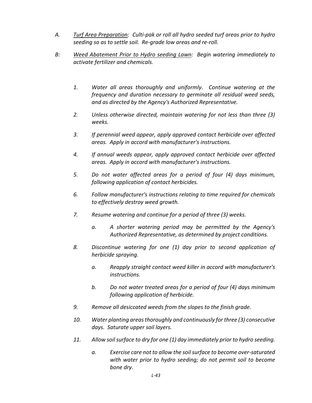- *A. Turf Area Preparation: Culti-pak or roll all hydro seeded turf areas prior to hydro seeding so as to settle soil. Re-grade low areas and re-roll.*
- *B: Weed Abatement Prior to Hydro seeding Lawn: Begin watering immediately to activate fertilizer and chemicals.*
	- *1. Water all areas thoroughly and uniformly. Continue watering at the frequency and duration necessary to germinate all residual weed seeds, and as directed by the Agency's Authorized Representative.*
	- *2. Unless otherwise directed, maintain watering for not less than three (3) weeks.*
	- *3. If perennial weed appear, apply approved contact herbicide over affected areas. Apply in accord with manufacturer's instructions.*
	- *4. If annual weeds appear, apply approved contact herbicide over affected areas. Apply in accord with manufacturer's instructions.*
	- *5. Do not water affected areas for a period of four (4) days minimum, following application of contact herbicides.*
	- *6. Follow manufacturer's instructions relating to time required for chemicals to effectively destroy weed growth.*
	- *7. Resume watering and continue for a period of three (3) weeks.*
		- *a. A shorter watering period may be permitted by the Agency's Authorized Representative, as determined by project conditions.*
	- *8. Discontinue watering for one (1) day prior to second application of herbicide spraying.*
		- *a. Reapply straight contact weed killer in accord with manufacturer's instructions.*
		- *b. Do not water treated areas for a period of four (4) days minimum following application of herbicide.*
	- *9. Remove all desiccated weeds from the slopes to the finish grade.*
	- *10. Water planting areas thoroughly and continuously for three (3) consecutive days. Saturate upper soil layers.*
	- *11. Allow soil surface to dry for one (1) day immediately prior to hydro seeding.*
		- *a. Exercise care not to allow the soil surface to become over-saturated with water prior to hydro seeding; do not permit soil to become bone dry.*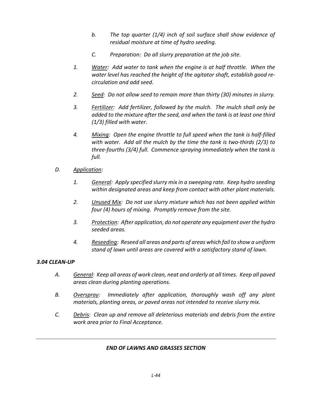- *b. The top quarter (1/4) inch of soil surface shall show evidence of residual moisture at time of hydro seeding.*
- *C. Preparation: Do all slurry preparation at the job site.*
- *1. Water: Add water to tank when the engine is at half throttle. When the water level has reached the height of the agitator shaft, establish good recirculation and add seed.*
- *2. Seed: Do not allow seed to remain more than thirty (30) minutes in slurry.*
- *3. Fertilizer: Add fertilizer, followed by the mulch. The mulch shall only be added to the mixture after the seed, and when the tank is at least one third (1/3) filled with water.*
- *4. Mixing: Open the engine throttle to full speed when the tank is half-filled with water. Add all the mulch by the time the tank is two-thirds (2/3) to three-fourths (3/4) full. Commence spraying immediately when the tank is full.*
- *D. Application:*
	- *1. General: Apply specified slurry mix in a sweeping rate. Keep hydro seeding within designated areas and keep from contact with other plant materials.*
	- *2. Unused Mix: Do not use slurry mixture which has not been applied within four (4) hours of mixing. Promptly remove from the site.*
	- *3. Protection: After application, do not operate any equipment over the hydro seeded areas.*
	- *4. Reseeding: Reseed all areas and parts of areas which fail to show a uniform stand of lawn until areas are covered with a satisfactory stand of lawn.*

# *3.04 CLEAN-UP*

- *A. General: Keep all areas of work clean, neat and orderly at all times. Keep all paved areas clean during planting operations.*
- *B. Overspray: Immediately after application, thoroughly wash off any plant materials, planting areas, or paved areas not intended to receive slurry mix.*
- *C. Debris: Clean up and remove all deleterious materials and debris from the entire work area prior to Final Acceptance.*

# *END OF LAWNS AND GRASSES SECTION*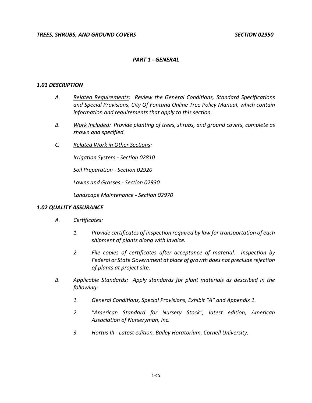### *PART 1 - GENERAL*

### *1.01 DESCRIPTION*

- *A. Related Requirements: Review the General Conditions, Standard Specifications and Special Provisions, City Of Fontana Online Tree Policy Manual, which contain information and requirements that apply to this section.*
- *B. Work Included: Provide planting of trees, shrubs, and ground covers, complete as shown and specified.*
- *C. Related Work in Other Sections:*

*Irrigation System - Section 02810*

*Soil Preparation - Section 02920*

*Lawns and Grasses - Section 02930*

*Landscape Maintenance - Section 02970*

#### *1.02 QUALITY ASSURANCE*

- *A. Certificates:*
	- *1. Provide certificates of inspection required by law for transportation of each shipment of plants along with invoice.*
	- *2. File copies of certificates after acceptance of material. Inspection by Federal or State Government at place of growth does not preclude rejection of plants at project site.*
- *B. Applicable Standards: Apply standards for plant materials as described in the following:*
	- *1. General Conditions, Special Provisions, Exhibit "A" and Appendix 1.*
	- *2. "American Standard for Nursery Stock", latest edition, American Association of Nurseryman, Inc.*
	- *3. Hortus III - Latest edition, Bailey Horatorium, Cornell University.*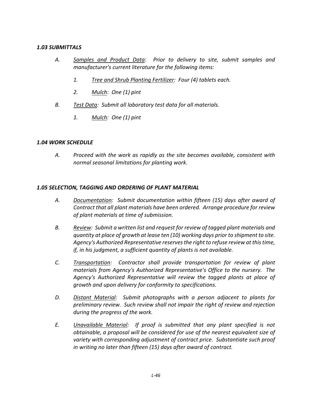# *1.03 SUBMITTALS*

- *A. Samples and Product Data: Prior to delivery to site, submit samples and manufacturer's current literature for the following items:*
	- *1. Tree and Shrub Planting Fertilizer: Four (4) tablets each.*
	- *2. Mulch: One (1) pint*
- *B. Test Data: Submit all laboratory test data for all materials.*
	- *1. Mulch: One (1) pint*

# *1.04 WORK SCHEDULE*

*A. Proceed with the work as rapidly as the site becomes available, consistent with normal seasonal limitations for planting work.*

# *1.05 SELECTION, TAGGING AND ORDERING OF PLANT MATERIAL*

- *A. Documentation: Submit documentation within fifteen (15) days after award of Contract that all plant materials have been ordered. Arrange procedure for review of plant materials at time of submission.*
- *B. Review: Submit a written list and request for review of tagged plant materials and quantity at place of growth at lease ten (10) working days prior to shipment to site. Agency's Authorized Representative reserves the right to refuse review at this time, if, in his judgment, a sufficient quantity of plants is not available.*
- *C. Transportation: Contractor shall provide transportation for review of plant materials from Agency's Authorized Representative's Office to the nursery. The Agency's Authorized Representative will review the tagged plants at place of growth and upon delivery for conformity to specifications.*
- *D. Distant Material: Submit photographs with a person adjacent to plants for preliminary review. Such review shall not impair the right of review and rejection during the progress of the work.*
- *E. Unavailable Material: If proof is submitted that any plant specified is not obtainable, a proposal will be considered for use of the nearest equivalent size of variety with corresponding adjustment of contract price. Substantiate such proof in writing no later than fifteen (15) days after award of contract.*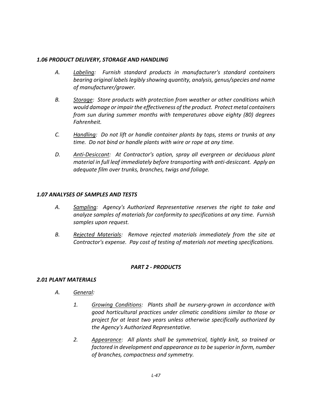# *1.06 PRODUCT DELIVERY, STORAGE AND HANDLING*

- *A. Labeling: Furnish standard products in manufacturer's standard containers bearing original labels legibly showing quantity, analysis, genus/species and name of manufacturer/grower.*
- *B. Storage: Store products with protection from weather or other conditions which would damage or impair the effectiveness of the product. Protect metal containers from sun during summer months with temperatures above eighty (80) degrees Fahrenheit.*
- *C. Handling: Do not lift or handle container plants by tops, stems or trunks at any time. Do not bind or handle plants with wire or rope at any time.*
- *D. Anti-Desiccant: At Contractor's option, spray all evergreen or deciduous plant material in full leaf immediately before transporting with anti-desiccant. Apply an adequate film over trunks, branches, twigs and foliage.*

# *1.07 ANALYSES OF SAMPLES AND TESTS*

- *A. Sampling: Agency's Authorized Representative reserves the right to take and analyze samples of materials for conformity to specifications at any time. Furnish samples upon request.*
- *B. Rejected Materials: Remove rejected materials immediately from the site at Contractor's expense. Pay cost of testing of materials not meeting specifications.*

# *PART 2 - PRODUCTS*

# *2.01 PLANT MATERIALS*

- *A. General:*
	- *1. Growing Conditions: Plants shall be nursery-grown in accordance with good horticultural practices under climatic conditions similar to those or project for at least two years unless otherwise specifically authorized by the Agency's Authorized Representative.*
	- *2. Appearance: All plants shall be symmetrical, tightly knit, so trained or factored in development and appearance as to be superior in form, number of branches, compactness and symmetry.*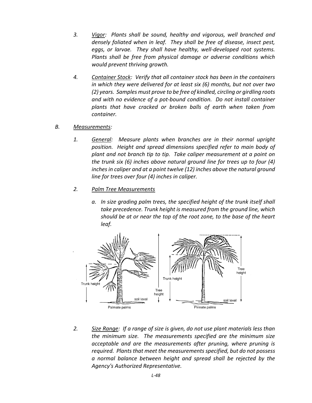- *3. Vigor: Plants shall be sound, healthy and vigorous, well branched and densely foliated when in leaf. They shall be free of disease, insect pest, eggs, or larvae. They shall have healthy, well-developed root systems. Plants shall be free from physical damage or adverse conditions which would prevent thriving growth.*
- *4. Container Stock: Verify that all container stock has been in the containers in which they were delivered for at least six (6) months, but not over two (2) years. Samples must prove to be free of kindled, circling or girdling roots and with no evidence of a pot-bound condition. Do not install container plants that have cracked or broken balls of earth when taken from container.*
- *B. Measurements:*
	- *1. General: Measure plants when branches are in their normal upright position. Height and spread dimensions specified refer to main body of plant and not branch tip to tip. Take caliper measurement at a point on the trunk six (6) inches above natural ground line for trees up to four (4) inches in caliper and at a point twelve (12) inches above the natural ground line for trees over four (4) inches in caliper.*
	- *2. Palm Tree Measurements* 
		- *a. In size grading palm trees, the specified height of the trunk itself shall take precedence. Trunk height is measured from the ground line, which should be at or near the top of the root zone, to the base of the heart leaf.*



*2. Size Range: If a range of size is given, do not use plant materials less than the minimum size. The measurements specified are the minimum size acceptable and are the measurements after pruning, where pruning is required. Plants that meet the measurements specified, but do not possess a normal balance between height and spread shall be rejected by the Agency's Authorized Representative.*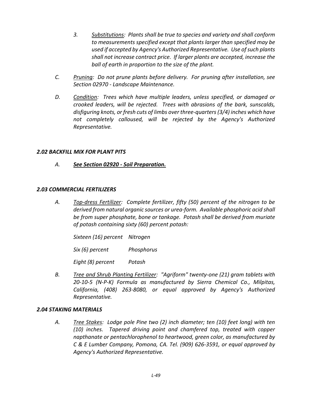- *3. Substitutions: Plants shall be true to species and variety and shall conform to measurements specified except that plants larger than specified may be used if accepted by Agency's Authorized Representative. Use of such plants shall not increase contract price. If larger plants are accepted, increase the ball of earth in proportion to the size of the plant.*
- *C. Pruning: Do not prune plants before delivery. For pruning after installation, see Section 02970 - Landscape Maintenance.*
- *D. Condition: Trees which have multiple leaders, unless specified, or damaged or crooked leaders, will be rejected. Trees with abrasions of the bark, sunscalds, disfiguring knots, or fresh cuts of limbs over three-quarters (3/4) inches which have not completely calloused, will be rejected by the Agency's Authorized Representative.*

# *2.02 BACKFILL MIX FOR PLANT PITS*

*A. See Section 02920 - Soil Preparation.*

# *2.03 COMMERCIAL FERTILIZERS*

*A. Top-dress Fertilizer: Complete fertilizer, fifty (50) percent of the nitrogen to be derived from natural organic sources or urea-form. Available phosphoric acid shall be from super phosphate, bone or tankage. Potash shall be derived from muriate of potash containing sixty (60) percent potash:*

*Sixteen (16) percent Nitrogen*

*Six (6) percent Phosphorus*

*Eight (8) percent Potash*

*B. Tree and Shrub Planting Fertilizer: "Agriform" twenty-one (21) gram tablets with 20-10-5 (N-P-K) Formula as manufactured by Sierra Chemical Co., Milpitas, California, (408) 263-8080, or equal approved by Agency's Authorized Representative.*

# *2.04 STAKING MATERIALS*

*A. Tree Stakes: Lodge pole Pine two (2) inch diameter; ten (10) feet long) with ten (10) inches. Tapered driving point and chamfered top, treated with copper napthanate or pentachlorophenol to heartwood, green color, as manufactured by C & E Lumber Company, Pomona, CA. Tel. (909) 626-3591, or equal approved by Agency's Authorized Representative.*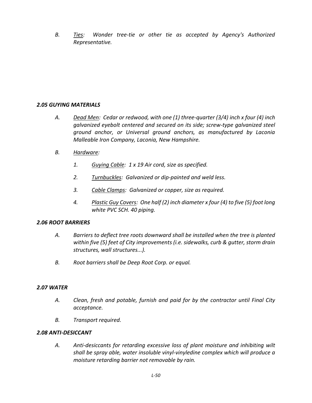*B. Ties: Wonder tree-tie or other tie as accepted by Agency's Authorized Representative.*

# *2.05 GUYING MATERIALS*

- *A. Dead Men: Cedar or redwood, with one (1) three-quarter (3/4) inch x four (4) inch galvanized eyebolt centered and secured on its side; screw-type galvanized steel ground anchor, or Universal ground anchors, as manufactured by Laconia Malleable Iron Company, Laconia, New Hampshire.*
- *B. Hardware:*
	- *1. Guying Cable: 1 x 19 Air cord, size as specified.*
	- *2. Turnbuckles: Galvanized or dip-painted and weld less.*
	- *3. Cable Clamps: Galvanized or copper, size as required.*
	- *4. Plastic Guy Covers: One half (2) inch diameter x four (4) to five (5) foot long white PVC SCH. 40 piping.*

# *2.06 ROOT BARRIERS*

- *A. Barriers to deflect tree roots downward shall be installed when the tree is planted within five (5) feet of City improvements (i.e. sidewalks, curb & gutter, storm drain structures, wall structures...).*
- *B. Root barriers shall be Deep Root Corp. or equal.*

# *2.07 WATER*

- *A. Clean, fresh and potable, furnish and paid for by the contractor until Final City acceptance.*
- *B. Transport required.*

# *2.08 ANTI-DESICCANT*

*A. Anti-desiccants for retarding excessive loss of plant moisture and inhibiting wilt shall be spray able, water insoluble vinyl-vinyledine complex which will produce a moisture retarding barrier not removable by rain.*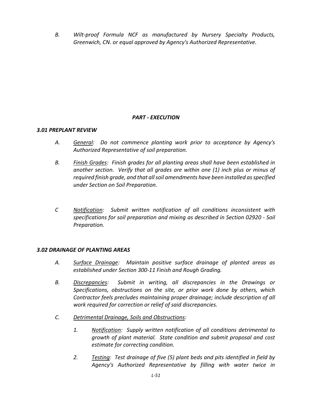*B. Wilt-proof Formula NCF as manufactured by Nursery Specialty Products, Greenwich, CN. or equal approved by Agency's Authorized Representative.*

# *PART - EXECUTION*

# *3.01 PREPLANT REVIEW*

- *A. General: Do not commence planting work prior to acceptance by Agency's Authorized Representative of soil preparation.*
- *B. Finish Grades: Finish grades for all planting areas shall have been established in another section. Verify that all grades are within one (1) inch plus or minus of required finish grade, and that all soil amendments have been installed as specified under Section on Soil Preparation.*
- *C Notification: Submit written notification of all conditions inconsistent with specifications for soil preparation and mixing as described in Section 02920 - Soil Preparation.*

# *3.02 DRAINAGE OF PLANTING AREAS*

- *A. Surface Drainage: Maintain positive surface drainage of planted areas as established under Section 300-11 Finish and Rough Grading.*
- *B. Discrepancies: Submit in writing, all discrepancies in the Drawings or Specifications, obstructions on the site, or prior work done by others, which Contractor feels precludes maintaining proper drainage; include description of all work required for correction or relief of said discrepancies.*
- *C. Detrimental Drainage, Soils and Obstructions:*
	- *1. Notification: Supply written notification of all conditions detrimental to growth of plant material. State condition and submit proposal and cost estimate for correcting condition.*
	- *2. Testing: Test drainage of five (5) plant beds and pits identified in field by Agency's Authorized Representative by filling with water twice in*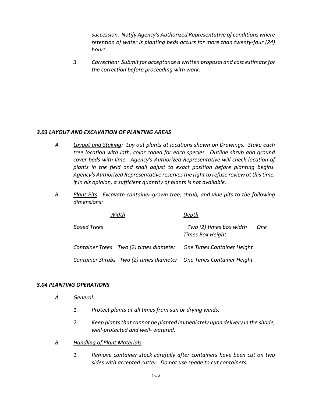*succession. Notify Agency's Authorized Representative of conditions where retention of water is planting beds occurs for more than twenty-four (24) hours.*

*3. Correction: Submit for acceptance a written proposal and cost estimate for the correction before proceeding with work.*

# *3.03 LAYOUT AND EXCAVATION OF PLANTING AREAS*

- *A. Layout and Staking: Lay out plants at locations shown on Drawings. Stake each tree location with lath, color coded for each species. Outline shrub and ground cover beds with lime. Agency's Authorized Representative will check location of plants in the field and shall adjust to exact position before planting begins. Agency's Authorized Representative reserves the right to refuse review at this time, if in his opinion, a sufficient quantity of plants is not available.*
- *B. Plant Pits: Excavate container-grown tree, shrub, and vine pits to the following dimensions:*

| Width                                                               | Depth                                                            |
|---------------------------------------------------------------------|------------------------------------------------------------------|
| Boxed Trees                                                         | Two (2) times box width<br><b>One</b><br><b>Times Box Height</b> |
| Container Trees Two (2) times diameter  One Times Container Height  |                                                                  |
| Container Shrubs Two (2) times diameter  One Times Container Height |                                                                  |

# *3.04 PLANTING OPERATIONS*

- *A. General:*
	- *1. Protect plants at all times from sun or drying winds.*
	- *2. Keep plants that cannot be planted immediately upon delivery in the shade, well-protected and well- watered.*
- *B. Handling of Plant Materials:*
	- *1. Remove container stock carefully after containers have been cut on two sides with accepted cutter. Do not use spade to cut containers.*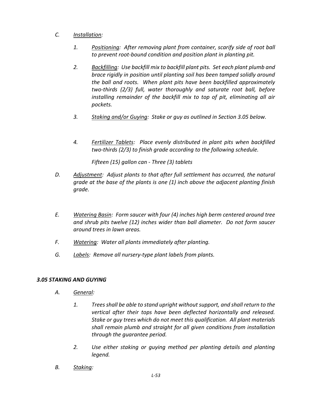- *C. Installation:*
	- *1. Positioning: After removing plant from container, scarify side of root ball to prevent root-bound condition and position plant in planting pit.*
	- *2. Backfilling: Use backfill mix to backfill plant pits. Set each plant plumb and brace rigidly in position until planting soil has been tamped solidly around the ball and roots. When plant pits have been backfilled approximately two-thirds (2/3) full, water thoroughly and saturate root ball, before installing remainder of the backfill mix to top of pit, eliminating all air pockets.*
	- *3. Staking and/or Guying: Stake or guy as outlined in Section 3.05 below.*
	- *4. Fertilizer Tablets: Place evenly distributed in plant pits when backfilled two-thirds (2/3) to finish grade according to the following schedule.*

*Fifteen (15) gallon can - Three (3) tablets*

- *D. Adjustment: Adjust plants to that after full settlement has occurred, the natural grade at the base of the plants is one (1) inch above the adjacent planting finish grade.*
- *E. Watering Basin: Form saucer with four (4) inches high berm centered around tree and shrub pits twelve (12) inches wider than ball diameter. Do not form saucer around trees in lawn areas.*
- *F. Watering: Water all plants immediately after planting.*
- *G. Labels: Remove all nursery-type plant labels from plants.*

# *3.05 STAKING AND GUYING*

- *A. General:*
	- *1. Trees shall be able to stand upright without support, and shall return to the vertical after their tops have been deflected horizontally and released. Stake or guy trees which do not meet this qualification. All plant materials shall remain plumb and straight for all given conditions from installation through the guarantee period.*
	- *2. Use either staking or guying method per planting details and planting legend.*
- *B. Staking:*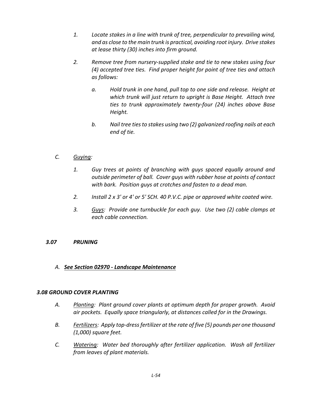- *1. Locate stakes in a line with trunk of tree, perpendicular to prevailing wind, and as close to the main trunk is practical, avoiding root injury. Drive stakes at lease thirty (30) inches into firm ground.*
- *2. Remove tree from nursery-supplied stake and tie to new stakes using four (4) accepted tree ties. Find proper height for point of tree ties and attach as follows:*
	- *a. Hold trunk in one hand, pull top to one side and release. Height at which trunk will just return to upright is Base Height. Attach tree ties to trunk approximately twenty-four (24) inches above Base Height.*
	- *b. Nail tree ties to stakes using two (2) galvanized roofing nails at each end of tie.*

# *C. Guying:*

- *1. Guy trees at points of branching with guys spaced equally around and outside perimeter of ball. Cover guys with rubber hose at points of contact with bark. Position guys at crotches and fasten to a dead man.*
- *2. Install 2 x 3' or 4' or 5' SCH. 40 P.V.C. pipe or approved white coated wire.*
- *3. Guys: Provide one turnbuckle for each guy. Use two (2) cable clamps at each cable connection.*

# *3.07 PRUNING*

# *A. See Section 02970 - Landscape Maintenance*

# *3.08 GROUND COVER PLANTING*

- *A. Planting: Plant ground cover plants at optimum depth for proper growth. Avoid air pockets. Equally space triangularly, at distances called for in the Drawings.*
- *B. Fertilizers: Apply top-dress fertilizer at the rate of five (5) pounds per one thousand (1,000) square feet.*
- *C. Watering: Water bed thoroughly after fertilizer application. Wash all fertilizer from leaves of plant materials.*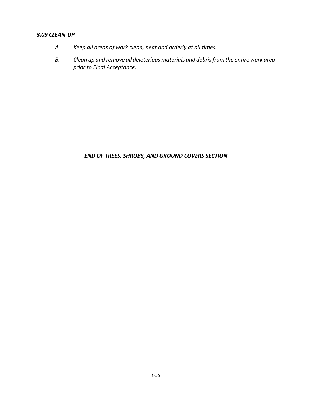# *3.09 CLEAN-UP*

- *A. Keep all areas of work clean, neat and orderly at all times.*
- *B. Clean up and remove all deleterious materials and debris from the entire work area prior to Final Acceptance.*

# *END OF TREES, SHRUBS, AND GROUND COVERS SECTION*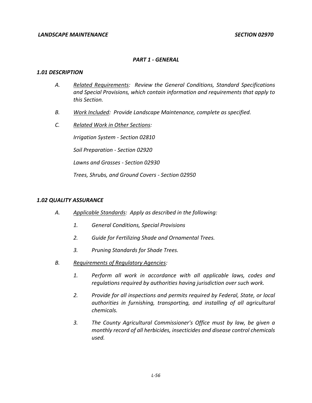### *LANDSCAPE MAINTENANCE SECTION 02970*

#### *PART 1 - GENERAL*

#### *1.01 DESCRIPTION*

- *A. Related Requirements: Review the General Conditions, Standard Specifications and Special Provisions, which contain information and requirements that apply to this Section.*
- *B. Work Included: Provide Landscape Maintenance, complete as specified.*
- *C. Related Work in Other Sections:*

*Irrigation System - Section 02810*

*Soil Preparation - Section 02920*

*Lawns and Grasses - Section 02930*

*Trees, Shrubs, and Ground Covers - Section 02950*

#### *1.02 QUALITY ASSURANCE*

- *A. Applicable Standards: Apply as described in the following:*
	- *1. General Conditions, Special Provisions*
	- *2. Guide for Fertilizing Shade and Ornamental Trees.*
	- *3. Pruning Standards for Shade Trees.*
- *B. Requirements of Regulatory Agencies:*
	- *1. Perform all work in accordance with all applicable laws, codes and regulations required by authorities having jurisdiction over such work.*
	- *2. Provide for all inspections and permits required by Federal, State, or local authorities in furnishing, transporting, and installing of all agricultural chemicals.*
	- *3. The County Agricultural Commissioner's Office must by law, be given a monthly record of all herbicides, insecticides and disease control chemicals used.*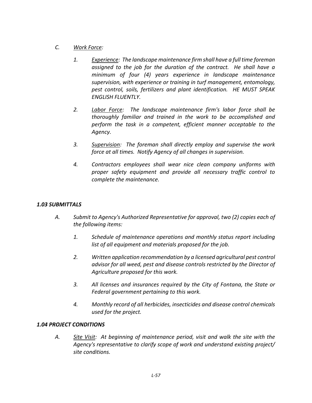- *C. Work Force:*
	- *1. Experience: The landscape maintenance firm shall have a full time foreman assigned to the job for the duration of the contract. He shall have a minimum of four (4) years experience in landscape maintenance supervision, with experience or training in turf management, entomology, pest control, soils, fertilizers and plant identification. HE MUST SPEAK ENGLISH FLUENTLY.*
	- *2. Labor Force: The landscape maintenance firm's labor force shall be thoroughly familiar and trained in the work to be accomplished and perform the task in a competent, efficient manner acceptable to the Agency.*
	- *3. Supervision: The foreman shall directly employ and supervise the work force at all times. Notify Agency of all changes in supervision.*
	- *4. Contractors employees shall wear nice clean company uniforms with proper safety equipment and provide all necessary traffic control to complete the maintenance.*

# *1.03 SUBMITTALS*

- *A. Submit to Agency's Authorized Representative for approval, two (2) copies each of the following items:*
	- *1. Schedule of maintenance operations and monthly status report including list of all equipment and materials proposed for the job.*
	- *2. Written application recommendation by a licensed agricultural pest control advisor for all weed, pest and disease controls restricted by the Director of Agriculture proposed for this work.*
	- *3. All licenses and insurances required by the City of Fontana, the State or Federal government pertaining to this work.*
	- *4. Monthly record of all herbicides, insecticides and disease control chemicals used for the project.*

# *1.04 PROJECT CONDITIONS*

*A. Site Visit: At beginning of maintenance period, visit and walk the site with the Agency's representative to clarify scope of work and understand existing project/ site conditions.*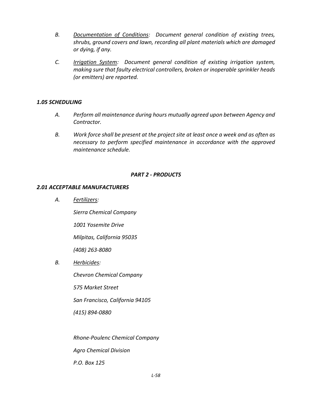- *B. Documentation of Conditions: Document general condition of existing trees, shrubs, ground covers and lawn, recording all plant materials which are damaged or dying, if any.*
- *C. Irrigation System: Document general condition of existing irrigation system, making sure that faulty electrical controllers, broken or inoperable sprinkler heads (or emitters) are reported.*

# *1.05 SCHEDULING*

- *A. Perform all maintenance during hours mutually agreed upon between Agency and Contractor.*
- *B. Work force shall be present at the project site at least once a week and as often as necessary to perform specified maintenance in accordance with the approved maintenance schedule.*

# *PART 2 - PRODUCTS*

# *2.01 ACCEPTABLE MANUFACTURERS*

*A. Fertilizers:*

*Sierra Chemical Company*

*1001 Yosemite Drive*

*Milpitas, California 95035*

*(408) 263-8080*

*B. Herbicides:*

*Chevron Chemical Company*

*575 Market Street*

*San Francisco, California 94105*

*(415) 894-0880*

*Rhone-Poulenc Chemical Company Agro Chemical Division P.O. Box 125*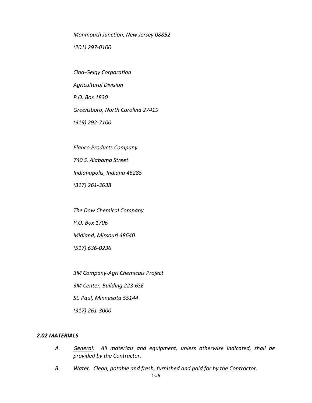*Monmouth Junction, New Jersey 08852 (201) 297-0100*

*Ciba-Geigy Corporation Agricultural Division P.O. Box 1830 Greensboro, North Carolina 27419 (919) 292-7100*

*Elanco Products Company 740 S. Alabama Street Indianapolis, Indiana 46285 (317) 261-3638*

*The Dow Chemical Company P.O. Box 1706 Midland, Missouri 48640 (517) 636-0236*

*3M Company-Agri Chemicals Project 3M Center, Building 223-6SE St. Paul, Minnesota 55144 (317) 261-3000*

### *2.02 MATERIALS*

- *A. General: All materials and equipment, unless otherwise indicated, shall be provided by the Contractor.*
- *B. Water: Clean, potable and fresh, furnished and paid for by the Contractor.*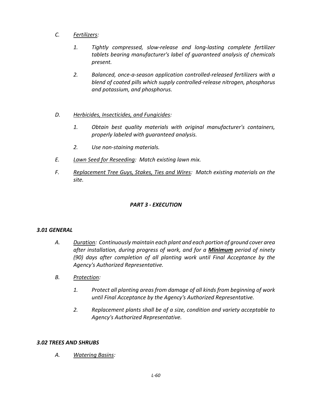- *C. Fertilizers:*
	- *1. Tightly compressed, slow-release and long-lasting complete fertilizer tablets bearing manufacturer's label of guaranteed analysis of chemicals present.*
	- *2. Balanced, once-a-season application controlled-released fertilizers with a blend of coated pills which supply controlled-release nitrogen, phosphorus and potassium, and phosphorus.*

# *D. Herbicides, Insecticides, and Fungicides:*

- *1. Obtain best quality materials with original manufacturer's containers, properly labeled with guaranteed analysis.*
- *2. Use non-staining materials.*
- *E. Lawn Seed for Reseeding: Match existing lawn mix.*
- *F. Replacement Tree Guys, Stakes, Ties and Wires: Match existing materials on the site.*

# *PART 3 - EXECUTION*

# *3.01 GENERAL*

- *A. Duration: Continuously maintain each plant and each portion of ground cover area after installation, during progress of work, and for a Minimum period of ninety (90) days after completion of all planting work until Final Acceptance by the Agency's Authorized Representative.*
- *B. Protection:*
	- *1. Protect all planting areas from damage of all kinds from beginning of work until Final Acceptance by the Agency's Authorized Representative.*
	- *2. Replacement plants shall be of a size, condition and variety acceptable to Agency's Authorized Representative.*

# *3.02 TREES AND SHRUBS*

*A. Watering Basins:*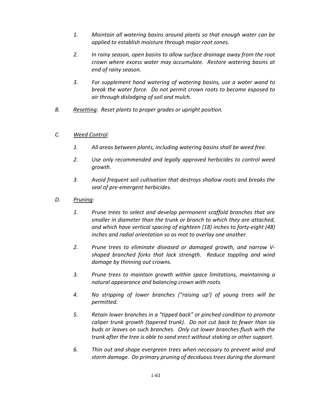- *1. Maintain all watering basins around plants so that enough water can be applied to establish moisture through major root zones.*
- *2. In rainy season, open basins to allow surface drainage away from the root crown where excess water may accumulate. Restore watering basins at end of rainy season.*
- *3. For supplement hand watering of watering basins, use a water wand to break the water force. Do not permit crown roots to become exposed to air through dislodging of soil and mulch.*
- *B. Resetting: Reset plants to proper grades or upright position.*

# *C. Weed Control:*

- *1. All areas between plants, including watering basins shall be weed free.*
- *2. Use only recommended and legally approved herbicides to control weed growth.*
- *3. Avoid frequent soil cultivation that destroys shallow roots and breaks the seal of pre-emergent herbicides.*
- *D. Pruning:*
	- *1. Prune trees to select and develop permanent scaffold branches that are smaller in diameter than the trunk or branch to which they are attached, and which have vertical spacing of eighteen (18) inches to forty-eight (48) inches and radial orientation so as mot to overlay one another.*
	- *2. Prune trees to eliminate diseased or damaged growth, and narrow Vshaped branched forks that lack strength. Reduce toppling and wind damage by thinning out crowns.*
	- *3. Prune trees to maintain growth within space limitations, maintaining a natural appearance and balancing crown with roots.*
	- *4. No stripping of lower branches ("raising up') of young trees will be permitted.*
	- *5. Retain lower branches in a "tipped back" or pinched condition to promote caliper trunk growth (tapered trunk). Do not cut back to fewer than six buds or leaves on such branches. Only cut lower branches flush with the trunk after the tree is able to sand erect without staking or other support.*
	- *6. Thin out and shape evergreen trees when necessary to prevent wind and storm damage. Do primary pruning of deciduous trees during the dormant*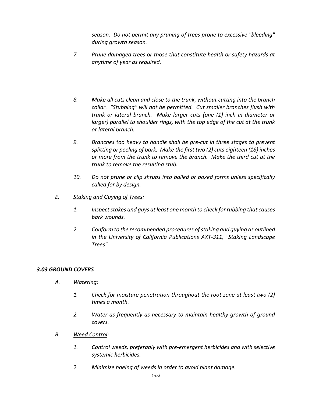*season. Do not permit any pruning of trees prone to excessive "bleeding" during growth season.*

- *7. Prune damaged trees or those that constitute health or safety hazards at anytime of year as required.*
- *8. Make all cuts clean and close to the trunk, without cutting into the branch collar. "Stubbing" will not be permitted. Cut smaller branches flush with trunk or lateral branch. Make larger cuts (one (1) inch in diameter or larger) parallel to shoulder rings, with the top edge of the cut at the trunk or lateral branch.*
- *9. Branches too heavy to handle shall be pre-cut in three stages to prevent splitting or peeling of bark. Make the first two (2) cuts eighteen (18) inches or more from the trunk to remove the branch. Make the third cut at the trunk to remove the resulting stub.*
- *10. Do not prune or clip shrubs into balled or boxed forms unless specifically called for by design.*
- *E. Staking and Guying of Trees:*
	- *1. Inspect stakes and guys at least one month to check for rubbing that causes bark wounds.*
	- *2. Conform to the recommended procedures of staking and guying as outlined in the University of California Publications AXT-311, "Staking Landscape Trees".*

# *3.03 GROUND COVERS*

- *A. Watering:*
	- *1. Check for moisture penetration throughout the root zone at least two (2) times a month.*
	- *2. Water as frequently as necessary to maintain healthy growth of ground covers.*
- *B. Weed Control:*
	- *1. Control weeds, preferably with pre-emergent herbicides and with selective systemic herbicides.*
	- *2. Minimize hoeing of weeds in order to avoid plant damage.*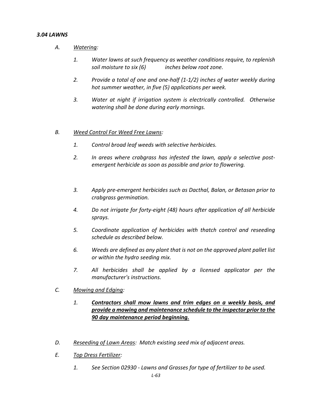# *3.04 LAWNS*

- *A. Watering:*
	- *1. Water lawns at such frequency as weather conditions require, to replenish soil moisture to six (6) inches below root zone.*
	- *2. Provide a total of one and one-half (1-1/2) inches of water weekly during hot summer weather, in five (5) applications per week.*
	- *3. Water at night if irrigation system is electrically controlled. Otherwise watering shall be done during early mornings.*

# *B. Weed Control For Weed Free Lawns:*

- *1. Control broad leaf weeds with selective herbicides.*
- *2. In areas where crabgrass has infested the lawn, apply a selective postemergent herbicide as soon as possible and prior to flowering.*
- *3. Apply pre-emergent herbicides such as Dacthal, Balan, or Betasan prior to crabgrass germination.*
- *4. Do not irrigate for forty-eight (48) hours after application of all herbicide sprays.*
- *5. Coordinate application of herbicides with thatch control and reseeding schedule as described below.*
- *6. Weeds are defined as any plant that is not on the approved plant pallet list or within the hydro seeding mix.*
- *7. All herbicides shall be applied by a licensed applicator per the manufacturer's instructions.*
- *C. Mowing and Edging:*
	- *1. Contractors shall mow lawns and trim edges on a weekly basis, and provide a mowing and maintenance schedule to the inspector prior to the 90 day maintenance period beginning.*
- *D. Reseeding of Lawn Areas: Match existing seed mix of adjacent areas.*
- *E. Top Dress Fertilizer:* 
	- *1. See Section 02930 - Lawns and Grasses for type of fertilizer to be used.*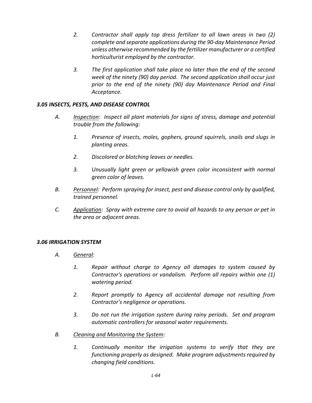- *2. Contractor shall apply top dress fertilizer to all lawn areas in two (2) complete and separate applications during the 90-day Maintenance Period unless otherwise recommended by the fertilizer manufacturer or a certified horticulturist employed by the contractor.*
- *3. The first application shall take place no later than the end of the second week of the ninety (90) day period. The second application shall occur just prior to the end of the ninety (90) day Maintenance Period and Final Acceptance.*

# *3.05 INSECTS, PESTS, AND DISEASE CONTROL*

- *A. Inspection: Inspect all plant materials for signs of stress, damage and potential trouble from the following:*
	- *1. Presence of insects, moles, gophers, ground squirrels, snails and slugs in planting areas.*
	- *2. Discolored or blotching leaves or needles.*
	- *3. Unusually light green or yellowish green color inconsistent with normal green color of leaves.*
- *B. Personnel: Perform spraying for insect, pest and disease control only by qualified, trained personnel.*
- *C. Application: Spray with extreme care to avoid all hazards to any person or pet in the area or adjacent areas.*

# *3.06 IRRIGATION SYSTEM*

- *A. General:*
	- *1. Repair without charge to Agency all damages to system caused by Contractor's operations or vandalism. Perform all repairs within one (1) watering period.*
	- *2. Report promptly to Agency all accidental damage not resulting from Contractor's negligence or operations.*
	- *3. Do not run the irrigation system during rainy periods. Set and program automatic controllers for seasonal water requirements.*
- *B. Cleaning and Monitoring the System:*
	- *1. Continually monitor the irrigation systems to verify that they are functioning properly as designed. Make program adjustments required by changing field conditions.*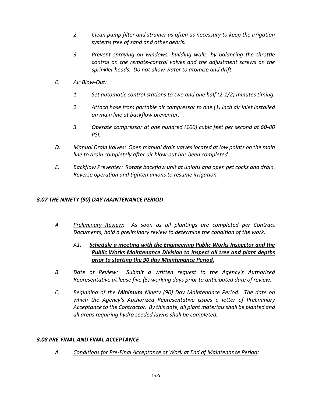- *2. Clean pump filter and strainer as often as necessary to keep the irrigation systems free of sand and other debris.*
- *3. Prevent spraying on windows, building walls, by balancing the throttle control on the remote-control valves and the adjustment screws on the sprinkler heads. Do not allow water to atomize and drift.*
- *C. Air Blow-Out:*
	- *1. Set automatic control stations to two and one half (2-1/2) minutes timing.*
	- *2. Attach hose from portable air compressor to one (1) inch air inlet installed on main line at backflow preventer.*
	- *3. Operate compressor at one hundred (100) cubic feet per second at 60-80 PSI.*
- *D. Manual Drain Valves: Open manual drain valves located at low points on the main line to drain completely after air blow-out has been completed.*
- *E. Backflow Preventer: Rotate backflow unit at unions and open pet cocks and drain. Reverse operation and tighten unions to resume irrigation.*

### *3.07 THE NINETY (90) DAY MAINTENANCE PERIOD*

- *A. Preliminary Review: As soon as all plantings are completed per Contract Documents, hold a preliminary review to determine the condition of the work.*
	- *A1. Schedule a meeting with the Engineering Public Works Inspector and the Public Works Maintenance Division to inspect all tree and plant depths prior to starting the 90 day Maintenance Period.*
- *B. Date of Review: Submit a written request to the Agency's Authorized Representative at lease five (5) working days prior to anticipated date of review.*
- *C. Beginning of the Minimum Ninety (90) Day Maintenance Period: The date on which the Agency's Authorized Representative issues a letter of Preliminary Acceptance to the Contractor. By this date, all plant materials shall be planted and all areas requiring hydro seeded lawns shall be completed.*

# *3.08 PRE-FINAL AND FINAL ACCEPTANCE*

*A. Conditions for Pre-Final Acceptance of Work at End of Maintenance Period:*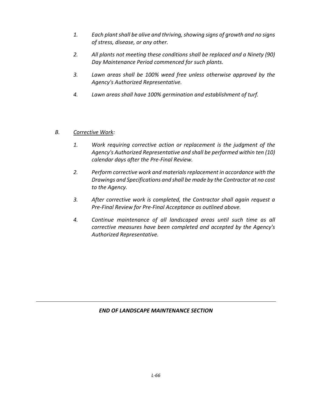- *1. Each plant shall be alive and thriving, showing signs of growth and no signs of stress, disease, or any other.*
- *2. All plants not meeting these conditions shall be replaced and a Ninety (90) Day Maintenance Period commenced for such plants.*
- *3. Lawn areas shall be 100% weed free unless otherwise approved by the Agency's Authorized Representative.*
- *4. Lawn areas shall have 100% germination and establishment of turf.*

# *B. Corrective Work:*

- *1. Work requiring corrective action or replacement is the judgment of the Agency's Authorized Representative and shall be performed within ten (10) calendar days after the Pre-Final Review.*
- *2. Perform corrective work and materials replacement in accordance with the Drawings and Specifications and shall be made by the Contractor at no cost to the Agency.*
- *3. After corrective work is completed, the Contractor shall again request a Pre-Final Review for Pre-Final Acceptance as outlined above.*
- *4. Continue maintenance of all landscaped areas until such time as all corrective measures have been completed and accepted by the Agency's Authorized Representative.*

# *END OF LANDSCAPE MAINTENANCE SECTION*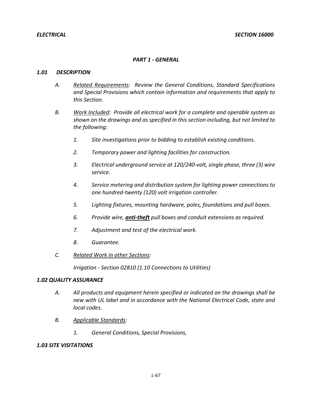# *PART 1 - GENERAL*

### *1.01 DESCRIPTION*

- *A. Related Requirements: Review the General Conditions, Standard Specifications and Special Provisions which contain information and requirements that apply to this Section.*
- *B. Work Included: Provide all electrical work for a complete and operable system as shown on the drawings and as specified in this section including, but not limited to the following:*
	- *1. Site investigations prior to bidding to establish existing conditions.*
	- *2. Temporary power and lighting facilities for construction.*
	- *3. Electrical underground service at 120/240-volt, single phase, three (3) wire service.*
	- *4. Service metering and distribution system for lighting power connections to one hundred-twenty (120) volt irrigation controller.*
	- *5. Lighting fixtures, mounting hardware, poles, foundations and pull boxes.*
	- *6. Provide wire, anti-theft pull boxes and conduit extensions as required.*
	- *7. Adjustment and test of the electrical work.*
	- *8. Guarantee.*
- *C. Related Work in other Sections:*

*Irrigation - Section 02810 (1.10 Connections to Utilities)*

# *1.02 QUALITY ASSURANCE*

- *A. All products and equipment herein specified or indicated on the drawings shall be new with UL label and in accordance with the National Electrical Code, state and local codes.*
- *B. Applicable Standards:*
	- *1. General Conditions, Special Provisions,*

### *1.03 SITE VISITATIONS*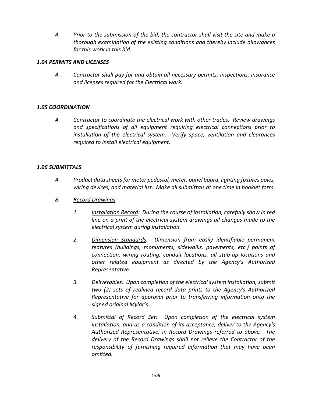*A. Prior to the submission of the bid, the contractor shall visit the site and make a thorough examination of the existing conditions and thereby include allowances for this work in this bid.*

# *1.04 PERMITS AND LICENSES*

*A. Contractor shall pay for and obtain all necessary permits, inspections, insurance and licenses required for the Electrical work.*

# *1.05 COORDINATION*

*A. Contractor to coordinate the electrical work with other trades. Review drawings and specifications of all equipment requiring electrical connections prior to installation of the electrical system. Verify space, ventilation and clearances required to install electrical equipment.*

# *1.06 SUBMITTALS*

- *A. Product data sheets for meter pedestal, meter, panel board, lighting fixtures poles, wiring devices, and material list. Make all submittals at one time in booklet form.*
- *B. Record Drawings:*
	- *1. Installation Record: During the course of installation, carefully show in red line on a print of the electrical system drawings all changes made to the electrical system during installation.*
	- *2. Dimension Standards: Dimension from easily identifiable permanent features (buildings, monuments, sidewalks, pavements, etc.) points of connection, wiring routing, conduit locations, all stub-up locations and other related equipment as directed by the Agency's Authorized Representative.*
	- *3. Deliverables: Upon completion of the electrical system installation, submit two (2) sets of redlined record data prints to the Agency's Authorized Representative for approval prior to transferring information onto the signed original Mylar's.*
	- *4. Submittal of Record Set: Upon completion of the electrical system installation, and as a condition of its acceptance, deliver to the Agency's Authorized Representative, in Record Drawings referred to above. The delivery of the Record Drawings shall not relieve the Contractor of the responsibility of furnishing required information that may have been omitted.*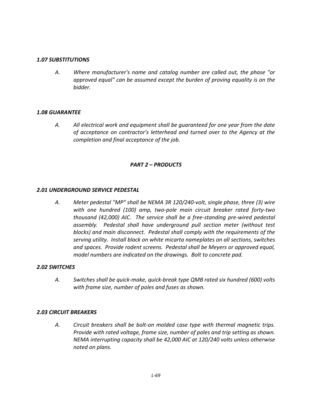# *1.07 SUBSTITUTIONS*

*A. Where manufacturer's name and catalog number are called out, the phase "or approved equal" can be assumed except the burden of proving equality is on the bidder.*

# *1.08 GUARANTEE*

*A. All electrical work and equipment shall be guaranteed for one year from the date of acceptance on contractor's letterhead and turned over to the Agency at the completion and final acceptance of the job.*

# *PART 2 – PRODUCTS*

# *2.01 UNDERGROUND SERVICE PEDESTAL*

*A. Meter pedestal "MP" shall be NEMA 3R 120/240-volt, single phase, three (3) wire with one hundred (100) amp, two-pole main circuit breaker rated forty-two thousand (42,000) AIC. The service shall be a free-standing pre-wired pedestal assembly. Pedestal shall have underground pull section meter (without test blocks) and main disconnect. Pedestal shall comply with the requirements of the serving utility. Install black on white micarta nameplates on all sections, switches and spaces. Provide rodent screens. Pedestal shall be Meyers or approved equal, model numbers are indicated on the drawings. Bolt to concrete pad.*

# *2.02 SWITCHES*

*A. Switches shall be quick-make, quick-break type QMB rated six hundred (600) volts with frame size, number of poles and fuses as shown.*

# *2.03 CIRCUIT BREAKERS*

*A. Circuit breakers shall be bolt-on molded case type with thermal magnetic trips. Provide with rated voltage, frame size, number of poles and trip setting as shown. NEMA interrupting capacity shall be 42,000 AIC at 120/240 volts unless otherwise noted on plans.*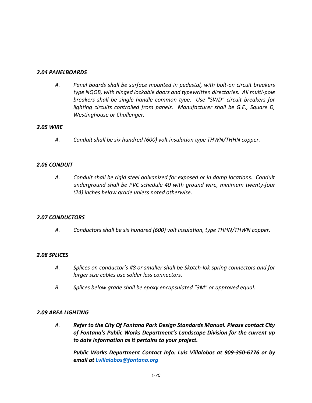### *2.04 PANELBOARDS*

*A. Panel boards shall be surface mounted in pedestal, with bolt-on circuit breakers type NQOB, with hinged lockable doors and typewritten directories. All multi-pole breakers shall be single handle common type. Use "SWD" circuit breakers for lighting circuits controlled from panels. Manufacturer shall be G.E., Square D, Westinghouse or Challenger.*

### *2.05 WIRE*

*A. Conduit shall be six hundred (600) volt insulation type THWN/THHN copper.*

# *2.06 CONDUIT*

*A. Conduit shall be rigid steel galvanized for exposed or in damp locations. Conduit underground shall be PVC schedule 40 with ground wire, minimum twenty-four (24) inches below grade unless noted otherwise.*

### *2.07 CONDUCTORS*

*A. Conductors shall be six hundred (600) volt insulation, type THHN/THWN copper.*

# *2.08 SPLICES*

- *A. Splices on conductor's #8 or smaller shall be Skotch-lok spring connectors and for larger size cables use solder less connectors.*
- *B. Splices below grade shall be epoxy encapsulated "3M" or approved equal.*

# *2.09 AREA LIGHTING*

*A. Refer to the City Of Fontana Park Design Standards Manual. Please contact City of Fontana's Public Works Department's Landscape Division for the current up to date information as it pertains to your project.*

*Public Works Department Contact Info: Luis Villalobos at 909-350-6776 or by email at [Lvillalobos@fontana.org](mailto:Lvillalobos@fontana.org)*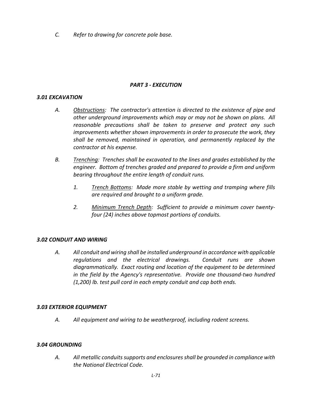*C. Refer to drawing for concrete pole base.*

# *PART 3 - EXECUTION*

### *3.01 EXCAVATION*

- *A. Obstructions: The contractor's attention is directed to the existence of pipe and other underground improvements which may or may not be shown on plans. All reasonable precautions shall be taken to preserve and protect any such improvements whether shown improvements in order to prosecute the work, they shall be removed, maintained in operation, and permanently replaced by the contractor at his expense.*
- *B. Trenching: Trenches shall be excavated to the lines and grades established by the engineer. Bottom of trenches graded and prepared to provide a firm and uniform bearing throughout the entire length of conduit runs.*
	- *1. Trench Bottoms: Made more stable by wetting and tramping where fills are required and brought to a uniform grade.*
	- *2. Minimum Trench Depth: Sufficient to provide a minimum cover twentyfour (24) inches above topmost portions of conduits.*

# *3.02 CONDUIT AND WIRING*

*A. All conduit and wiring shall be installed underground in accordance with applicable regulations and the electrical drawings. Conduit runs are shown diagrammatically. Exact routing and location of the equipment to be determined in the field by the Agency's representative. Provide one thousand-two hundred (1,200) lb. test pull cord in each empty conduit and cap both ends.*

# *3.03 EXTERIOR EQUIPMENT*

*A. All equipment and wiring to be weatherproof, including rodent screens.*

# *3.04 GROUNDING*

*A. All metallic conduitssupports and enclosures shall be grounded in compliance with the National Electrical Code.*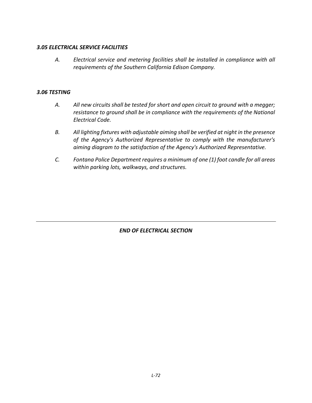# *3.05 ELECTRICAL SERVICE FACILITIES*

*A. Electrical service and metering facilities shall be installed in compliance with all requirements of the Southern California Edison Company.*

# *3.06 TESTING*

- *A. All new circuits shall be tested for short and open circuit to ground with a megger; resistance to ground shall be in compliance with the requirements of the National Electrical Code.*
- *B. All lighting fixtures with adjustable aiming shall be verified at night in the presence of the Agency's Authorized Representative to comply with the manufacturer's aiming diagram to the satisfaction of the Agency's Authorized Representative.*
- *C. Fontana Police Department requires a minimum of one (1) foot candle for all areas within parking lots, walkways, and structures.*

# *END OF ELECTRICAL SECTION*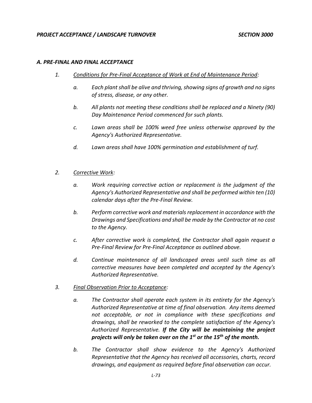#### *A. PRE-FINAL AND FINAL ACCEPTANCE*

- *1. Conditions for Pre-Final Acceptance of Work at End of Maintenance Period:*
	- *a. Each plant shall be alive and thriving, showing signs of growth and no signs of stress, disease, or any other.*
	- *b. All plants not meeting these conditions shall be replaced and a Ninety (90) Day Maintenance Period commenced for such plants.*
	- *c. Lawn areas shall be 100% weed free unless otherwise approved by the Agency's Authorized Representative.*
	- *d. Lawn areas shall have 100% germination and establishment of turf.*

#### *2. Corrective Work:*

- *a. Work requiring corrective action or replacement is the judgment of the Agency's Authorized Representative and shall be performed within ten (10) calendar days after the Pre-Final Review.*
- *b. Perform corrective work and materials replacement in accordance with the Drawings and Specifications and shall be made by the Contractor at no cost to the Agency.*
- *c. After corrective work is completed, the Contractor shall again request a Pre-Final Review for Pre-Final Acceptance as outlined above.*
- *d. Continue maintenance of all landscaped areas until such time as all corrective measures have been completed and accepted by the Agency's Authorized Representative.*
- *3. Final Observation Prior to Acceptance:*
	- *a. The Contractor shall operate each system in its entirety for the Agency's Authorized Representative at time of final observation. Any items deemed not acceptable, or not in compliance with these specifications and drawings, shall be reworked to the complete satisfaction of the Agency's Authorized Representative. If the City will be maintaining the project projects will only be taken over on the 1<sup>st</sup> or the 15<sup>th</sup> of the month.*
	- *b. The Contractor shall show evidence to the Agency's Authorized Representative that the Agency has received all accessories, charts, record drawings, and equipment as required before final observation can occur.*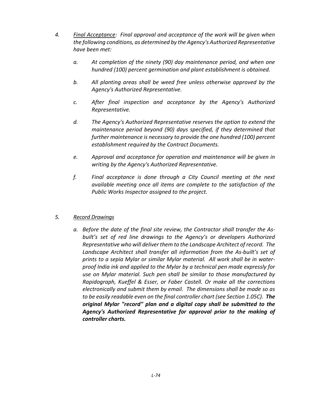- *4. Final Acceptance: Final approval and acceptance of the work will be given when the following conditions, as determined by the Agency's Authorized Representative have been met:*
	- *a. At completion of the ninety (90) day maintenance period, and when one hundred (100) percent germination and plant establishment is obtained.*
	- *b. All planting areas shall be weed free unless otherwise approved by the Agency's Authorized Representative.*
	- *c. After final inspection and acceptance by the Agency's Authorized Representative.*
	- *d. The Agency's Authorized Representative reserves the option to extend the maintenance period beyond (90) days specified, if they determined that further maintenance is necessary to provide the one hundred (100) percent establishment required by the Contract Documents.*
	- *e. Approval and acceptance for operation and maintenance will be given in writing by the Agency's Authorized Representative.*
	- *f. Final acceptance is done through a City Council meeting at the next available meeting once all items are complete to the satisfaction of the Public Works Inspector assigned to the project.*

## *5. Record Drawings*

*a. Before the date of the final site review, the Contractor shall transfer the Asbuilt's set of red line drawings to the Agency's or developers Authorized Representative who will deliver them to the Landscape Architect of record. The Landscape Architect shall transfer all information from the As-built's set of prints to a sepia Mylar or similar Mylar material. All work shall be in waterproof India ink and applied to the Mylar by a technical pen made expressly for use on Mylar material. Such pen shall be similar to those manufactured by Rapidograph, Kueffel & Esser, or Faber Castell. Or make all the corrections electronically and submit them by email. The dimensions shall be made so as to be easily readable even on the final controller chart (see Section 1.05C). The original Mylar "record" plan and a digital copy shall be submitted to the Agency's Authorized Representative for approval prior to the making of controller charts.*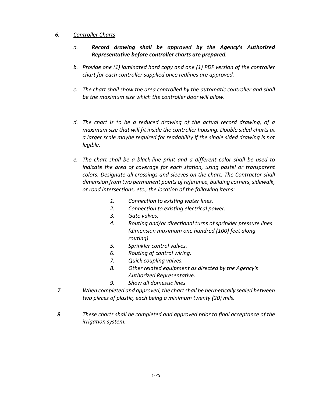### *6. Controller Charts*

## *a. Record drawing shall be approved by the Agency's Authorized Representative before controller charts are prepared.*

- *b. Provide one (1) laminated hard copy and one (1) PDF version of the controller chart for each controller supplied once redlines are approved.*
- *c. The chart shall show the area controlled by the automatic controller and shall be the maximum size which the controller door will allow.*
- *d. The chart is to be a reduced drawing of the actual record drawing, of a maximum size that will fit inside the controller housing. Double sided charts at a larger scale maybe required for readability if the single sided drawing is not legible.*
- *e. The chart shall be a black-line print and a different color shall be used to indicate the area of coverage for each station, using pastel or transparent colors. Designate all crossings and sleeves on the chart. The Contractor shall dimension from two permanent points of reference, building corners, sidewalk, or road intersections, etc., the location of the following items:*
	- *1. Connection to existing water lines.*
	- *2. Connection to existing electrical power.*
	- *3. Gate valves.*
	- *4. Routing and/or directional turns of sprinkler pressure lines (dimension maximum one hundred (100) feet along routing).*
	- *5. Sprinkler control valves.*
	- *6. Routing of control wiring.*
	- *7. Quick coupling valves.*
	- *8. Other related equipment as directed by the Agency's Authorized Representative.*
	- *9. Show all domestic lines*
- *7. When completed and approved, the chart shall be hermetically sealed between two pieces of plastic, each being a minimum twenty (20) mils.*
- *8. These charts shall be completed and approved prior to final acceptance of the irrigation system.*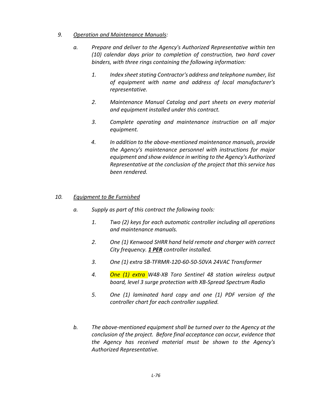### *9. Operation and Maintenance Manuals:*

- *a. Prepare and deliver to the Agency's Authorized Representative within ten (10) calendar days prior to completion of construction, two hard cover binders, with three rings containing the following information:*
	- *1. Index sheet stating Contractor's address and telephone number, list of equipment with name and address of local manufacturer's representative.*
	- *2. Maintenance Manual Catalog and part sheets on every material and equipment installed under this contract.*
	- *3. Complete operating and maintenance instruction on all major equipment.*
	- *4. In addition to the above-mentioned maintenance manuals, provide the Agency's maintenance personnel with instructions for major equipment and show evidence in writing to the Agency's Authorized Representative at the conclusion of the project that this service has been rendered.*

### *10. Equipment to Be Furnished*

- *a. Supply as part of this contract the following tools:*
	- *1. Two (2) keys for each automatic controller including all operations and maintenance manuals.*
	- *2. One (1) Kenwood SHRR hand held remote and charger with correct City frequency. 1 PER controller installed.*
	- *3. One (1) extra SB-TFRMR-120-60-50-50VA 24VAC Transformer*
	- *4. One (1) extra W48-XB Toro Sentinel 48 station wireless output board, level 3 surge protection with XB-Spread Spectrum Radio*
	- *5. One (1) laminated hard copy and one (1) PDF version of the controller chart for each controller supplied.*
- *b. The above-mentioned equipment shall be turned over to the Agency at the conclusion of the project. Before final acceptance can occur, evidence that the Agency has received material must be shown to the Agency's Authorized Representative.*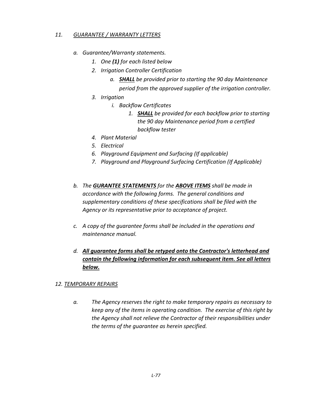### *11. GUARANTEE / WARRANTY LETTERS*

- *a. Guarantee/Warranty statements.* 
	- *1. One (1) for each listed below*
	- *2. Irrigation Controller Certification*
		- *a. SHALL be provided prior to starting the 90 day Maintenance period from the approved supplier of the irrigation controller.*
	- *3. Irrigation* 
		- *i. Backflow Certificates*
			- *1. SHALL be provided for each backflow prior to starting the 90 day Maintenance period from a certified backflow tester*
	- *4. Plant Material*
	- *5. Electrical*
	- *6. Playground Equipment and Surfacing (If applicable)*
	- *7. Playground and Playground Surfacing Certification (If Applicable)*
- *b. The GURANTEE STATEMENTS for the ABOVE ITEMS shall be made in accordance with the following forms. The general conditions and supplementary conditions of these specifications shall be filed with the Agency or its representative prior to acceptance of project.*
- *c. A copy of the guarantee forms shall be included in the operations and maintenance manual.*
- *d. All guarantee forms shall be retyped onto the Contractor's letterhead and contain the following information for each subsequent item. See all letters below.*

## *12. TEMPORARY REPAIRS*

*a. The Agency reserves the right to make temporary repairs as necessary to keep any of the items in operating condition. The exercise of this right by the Agency shall not relieve the Contractor of their responsibilities under the terms of the guarantee as herein specified.*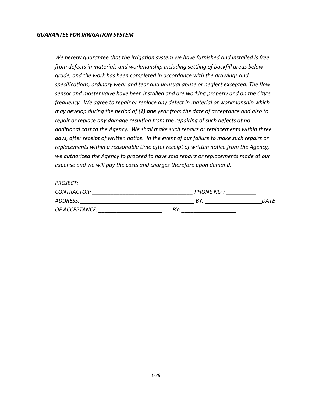#### *GUARANTEE FOR IRRIGATION SYSTEM*

*We hereby guarantee that the irrigation system we have furnished and installed is free from defects in materials and workmanship including settling of backfill areas below grade, and the work has been completed in accordance with the drawings and specifications, ordinary wear and tear and unusual abuse or neglect excepted. The flow sensor and master valve have been installed and are working properly and on the City's frequency. We agree to repair or replace any defect in material or workmanship which may develop during the period of (1) one year from the date of acceptance and also to repair or replace any damage resulting from the repairing of such defects at no additional cost to the Agency. We shall make such repairs or replacements within three days, after receipt of written notice. In the event of our failure to make such repairs or replacements within a reasonable time after receipt of written notice from the Agency, we authorized the Agency to proceed to have said repairs or replacements made at our expense and we will pay the costs and charges therefore upon demand.*

*PROJECT:* 

| CONTRACTOR:    |     | <b>PHONE NO.:</b> |      |
|----------------|-----|-------------------|------|
| ADDRESS:       |     | BY:               | DATE |
| OF ACCEPTANCE: | RY. |                   |      |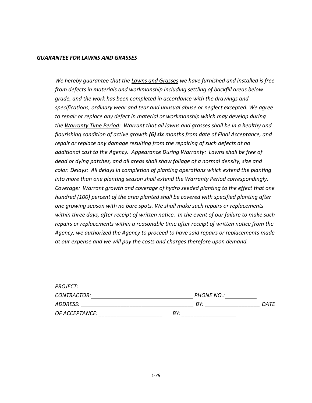#### *GUARANTEE FOR LAWNS AND GRASSES*

*We hereby guarantee that the Lawns and Grasses we have furnished and installed is free from defects in materials and workmanship including settling of backfill areas below grade, and the work has been completed in accordance with the drawings and specifications, ordinary wear and tear and unusual abuse or neglect excepted. We agree*  to repair or replace any defect in material or workmanship which may develop during *the Warranty Time Period: Warrant that all lawns and grasses shall be in a healthy and flourishing condition of active growth (6) six months from date of Final Acceptance, and repair or replace any damage resulting from the repairing of such defects at no additional cost to the Agency. Appearance During Warranty: Lawns shall be free of dead or dying patches, and all areas shall show foliage of a normal density, size and color. Delays: All delays in completion of planting operations which extend the planting into more than one planting season shall extend the Warranty Period correspondingly. Coverage: Warrant growth and coverage of hydro seeded planting to the effect that one hundred (100) percent of the area planted shall be covered with specified planting after one growing season with no bare spots. We shall make such repairs or replacements within three days, after receipt of written notice. In the event of our failure to make such repairs or replacements within a reasonable time after receipt of written notice from the Agency, we authorized the Agency to proceed to have said repairs or replacements made at our expense and we will pay the costs and charges therefore upon demand.*

| <i>PROJECT:</i>    |                   |      |
|--------------------|-------------------|------|
| <i>CONTRACTOR:</i> | <b>PHONE NO.:</b> |      |
| ADDRESS:           | BY:               | DATE |
| OF ACCEPTANCE:     | BY:               |      |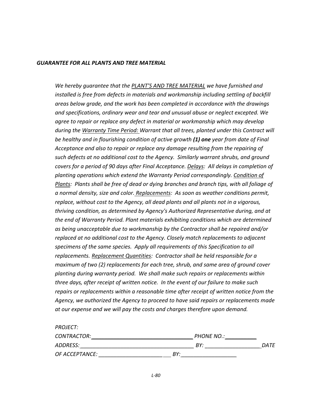#### *GUARANTEE FOR ALL PLANTS AND TREE MATERIAL*

*We hereby guarantee that the PLANT'S AND TREE MATERIAL we have furnished and installed is free from defects in materials and workmanship including settling of backfill areas below grade, and the work has been completed in accordance with the drawings and specifications, ordinary wear and tear and unusual abuse or neglect excepted. We agree to repair or replace any defect in material or workmanship which may develop during the Warranty Time Period: Warrant that all trees, planted under this Contract will be healthy and in flourishing condition of active growth (1) one year from date of Final Acceptance and also to repair or replace any damage resulting from the repairing of such defects at no additional cost to the Agency. Similarly warrant shrubs, and ground covers for a period of 90 days after Final Acceptance. Delays: All delays in completion of planting operations which extend the Warranty Period correspondingly. Condition of Plants: Plants shall be free of dead or dying branches and branch tips, with all foliage of a normal density, size and color. Replacements: As soon as weather conditions permit, replace, without cost to the Agency, all dead plants and all plants not in a vigorous, thriving condition, as determined by Agency's Authorized Representative during, and at the end of Warranty Period. Plant materials exhibiting conditions which are determined as being unacceptable due to workmanship by the Contractor shall be repaired and/or replaced at no additional cost to the Agency. Closely match replacements to adjacent specimens of the same species. Apply all requirements of this Specification to all replacements. Replacement Quantities: Contractor shall be held responsible for a maximum of two (2) replacements for each tree, shrub, and same area of ground cover planting during warranty period. We shall make such repairs or replacements within three days, after receipt of written notice. In the event of our failure to make such repairs or replacements within a reasonable time after receipt of written notice from the Agency, we authorized the Agency to proceed to have said repairs or replacements made at our expense and we will pay the costs and charges therefore upon demand.*

| <i>PROJECT:</i>    |                   |      |
|--------------------|-------------------|------|
| <i>CONTRACTOR:</i> | <b>PHONE NO.:</b> |      |
| ADDRESS:           | BY:               | DATE |
| OF ACCEPTANCE:     | BY:               |      |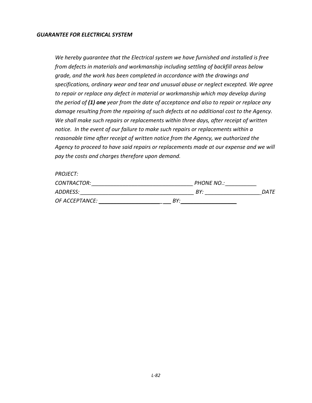#### *GUARANTEE FOR ELECTRICAL SYSTEM*

*PROJECT:* 

*We hereby guarantee that the Electrical system we have furnished and installed is free from defects in materials and workmanship including settling of backfill areas below grade, and the work has been completed in accordance with the drawings and specifications, ordinary wear and tear and unusual abuse or neglect excepted. We agree* to repair or replace any defect in material or workmanship which may develop during *the period of (1) one year from the date of acceptance and also to repair or replace any damage resulting from the repairing of such defects at no additional cost to the Agency. We shall make such repairs or replacements within three days, after receipt of written notice. In the event of our failure to make such repairs or replacements within a reasonable time after receipt of written notice from the Agency, we authorized the Agency to proceed to have said repairs or replacements made at our expense and we will pay the costs and charges therefore upon demand.*

| PROJECT:       |                   |      |
|----------------|-------------------|------|
| CONTRACTOR:    | <b>PHONE NO.:</b> |      |
| ADDRESS:       | BY:               | DATE |
| OF ACCEPTANCE: | RY.               |      |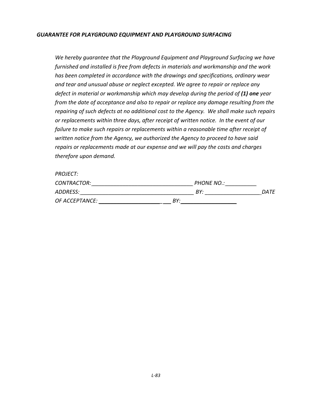### *GUARANTEE FOR PLAYGROUND EQUIPMENT AND PLAYGROUND SURFACING*

*PROJECT:* 

*We hereby guarantee that the Playground Equipment and Playground Surfacing we have furnished and installed is free from defects in materials and workmanship and the work has been completed in accordance with the drawings and specifications, ordinary wear and tear and unusual abuse or neglect excepted. We agree to repair or replace any defect in material or workmanship which may develop during the period of (1) one year from the date of acceptance and also to repair or replace any damage resulting from the repairing of such defects at no additional cost to the Agency. We shall make such repairs or replacements within three days, after receipt of written notice. In the event of our failure to make such repairs or replacements within a reasonable time after receipt of written notice from the Agency, we authorized the Agency to proceed to have said repairs or replacements made at our expense and we will pay the costs and charges therefore upon demand.*

| <i>FROJECT.</i> |                   |      |
|-----------------|-------------------|------|
| CONTRACTOR:     | <b>PHONE NO.:</b> |      |
| ADDRESS:        | BY:               | DATE |
| OF ACCEPTANCE:  | BY:               |      |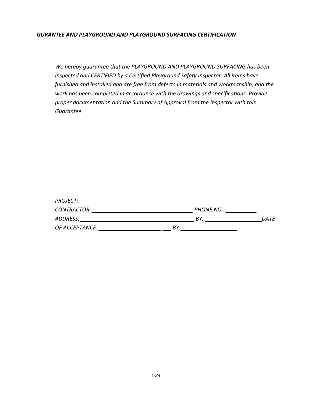### *GURANTEE AND PLAYGROUND AND PLAYGROUND SURFACING CERTIFICATION*

*We hereby guarantee that the PLAYGROUND AND PLAYGROUND SURFACING has been inspected and CERTIFIED by a Certified Playground Safety Inspector. All items have furnished and installed and are free from defects in materials and workmanship, and the work has been completed in accordance with the drawings and specifications. Provide proper documentation and the Summary of Approval from the Inspector with this Guarantee.* 

| <i>PROJECT:</i>       |                   |      |
|-----------------------|-------------------|------|
| <i>CONTRACTOR:</i>    | <b>PHONE NO.:</b> |      |
| ADDRESS:              | BY:               | DATE |
| <i>OF ACCEPTANCE:</i> | BY:               |      |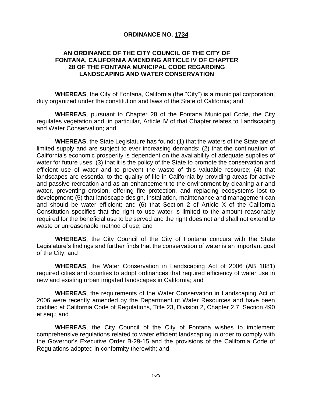# **ORDINANCE NO. 1734**

# **AN ORDINANCE OF THE CITY COUNCIL OF THE CITY OF FONTANA, CALIFORNIA AMENDING ARTICLE IV OF CHAPTER 28 OF THE FONTANA MUNICIPAL CODE REGARDING LANDSCAPING AND WATER CONSERVATION**

**WHEREAS**, the City of Fontana, California (the "City") is a municipal corporation, duly organized under the constitution and laws of the State of California; and

**WHEREAS**, pursuant to Chapter 28 of the Fontana Municipal Code, the City regulates vegetation and, in particular, Article IV of that Chapter relates to Landscaping and Water Conservation; and

**WHEREAS**, the State Legislature has found: (1) that the waters of the State are of limited supply and are subject to ever increasing demands; (2) that the continuation of California's economic prosperity is dependent on the availability of adequate supplies of water for future uses; (3) that it is the policy of the State to promote the conservation and efficient use of water and to prevent the waste of this valuable resource; (4) that landscapes are essential to the quality of life in California by providing areas for active and passive recreation and as an enhancement to the environment by cleaning air and water, preventing erosion, offering fire protection, and replacing ecosystems lost to development; (5) that landscape design, installation, maintenance and management can and should be water efficient; and (6) that Section 2 of Article X of the California Constitution specifies that the right to use water is limited to the amount reasonably required for the beneficial use to be served and the right does not and shall not extend to waste or unreasonable method of use; and

**WHEREAS**, the City Council of the City of Fontana concurs with the State Legislature's findings and further finds that the conservation of water is an important goal of the City; and

**WHEREAS**, the Water Conservation in Landscaping Act of 2006 (AB 1881) required cities and counties to adopt ordinances that required efficiency of water use in new and existing urban irrigated landscapes in California; and

**WHEREAS**, the requirements of the Water Conservation in Landscaping Act of 2006 were recently amended by the Department of Water Resources and have been codified at California Code of Regulations, Title 23, Division 2, Chapter 2.7, Section 490 et seq.; and

**WHEREAS**, the City Council of the City of Fontana wishes to implement comprehensive regulations related to water efficient landscaping in order to comply with the Governor's Executive Order B-29-15 and the provisions of the California Code of Regulations adopted in conformity therewith; and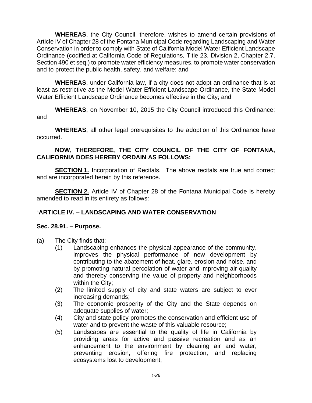**WHEREAS**, the City Council, therefore, wishes to amend certain provisions of Article IV of Chapter 28 of the Fontana Municipal Code regarding Landscaping and Water Conservation in order to comply with State of California Model Water Efficient Landscape Ordinance (codified at California Code of Regulations, Title 23, Division 2, Chapter 2.7, Section 490 et seq.) to promote water efficiency measures, to promote water conservation and to protect the public health, safety, and welfare; and

**WHEREAS**, under California law, if a city does not adopt an ordinance that is at least as restrictive as the Model Water Efficient Landscape Ordinance, the State Model Water Efficient Landscape Ordinance becomes effective in the City; and

**WHEREAS**, on November 10, 2015 the City Council introduced this Ordinance; and

**WHEREAS**, all other legal prerequisites to the adoption of this Ordinance have occurred.

# **NOW, THEREFORE, THE CITY COUNCIL OF THE CITY OF FONTANA, CALIFORNIA DOES HEREBY ORDAIN AS FOLLOWS:**

**SECTION 1.** Incorporation of Recitals. The above recitals are true and correct and are incorporated herein by this reference.

**SECTION 2.** Article IV of Chapter 28 of the Fontana Municipal Code is hereby amended to read in its entirety as follows:

# "**ARTICLE IV. – LANDSCAPING AND WATER CONSERVATION**

## **Sec. 28.91. – Purpose.**

- (a) The City finds that:
	- (1) Landscaping enhances the physical appearance of the community, improves the physical performance of new development by contributing to the abatement of heat, glare, erosion and noise, and by promoting natural percolation of water and improving air quality and thereby conserving the value of property and neighborhoods within the City;
	- (2) The limited supply of city and state waters are subject to ever increasing demands;
	- (3) The economic prosperity of the City and the State depends on adequate supplies of water;
	- (4) City and state policy promotes the conservation and efficient use of water and to prevent the waste of this valuable resource;
	- (5) Landscapes are essential to the quality of life in California by providing areas for active and passive recreation and as an enhancement to the environment by cleaning air and water, preventing erosion, offering fire protection, and replacing ecosystems lost to development;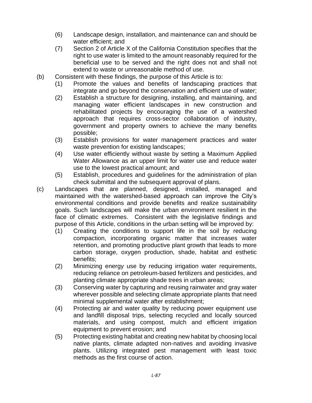- (6) Landscape design, installation, and maintenance can and should be water efficient; and
- (7) Section 2 of Article X of the California Constitution specifies that the right to use water is limited to the amount reasonably required for the beneficial use to be served and the right does not and shall not extend to waste or unreasonable method of use.
- (b) Consistent with these findings, the purpose of this Article is to:
	- (1) Promote the values and benefits of landscaping practices that integrate and go beyond the conservation and efficient use of water;
	- (2) Establish a structure for designing, installing, and maintaining, and managing water efficient landscapes in new construction and rehabilitated projects by encouraging the use of a watershed approach that requires cross-sector collaboration of industry, government and property owners to achieve the many benefits possible;
	- (3) Establish provisions for water management practices and water waste prevention for existing landscapes;
	- (4) Use water efficiently without waste by setting a Maximum Applied Water Allowance as an upper limit for water use and reduce water use to the lowest practical amount; and
	- (5) Establish, procedures and guidelines for the administration of plan check submittal and the subsequent approval of plans.
- (c) Landscapes that are planned, designed, installed, managed and maintained with the watershed-based approach can improve the City's environmental conditions and provide benefits and realize sustainability goals. Such landscapes will make the urban environment resilient in the face of climatic extremes. Consistent with the legislative findings and purpose of this Article, conditions in the urban setting will be improved by:
	- (1) Creating the conditions to support life in the soil by reducing compaction, incorporating organic matter that increases water retention, and promoting productive plant growth that leads to more carbon storage, oxygen production, shade, habitat and esthetic benefits;
	- (2) Minimizing energy use by reducing irrigation water requirements, reducing reliance on petroleum-based fertilizers and pesticides, and planting climate appropriate shade trees in urban areas;
	- (3) Conserving water by capturing and reusing rainwater and gray water wherever possible and selecting climate appropriate plants that need minimal supplemental water after establishment;
	- (4) Protecting air and water quality by reducing power equipment use and landfill disposal trips, selecting recycled and locally sourced materials, and using compost, mulch and efficient irrigation equipment to prevent erosion; and
	- (5) Protecting existing habitat and creating new habitat by choosing local native plants, climate adapted non-natives and avoiding invasive plants. Utilizing integrated pest management with least toxic methods as the first course of action.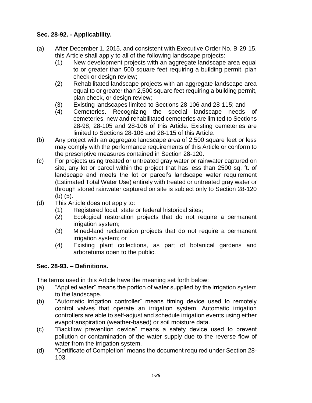# **Sec. 28-92. - Applicability.**

- (a) After December 1, 2015, and consistent with Executive Order No. B-29-15, this Article shall apply to all of the following landscape projects:
	- (1) New development projects with an aggregate landscape area equal to or greater than 500 square feet requiring a building permit, plan check or design review;
	- (2) Rehabilitated landscape projects with an aggregate landscape area equal to or greater than 2,500 square feet requiring a building permit, plan check, or design review;
	- (3) Existing landscapes limited to Sections 28-106 and 28-115; and
	- (4) Cemeteries. Recognizing the special landscape needs of cemeteries, new and rehabilitated cemeteries are limited to Sections 28-98, 28-105 and 28-106 of this Article. Existing cemeteries are limited to Sections 28-106 and 28-115 of this Article.
- (b) Any project with an aggregate landscape area of 2,500 square feet or less may comply with the performance requirements of this Article or conform to the prescriptive measures contained in Section 28-120.
- (c) For projects using treated or untreated gray water or rainwater captured on site, any lot or parcel within the project that has less than 2500 sq. ft. of landscape and meets the lot or parcel's landscape water requirement (Estimated Total Water Use) entirely with treated or untreated gray water or through stored rainwater captured on site is subject only to Section 28-120 (b) (5).
- (d) This Article does not apply to:
	- (1) Registered local, state or federal historical sites;
	- (2) Ecological restoration projects that do not require a permanent irrigation system;
	- (3) Mined-land reclamation projects that do not require a permanent irrigation system; or
	- (4) Existing plant collections, as part of botanical gardens and arboretums open to the public.

# **Sec. 28-93. – Definitions.**

The terms used in this Article have the meaning set forth below:

- (a) "Applied water" means the portion of water supplied by the irrigation system to the landscape.
- (b) "Automatic irrigation controller" means timing device used to remotely control valves that operate an irrigation system. Automatic irrigation controllers are able to self-adjust and schedule irrigation events using either evapotranspiration (weather-based) or soil moisture data.
- (c) "Backflow prevention device" means a safety device used to prevent pollution or contamination of the water supply due to the reverse flow of water from the irrigation system.
- (d) "Certificate of Completion" means the document required under Section 28- 103.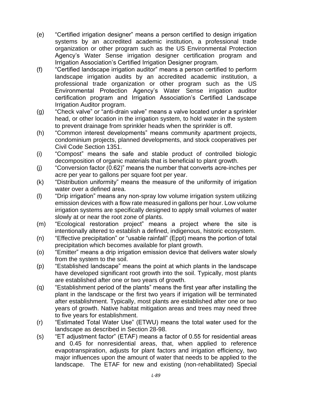- (e) "Certified irrigation designer" means a person certified to design irrigation systems by an accredited academic institution, a professional trade organization or other program such as the US Environmental Protection Agency's Water Sense irrigation designer certification program and Irrigation Association's Certified Irrigation Designer program.
- (f) "Certified landscape irrigation auditor" means a person certified to perform landscape irrigation audits by an accredited academic institution, a professional trade organization or other program such as the US Environmental Protection Agency's Water Sense irrigation auditor certification program and Irrigation Association's Certified Landscape Irrigation Auditor program.
- (g) "Check valve" or "anti-drain valve" means a valve located under a sprinkler head, or other location in the irrigation system, to hold water in the system to prevent drainage from sprinkler heads when the sprinkler is off.
- (h) "Common interest developments" means community apartment projects, condominium projects, planned developments, and stock cooperatives per Civil Code Section 1351.
- (i) "Compost" means the safe and stable product of controlled biologic decomposition of organic materials that is beneficial to plant growth.
- (j) "Conversion factor (0.62)" means the number that converts acre-inches per acre per year to gallons per square foot per year.
- (k) "Distribution uniformity" means the measure of the uniformity of irrigation water over a defined area.
- (l) "Drip irrigation" means any non-spray low volume irrigation system utilizing emission devices with a flow rate measured in gallons per hour. Low volume irrigation systems are specifically designed to apply small volumes of water slowly at or near the root zone of plants.
- (m) "Ecological restoration project" means a project where the site is intentionally altered to establish a defined, indigenous, historic ecosystem.
- (n) "Effective precipitation" or "usable rainfall" (Eppt) means the portion of total precipitation which becomes available for plant growth.
- (o) "Emitter" means a drip irrigation emission device that delivers water slowly from the system to the soil.
- (p) "Established landscape" means the point at which plants in the landscape have developed significant root growth into the soil. Typically, most plants are established after one or two years of growth.
- (q) "Establishment period of the plants" means the first year after installing the plant in the landscape or the first two years if irrigation will be terminated after establishment. Typically, most plants are established after one or two years of growth. Native habitat mitigation areas and trees may need three to five years for establishment.
- (r) "Estimated Total Water Use" (ETWU) means the total water used for the landscape as described in Section 28-98.
- (s) "ET adjustment factor" (ETAF) means a factor of 0.55 for residential areas and 0.45 for nonresidential areas, that, when applied to reference evapotranspiration, adjusts for plant factors and irrigation efficiency, two major influences upon the amount of water that needs to be applied to the landscape. The ETAF for new and existing (non-rehabilitated) Special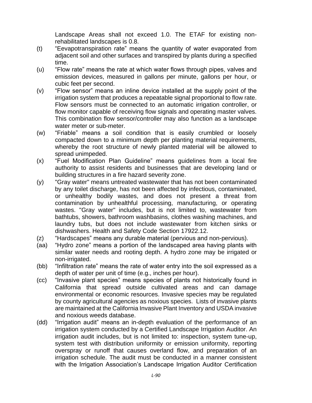Landscape Areas shall not exceed 1.0. The ETAF for existing nonrehabilitated landscapes is 0.8.

- (t) "Eevapotranspiration rate" means the quantity of water evaporated from adjacent soil and other surfaces and transpired by plants during a specified time.
- (u) "Flow rate" means the rate at which water flows through pipes, valves and emission devices, measured in gallons per minute, gallons per hour, or cubic feet per second.
- (v) "Flow sensor" means an inline device installed at the supply point of the irrigation system that produces a repeatable signal proportional to flow rate. Flow sensors must be connected to an automatic irrigation controller, or flow monitor capable of receiving flow signals and operating master valves. This combination flow sensor/controller may also function as a landscape water meter or sub-meter.
- (w) "Friable" means a soil condition that is easily crumbled or loosely compacted down to a minimum depth per planting material requirements, whereby the root structure of newly planted material will be allowed to spread unimpeded.
- (x) "Fuel Modification Plan Guideline" means guidelines from a local fire authority to assist residents and businesses that are developing land or building structures in a fire hazard severity zone.
- (y) "Gray water" means untreated wastewater that has not been contaminated by any toilet discharge, has not been affected by infectious, contaminated, or unhealthy bodily wastes, and does not present a threat from contamination by unhealthful processing, manufacturing, or operating wastes. "Gray water" includes, but is not limited to, wastewater from bathtubs, showers, bathroom washbasins, clothes washing machines, and laundry tubs, but does not include wastewater from kitchen sinks or dishwashers. Health and Safety Code Section 17922.12.
- (z) "Hardscapes" means any durable material (pervious and non-pervious).
- (aa) "Hydro zone" means a portion of the landscaped area having plants with similar water needs and rooting depth. A hydro zone may be irrigated or non-irrigated.
- (bb) "Infiltration rate" means the rate of water entry into the soil expressed as a depth of water per unit of time (e.g., inches per hour).
- (cc) "Invasive plant species" means species of plants not historically found in California that spread outside cultivated areas and can damage environmental or economic resources. Invasive species may be regulated by county agricultural agencies as noxious species. Lists of invasive plants are maintained at the California Invasive Plant Inventory and USDA invasive and noxious weeds database.
- (dd) "Irrigation audit" means an in-depth evaluation of the performance of an irrigation system conducted by a Certified Landscape Irrigation Auditor. An irrigation audit includes, but is not limited to: inspection, system tune-up, system test with distribution uniformity or emission uniformity, reporting overspray or runoff that causes overland flow, and preparation of an irrigation schedule. The audit must be conducted in a manner consistent with the Irrigation Association's Landscape Irrigation Auditor Certification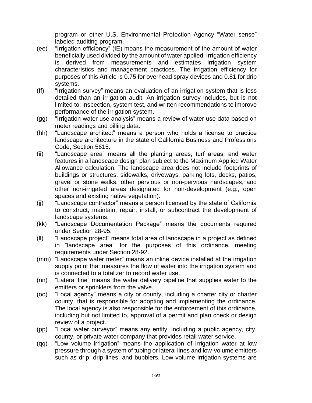program or other U.S. Environmental Protection Agency "Water sense" labeled auditing program.

- (ee) "Irrigation efficiency" (IE) means the measurement of the amount of water beneficially used divided by the amount of water applied. Irrigation efficiency is derived from measurements and estimates irrigation system characteristics and management practices. The irrigation efficiency for purposes of this Article is 0.75 for overhead spray devices and 0.81 for drip systems.
- (ff) "Irrigation survey" means an evaluation of an irrigation system that is less detailed than an irrigation audit. An irrigation survey includes, but is not limited to: inspection, system test, and written recommendations to improve performance of the irrigation system.
- (gg) "Irrigation water use analysis" means a review of water use data based on meter readings and billing data.
- (hh) "Landscape architect" means a person who holds a license to practice landscape architecture in the state of California Business and Professions Code, Section 5615.
- (ii) "Landscape area" means all the planting areas, turf areas, and water features in a landscape design plan subject to the Maximum Applied Water Allowance calculation. The landscape area does not include footprints of buildings or structures, sidewalks, driveways, parking lots, decks, patios, gravel or stone walks, other pervious or non-pervious hardscapes, and other non-irrigated areas designated for non-development (e.g., open spaces and existing native vegetation).
- (jj) "Landscape contractor" means a person licensed by the state of California to construct, maintain, repair, install, or subcontract the development of landscape systems.
- (kk) "Landscape Documentation Package" means the documents required under Section 28-95.
- (ll) "Landscape project" means total area of landscape in a project as defined in "landscape area" for the purposes of this ordinance, meeting requirements under Section 28-92.
- (mm) "Landscape water meter" means an inline device installed at the irrigation supply point that measures the flow of water into the irrigation system and is connected to a totalizer to record water use.
- (nn) "Lateral line" means the water delivery pipeline that supplies water to the emitters or sprinklers from the valve.
- (oo) "Local agency" means a city or county, including a charter city or charter county, that is responsible for adopting and implementing the ordinance. The local agency is also responsible for the enforcement of this ordinance, including but not limited to, approval of a permit and plan check or design review of a project.
- (pp) "Local water purveyor" means any entity, including a public agency, city, county, or private water company that provides retail water service.
- (qq) "Low volume irrigation" means the application of irrigation water at low pressure through a system of tubing or lateral lines and low-volume emitters such as drip, drip lines, and bubblers. Low volume irrigation systems are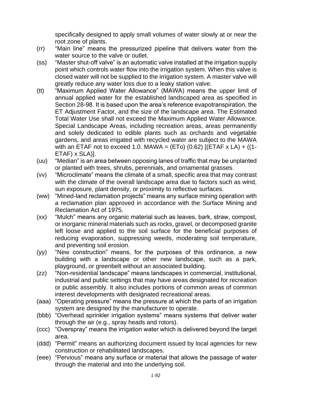specifically designed to apply small volumes of water slowly at or near the root zone of plants.

- (rr) "Main line" means the pressurized pipeline that delivers water from the water source to the valve or outlet.
- (ss) "Master shut-off valve" is an automatic valve installed at the irrigation supply point which controls water flow into the irrigation system. When this valve is closed water will not be supplied to the irrigation system. A master valve will greatly reduce any water loss due to a leaky station valve.
- (tt) "Maximum Applied Water Allowance" (MAWA) means the upper limit of annual applied water for the established landscaped area as specified in Section 28-98. It is based upon the area's reference evapotranspiration, the ET Adjustment Factor, and the size of the landscape area. The Estimated Total Water Use shall not exceed the Maximum Applied Water Allowance. Special Landscape Areas, including recreation areas, areas permanently and solely dedicated to edible plants such as orchards and vegetable gardens, and areas irrigated with recycled water are subject to the MAWA with an ETAF not to exceed 1.0. MAWA =  $(ETo)$   $(0.62)$   $[(ETAF x LA) + ((1-I)$ ETAF) x SLA)].
- (uu) "Median" is an area between opposing lanes of traffic that may be unplanted or planted with trees, shrubs, perennials, and ornamental grasses.
- (vv) "Microclimate" means the climate of a small, specific area that may contrast with the climate of the overall landscape area due to factors such as wind, sun exposure, plant density, or proximity to reflective surfaces.
- (ww) "Mined-land reclamation projects" means any surface mining operation with a reclamation plan approved in accordance with the Surface Mining and Reclamation Act of 1975.
- (xx) "Mulch" means any organic material such as leaves, bark, straw, compost, or inorganic mineral materials such as rocks, gravel, or decomposed granite left loose and applied to the soil surface for the beneficial purposes of reducing evaporation, suppressing weeds, moderating soil temperature, and preventing soil erosion.
- (yy) "New construction" means, for the purposes of this ordinance, a new building with a landscape or other new landscape, such as a park, playground, or greenbelt without an associated building.
- (zz) "Non-residential landscape" means landscapes in commercial, institutional, industrial and public settings that may have areas designated for recreation or public assembly. It also includes portions of common areas of common interest developments with designated recreational areas.
- (aaa) "Operating pressure" means the pressure at which the parts of an irrigation system are designed by the manufacturer to operate.
- (bbb) "Overhead sprinkler irrigation systems" means systems that deliver water through the air (e.g., spray heads and rotors).
- (ccc) "Overspray" means the irrigation water which is delivered beyond the target area.
- (ddd) "Permit" means an authorizing document issued by local agencies for new construction or rehabilitated landscapes.
- (eee) "Pervious" means any surface or material that allows the passage of water through the material and into the underlying soil.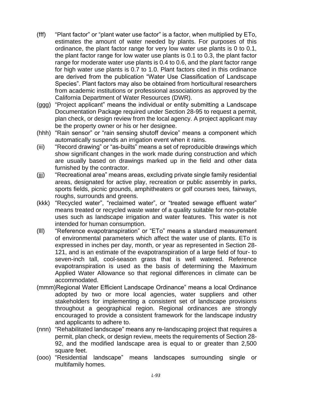- (fff) "Plant factor" or "plant water use factor" is a factor, when multiplied by ETo, estimates the amount of water needed by plants. For purposes of this ordinance, the plant factor range for very low water use plants is 0 to 0.1, the plant factor range for low water use plants is 0.1 to 0.3, the plant factor range for moderate water use plants is 0.4 to 0.6, and the plant factor range for high water use plants is 0.7 to 1.0. Plant factors cited in this ordinance are derived from the publication "Water Use Classification of Landscape Species". Plant factors may also be obtained from horticultural researchers from academic institutions or professional associations as approved by the California Department of Water Resources (DWR).
- (ggg) "Project applicant" means the individual or entity submitting a Landscape Documentation Package required under Section 28-95 to request a permit, plan check, or design review from the local agency. A project applicant may be the property owner or his or her designee.
- (hhh) "Rain sensor" or "rain sensing shutoff device" means a component which automatically suspends an irrigation event when it rains.
- (iii) "Record drawing" or "as-builts" means a set of reproducible drawings which show significant changes in the work made during construction and which are usually based on drawings marked up in the field and other data furnished by the contractor.
- (jjj) "Recreational area" means areas, excluding private single family residential areas, designated for active play, recreation or public assembly in parks, sports fields, picnic grounds, amphitheaters or golf courses tees, fairways, roughs, surrounds and greens.
- (kkk) "Recycled water", "reclaimed water", or "treated sewage effluent water" means treated or recycled waste water of a quality suitable for non-potable uses such as landscape irrigation and water features. This water is not intended for human consumption.
- (lll) "Reference evapotranspiration" or "ETo" means a standard measurement of environmental parameters which affect the water use of plants. ETo is expressed in inches per day, month, or year as represented in Section 28- 121, and is an estimate of the evapotranspiration of a large field of four- to seven-inch tall, cool-season grass that is well watered. Reference evapotranspiration is used as the basis of determining the Maximum Applied Water Allowance so that regional differences in climate can be accommodated.
- (mmm)Regional Water Efficient Landscape Ordinance" means a local Ordinance adopted by two or more local agencies, water suppliers and other stakeholders for implementing a consistent set of landscape provisions throughout a geographical region. Regional ordinances are strongly encouraged to provide a consistent framework for the landscape industry and applicants to adhere to.
- (nnn) "Rehabilitated landscape" means any re-landscaping project that requires a permit, plan check, or design review, meets the requirements of Section 28- 92, and the modified landscape area is equal to or greater than 2,500 square feet.
- (ooo) "Residential landscape" means landscapes surrounding single or multifamily homes.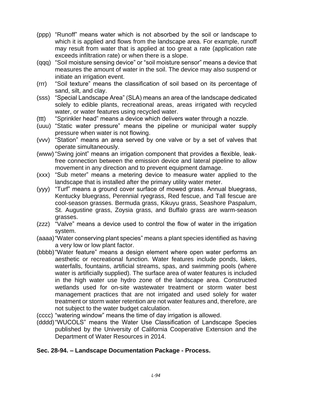- (ppp) "Runoff" means water which is not absorbed by the soil or landscape to which it is applied and flows from the landscape area. For example, runoff may result from water that is applied at too great a rate (application rate exceeds infiltration rate) or when there is a slope.
- (qqq) "Soil moisture sensing device" or "soil moisture sensor" means a device that measures the amount of water in the soil. The device may also suspend or initiate an irrigation event.
- (rrr) "Soil texture" means the classification of soil based on its percentage of sand, silt, and clay.
- (sss) "Special Landscape Area" (SLA) means an area of the landscape dedicated solely to edible plants, recreational areas, areas irrigated with recycled water, or water features using recycled water.
- (ttt) "Sprinkler head" means a device which delivers water through a nozzle.
- (uuu) "Static water pressure" means the pipeline or municipal water supply pressure when water is not flowing.
- (vvv) "Station" means an area served by one valve or by a set of valves that operate simultaneously.
- (www) "Swing joint" means an irrigation component that provides a flexible, leakfree connection between the emission device and lateral pipeline to allow movement in any direction and to prevent equipment damage.
- (xxx) "Sub meter" means a metering device to measure water applied to the landscape that is installed after the primary utility water meter.
- (yyy) "Turf" means a ground cover surface of mowed grass. Annual bluegrass, Kentucky bluegrass, Perennial ryegrass, Red fescue, and Tall fescue are cool-season grasses. Bermuda grass, Kikuyu grass, Seashore Paspalum, St. Augustine grass, Zoysia grass, and Buffalo grass are warm-season grasses.
- (zzz) "Valve" means a device used to control the flow of water in the irrigation system.
- (aaaa)"Water conserving plant species" means a plant species identified as having a very low or low plant factor.
- (bbbb)"Water feature" means a design element where open water performs an aesthetic or recreational function. Water features include ponds, lakes, waterfalls, fountains, artificial streams, spas, and swimming pools (where water is artificially supplied). The surface area of water features is included in the high water use hydro zone of the landscape area. Constructed wetlands used for on-site wastewater treatment or storm water best management practices that are not irrigated and used solely for water treatment or storm water retention are not water features and, therefore, are not subject to the water budget calculation.
- (cccc) "watering window" means the time of day irrigation is allowed.
- (dddd)"WUCOLS" means the Water Use Classification of Landscape Species published by the University of California Cooperative Extension and the Department of Water Resources in 2014.

## **Sec. 28-94. – Landscape Documentation Package - Process.**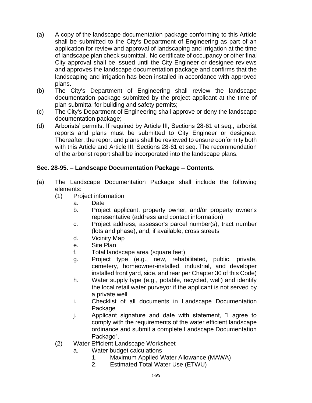- (a) A copy of the landscape documentation package conforming to this Article shall be submitted to the City's Department of Engineering as part of an application for review and approval of landscaping and irrigation at the time of landscape plan check submittal. No certificate of occupancy or other final City approval shall be issued until the City Engineer or designee reviews and approves the landscape documentation package and confirms that the landscaping and irrigation has been installed in accordance with approved plans.
- (b) The City's Department of Engineering shall review the landscape documentation package submitted by the project applicant at the time of plan submittal for building and safety permits;
- (c) The City's Department of Engineering shall approve or deny the landscape documentation package;
- (d) Arborists' permits. If required by Article III, Sections 28-61 et seq., arborist reports and plans must be submitted to City Engineer or designee. Thereafter, the report and plans shall be reviewed to ensure conformity both with this Article and Article III, Sections 28-61 et seq. The recommendation of the arborist report shall be incorporated into the landscape plans.

# **Sec. 28-95. – Landscape Documentation Package – Contents.**

- (a) The Landscape Documentation Package shall include the following elements:
	- (1) Project information
		- a. Date
		- b. Project applicant, property owner, and/or property owner's representative (address and contact information)
		- c. Project address, assessor's parcel number(s), tract number (lots and phase), and, if available, cross streets
		- d. Vicinity Map
		- e. Site Plan
		- f. Total landscape area (square feet)
		- g. Project type (e.g., new, rehabilitated, public, private, cemetery, homeowner-installed, industrial, and developer installed front yard, side, and rear per Chapter 30 of this Code)
		- h. Water supply type (e.g., potable, recycled, well) and identify the local retail water purveyor if the applicant is not served by a private well
		- i. Checklist of all documents in Landscape Documentation Package
		- j. Applicant signature and date with statement, "I agree to comply with the requirements of the water efficient landscape ordinance and submit a complete Landscape Documentation Package".
	- (2) Water Efficient Landscape Worksheet
		- a. Water budget calculations
			- 1. Maximum Applied Water Allowance (MAWA)
			- 2. Estimated Total Water Use (ETWU)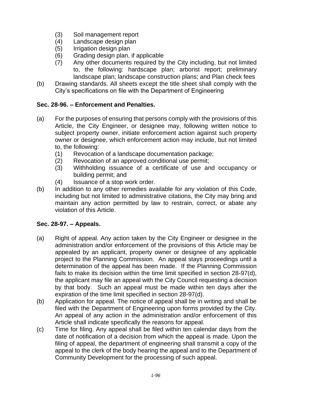- (3) Soil management report
- (4) Landscape design plan
- (5) Irrigation design plan
- (6) Grading design plan, if applicable
- (7) Any other documents required by the City including, but not limited to, the following: hardscape plan; arborist report; preliminary landscape plan; landscape construction plans; and Plan check fees
- (b) Drawing standards. All sheets except the title sheet shall comply with the City's specifications on file with the Department of Engineering

# **Sec. 28-96. – Enforcement and Penalties.**

- (a) For the purposes of ensuring that persons comply with the provisions of this Article, the City Engineer, or designee may, following written notice to subject property owner, initiate enforcement action against such property owner or designee, which enforcement action may include, but not limited to, the following:
	- (1) Revocation of a landscape documentation package;
	- (2) Revocation of an approved conditional use permit;
	- (3) Withholding issuance of a certificate of use and occupancy or building permit; and
	- (4) Issuance of a stop work order.
- (b) In addition to any other remedies available for any violation of this Code, including but not limited to administrative citations, the City may bring and maintain any action permitted by law to restrain, correct, or abate any violation of this Article.

## **Sec. 28-97. – Appeals.**

- (a) Right of appeal. Any action taken by the City Engineer or designee in the administration and/or enforcement of the provisions of this Article may be appealed by an applicant, property owner or designee of any applicable project to the Planning Commission. An appeal stays proceedings until a determination of the appeal has been made. If the Planning Commission fails to make its decision within the time limit specified in section 28-97(d), the applicant may file an appeal with the City Council requesting a decision by that body. Such an appeal must be made within ten days after the expiration of the time limit specified in section 28-97(d).
- (b) Application for appeal. The notice of appeal shall be in writing and shall be filed with the Department of Engineering upon forms provided by the City. An appeal of any action in the administration and/or enforcement of this Article shall indicate specifically the reasons for appeal.
- (c) Time for filing. Any appeal shall be filed within ten calendar days from the date of notification of a decision from which the appeal is made. Upon the filing of appeal, the department of engineering shall transmit a copy of the appeal to the clerk of the body hearing the appeal and to the Department of Community Development for the processing of such appeal.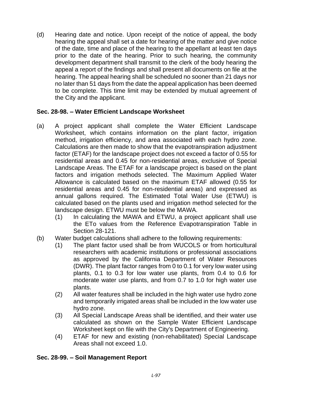(d) Hearing date and notice. Upon receipt of the notice of appeal, the body hearing the appeal shall set a date for hearing of the matter and give notice of the date, time and place of the hearing to the appellant at least ten days prior to the date of the hearing. Prior to such hearing, the community development department shall transmit to the clerk of the body hearing the appeal a report of the findings and shall present all documents on file at the hearing. The appeal hearing shall be scheduled no sooner than 21 days nor no later than 51 days from the date the appeal application has been deemed to be complete. This time limit may be extended by mutual agreement of the City and the applicant.

# **Sec. 28-98. – Water Efficient Landscape Worksheet**

- (a) A project applicant shall complete the Water Efficient Landscape Worksheet, which contains information on the plant factor, irrigation method, irrigation efficiency, and area associated with each hydro zone. Calculations are then made to show that the evapotranspiration adjustment factor (ETAF) for the landscape project does not exceed a factor of 0.55 for residential areas and 0.45 for non-residential areas, exclusive of Special Landscape Areas. The ETAF for a landscape project is based on the plant factors and irrigation methods selected. The Maximum Applied Water Allowance is calculated based on the maximum ETAF allowed (0.55 for residential areas and 0.45 for non-residential areas) and expressed as annual gallons required. The Estimated Total Water Use (ETWU) is calculated based on the plants used and irrigation method selected for the landscape design. ETWU must be below the MAWA.
	- (1) In calculating the MAWA and ETWU, a project applicant shall use the ETo values from the Reference Evapotranspiration Table in Section 28-121.
- (b) Water budget calculations shall adhere to the following requirements:
	- (1) The plant factor used shall be from WUCOLS or from horticultural researchers with academic institutions or professional associations as approved by the California Department of Water Resources (DWR). The plant factor ranges from 0 to 0.1 for very low water using plants, 0.1 to 0.3 for low water use plants, from 0.4 to 0.6 for moderate water use plants, and from 0.7 to 1.0 for high water use plants.
	- (2) All water features shall be included in the high water use hydro zone and temporarily irrigated areas shall be included in the low water use hydro zone.
	- (3) All Special Landscape Areas shall be identified, and their water use calculated as shown on the Sample Water Efficient Landscape Worksheet kept on file with the City's Department of Engineering.
	- (4) ETAF for new and existing (non-rehabilitated) Special Landscape Areas shall not exceed 1.0.

## **Sec. 28-99. – Soil Management Report**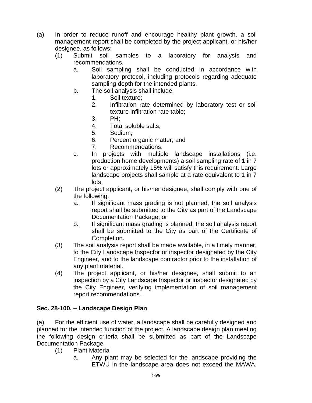- (a) In order to reduce runoff and encourage healthy plant growth, a soil management report shall be completed by the project applicant, or his/her designee, as follows:
	- (1) Submit soil samples to a laboratory for analysis and recommendations.
		- a. Soil sampling shall be conducted in accordance with laboratory protocol, including protocols regarding adequate sampling depth for the intended plants.
		- b. The soil analysis shall include:
			- 1. Soil texture;
			- 2. Infiltration rate determined by laboratory test or soil texture infiltration rate table;
			- 3. PH;
			- 4. Total soluble salts;
			- 5. Sodium;
			- 6. Percent organic matter; and
			- 7. Recommendations.
		- c. In projects with multiple landscape installations (i.e. production home developments) a soil sampling rate of 1 in 7 lots or approximately 15% will satisfy this requirement. Large landscape projects shall sample at a rate equivalent to 1 in 7 lots.
	- (2) The project applicant, or his/her designee, shall comply with one of the following:
		- a. If significant mass grading is not planned, the soil analysis report shall be submitted to the City as part of the Landscape Documentation Package; or
		- b. If significant mass grading is planned, the soil analysis report shall be submitted to the City as part of the Certificate of Completion.
	- (3) The soil analysis report shall be made available, in a timely manner, to the City Landscape Inspector or inspector designated by the City Engineer, and to the landscape contractor prior to the installation of any plant material.
	- (4) The project applicant, or his/her designee, shall submit to an inspection by a City Landscape Inspector or inspector designated by the City Engineer, verifying implementation of soil management report recommendations. .

## **Sec. 28-100. – Landscape Design Plan**

(a) For the efficient use of water, a landscape shall be carefully designed and planned for the intended function of the project. A landscape design plan meeting the following design criteria shall be submitted as part of the Landscape Documentation Package.

- (1) Plant Material
	- a. Any plant may be selected for the landscape providing the ETWU in the landscape area does not exceed the MAWA.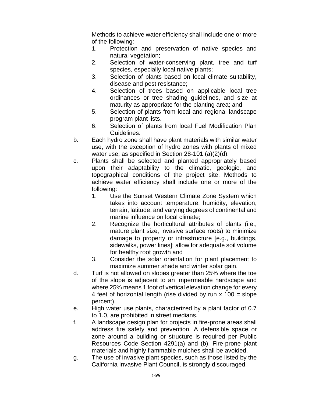Methods to achieve water efficiency shall include one or more of the following:

- 1. Protection and preservation of native species and natural vegetation;
- 2. Selection of water-conserving plant, tree and turf species, especially local native plants;
- 3. Selection of plants based on local climate suitability, disease and pest resistance;
- 4. Selection of trees based on applicable local tree ordinances or tree shading guidelines, and size at maturity as appropriate for the planting area; and
- 5. Selection of plants from local and regional landscape program plant lists.
- 6. Selection of plants from local Fuel Modification Plan Guidelines.
- b. Each hydro zone shall have plant materials with similar water use, with the exception of hydro zones with plants of mixed water use, as specified in Section 28-101 (a)(2)(d).
- c. Plants shall be selected and planted appropriately based upon their adaptability to the climatic, geologic, and topographical conditions of the project site. Methods to achieve water efficiency shall include one or more of the following:
	- 1. Use the Sunset Western Climate Zone System which takes into account temperature, humidity, elevation, terrain, latitude, and varying degrees of continental and marine influence on local climate;
	- 2. Recognize the horticultural attributes of plants (i.e., mature plant size, invasive surface roots) to minimize damage to property or infrastructure [e.g., buildings, sidewalks, power lines]; allow for adequate soil volume for healthy root growth and
	- 3. Consider the solar orientation for plant placement to maximize summer shade and winter solar gain.
- d. Turf is not allowed on slopes greater than 25% where the toe of the slope is adjacent to an impermeable hardscape and where 25% means 1 foot of vertical elevation change for every 4 feet of horizontal length (rise divided by run  $x$  100 = slope percent).
- e. High water use plants, characterized by a plant factor of 0.7 to 1.0, are prohibited in street medians.
- f. A landscape design plan for projects in fire-prone areas shall address fire safety and prevention. A defensible space or zone around a building or structure is required per Public Resources Code Section 4291(a) and (b). Fire-prone plant materials and highly flammable mulches shall be avoided.
- g. The use of invasive plant species, such as those listed by the California Invasive Plant Council, is strongly discouraged.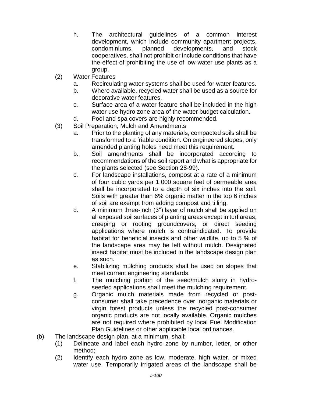- h. The architectural guidelines of a common interest development, which include community apartment projects, condominiums, planned developments, and stock cooperatives, shall not prohibit or include conditions that have the effect of prohibiting the use of low-water use plants as a group.
- (2) Water Features
	- a. Recirculating water systems shall be used for water features.
	- b. Where available, recycled water shall be used as a source for decorative water features.
	- c. Surface area of a water feature shall be included in the high water use hydro zone area of the water budget calculation.
	- d. Pool and spa covers are highly recommended.
- (3) Soil Preparation, Mulch and Amendments
	- a. Prior to the planting of any materials, compacted soils shall be transformed to a friable condition. On engineered slopes, only amended planting holes need meet this requirement.
	- b. Soil amendments shall be incorporated according to recommendations of the soil report and what is appropriate for the plants selected (see Section 28-99).
	- c. For landscape installations, compost at a rate of a minimum of four cubic yards per 1,000 square feet of permeable area shall be incorporated to a depth of six inches into the soil. Soils with greater than 6% organic matter in the top 6 inches of soil are exempt from adding compost and tilling.
	- d. A minimum three-inch (3″) layer of mulch shall be applied on all exposed soil surfaces of planting areas except in turf areas, creeping or rooting groundcovers, or direct seeding applications where mulch is contraindicated. To provide habitat for beneficial insects and other wildlife, up to 5 % of the landscape area may be left without mulch. Designated insect habitat must be included in the landscape design plan as such.
	- e. Stabilizing mulching products shall be used on slopes that meet current engineering standards.
	- f. The mulching portion of the seed/mulch slurry in hydroseeded applications shall meet the mulching requirement.
	- g. Organic mulch materials made from recycled or postconsumer shall take precedence over inorganic materials or virgin forest products unless the recycled post-consumer organic products are not locally available. Organic mulches are not required where prohibited by local Fuel Modification Plan Guidelines or other applicable local ordinances.
- (b) The landscape design plan, at a minimum, shall:
	- (1) Delineate and label each hydro zone by number, letter, or other method;
	- (2) Identify each hydro zone as low, moderate, high water, or mixed water use. Temporarily irrigated areas of the landscape shall be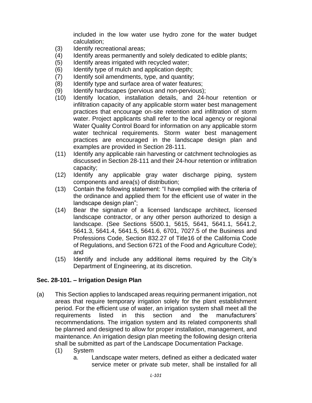included in the low water use hydro zone for the water budget calculation;

- (3) Identify recreational areas;
- (4) Identify areas permanently and solely dedicated to edible plants;
- (5) Identify areas irrigated with recycled water;
- (6) Identify type of mulch and application depth;
- (7) Identify soil amendments, type, and quantity;
- (8) Identify type and surface area of water features;
- (9) Identify hardscapes (pervious and non-pervious);
- (10) Identify location, installation details, and 24-hour retention or infiltration capacity of any applicable storm water best management practices that encourage on-site retention and infiltration of storm water. Project applicants shall refer to the local agency or regional Water Quality Control Board for information on any applicable storm water technical requirements. Storm water best management practices are encouraged in the landscape design plan and examples are provided in Section 28-111.
- (11) Identify any applicable rain harvesting or catchment technologies as discussed in Section 28-111 and their 24-hour retention or infiltration capacity;
- (12) Identify any applicable gray water discharge piping, system components and area(s) of distribution;
- (13) Contain the following statement: "I have complied with the criteria of the ordinance and applied them for the efficient use of water in the landscape design plan";
- (14) Bear the signature of a licensed landscape architect, licensed landscape contractor, or any other person authorized to design a landscape. (See Sections 5500.1, 5615, 5641, 5641.1, 5641.2, 5641.3, 5641.4, 5641.5, 5641.6, 6701, 7027.5 of the Business and Professions Code, Section 832.27 of Title16 of the California Code of Regulations, and Section 6721 of the Food and Agriculture Code); and
- (15) Identify and include any additional items required by the City's Department of Engineering, at its discretion.

# **Sec. 28-101. – Irrigation Design Plan**

- (a) This Section applies to landscaped areas requiring permanent irrigation, not areas that require temporary irrigation solely for the plant establishment period. For the efficient use of water, an irrigation system shall meet all the requirements listed in this section and the manufacturers' recommendations. The irrigation system and its related components shall be planned and designed to allow for proper installation, management, and maintenance. An irrigation design plan meeting the following design criteria shall be submitted as part of the Landscape Documentation Package.
	- (1) System
		- a. Landscape water meters, defined as either a dedicated water service meter or private sub meter, shall be installed for all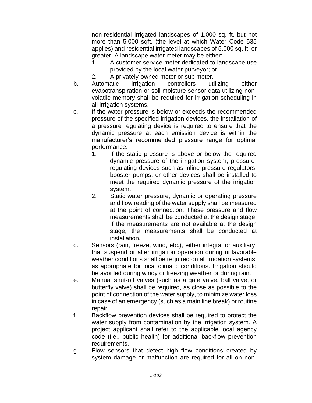non-residential irrigated landscapes of 1,000 sq. ft. but not more than 5,000 sqft. (the level at which Water Code 535 applies) and residential irrigated landscapes of 5,000 sq. ft. or greater. A landscape water meter may be either:

- 1. A customer service meter dedicated to landscape use provided by the local water purveyor; or
- 2. A privately-owned meter or sub meter.
- b. Automatic irrigation controllers utilizing either evapotranspiration or soil moisture sensor data utilizing nonvolatile memory shall be required for irrigation scheduling in all irrigation systems.
- c. If the water pressure is below or exceeds the recommended pressure of the specified irrigation devices, the installation of a pressure regulating device is required to ensure that the dynamic pressure at each emission device is within the manufacturer's recommended pressure range for optimal performance.
	- 1. If the static pressure is above or below the required dynamic pressure of the irrigation system, pressureregulating devices such as inline pressure regulators, booster pumps, or other devices shall be installed to meet the required dynamic pressure of the irrigation system.
	- 2. Static water pressure, dynamic or operating pressure and flow reading of the water supply shall be measured at the point of connection. These pressure and flow measurements shall be conducted at the design stage. If the measurements are not available at the design stage, the measurements shall be conducted at installation.
- d. Sensors (rain, freeze, wind, etc.), either integral or auxiliary, that suspend or alter irrigation operation during unfavorable weather conditions shall be required on all irrigation systems, as appropriate for local climatic conditions. Irrigation should be avoided during windy or freezing weather or during rain.
- e. Manual shut-off valves (such as a gate valve, ball valve, or butterfly valve) shall be required, as close as possible to the point of connection of the water supply, to minimize water loss in case of an emergency (such as a main line break) or routine repair.
- f. Backflow prevention devices shall be required to protect the water supply from contamination by the irrigation system. A project applicant shall refer to the applicable local agency code (i.e., public health) for additional backflow prevention requirements.
- g. Flow sensors that detect high flow conditions created by system damage or malfunction are required for all on non-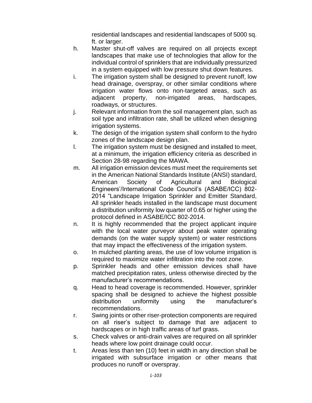residential landscapes and residential landscapes of 5000 sq. ft. or larger.

- h. Master shut-off valves are required on all projects except landscapes that make use of technologies that allow for the individual control of sprinklers that are individually pressurized in a system equipped with low pressure shut down features.
- i. The irrigation system shall be designed to prevent runoff, low head drainage, overspray, or other similar conditions where irrigation water flows onto non-targeted areas, such as adjacent property, non-irrigated areas, hardscapes, roadways, or structures.
- j. Relevant information from the soil management plan, such as soil type and infiltration rate, shall be utilized when designing irrigation systems.
- k. The design of the irrigation system shall conform to the hydro zones of the landscape design plan.
- l. The irrigation system must be designed and installed to meet, at a minimum, the irrigation efficiency criteria as described in Section 28-98 regarding the MAWA.
- m. All irrigation emission devices must meet the requirements set in the American National Standards Institute (ANSI) standard, American Society of Agricultural and Biological Engineers'/International Code Council's (ASABE/ICC) 802- 2014 "Landscape Irrigation Sprinkler and Emitter Standard, All sprinkler heads installed in the landscape must document a distribution uniformity low quarter of 0.65 or higher using the protocol defined in ASABE/ICC 802-2014.
- n. It is highly recommended that the project applicant inquire with the local water purveyor about peak water operating demands (on the water supply system) or water restrictions that may impact the effectiveness of the irrigation system.
- o. In mulched planting areas, the use of low volume irrigation is required to maximize water infiltration into the root zone.
- p. Sprinkler heads and other emission devices shall have matched precipitation rates, unless otherwise directed by the manufacturer's recommendations.
- q. Head to head coverage is recommended. However, sprinkler spacing shall be designed to achieve the highest possible distribution uniformity using the manufacturer's recommendations.
- r. Swing joints or other riser-protection components are required on all riser's subject to damage that are adjacent to hardscapes or in high traffic areas of turf grass.
- s. Check valves or anti-drain valves are required on all sprinkler heads where low point drainage could occur.
- t. Areas less than ten (10) feet in width in any direction shall be irrigated with subsurface irrigation or other means that produces no runoff or overspray.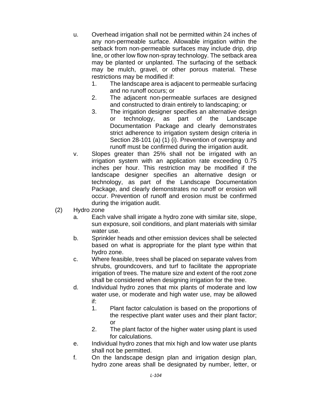- u. Overhead irrigation shall not be permitted within 24 inches of any non-permeable surface. Allowable irrigation within the setback from non-permeable surfaces may include drip, drip line, or other low flow non-spray technology. The setback area may be planted or unplanted. The surfacing of the setback may be mulch, gravel, or other porous material. These restrictions may be modified if:
	- 1. The landscape area is adjacent to permeable surfacing and no runoff occurs; or
	- 2. The adjacent non-permeable surfaces are designed and constructed to drain entirely to landscaping; or
	- 3. The irrigation designer specifies an alternative design or technology, as part of the Landscape Documentation Package and clearly demonstrates strict adherence to irrigation system design criteria in Section 28-101 (a) (1) (i). Prevention of overspray and runoff must be confirmed during the irrigation audit.
- v. Slopes greater than 25% shall not be irrigated with an irrigation system with an application rate exceeding 0.75 inches per hour. This restriction may be modified if the landscape designer specifies an alternative design or technology, as part of the Landscape Documentation Package, and clearly demonstrates no runoff or erosion will occur. Prevention of runoff and erosion must be confirmed during the irrigation audit.
- (2) Hydro zone
	- a. Each valve shall irrigate a hydro zone with similar site, slope, sun exposure, soil conditions, and plant materials with similar water use.
	- b. Sprinkler heads and other emission devices shall be selected based on what is appropriate for the plant type within that hydro zone.
	- c. Where feasible, trees shall be placed on separate valves from shrubs, groundcovers, and turf to facilitate the appropriate irrigation of trees. The mature size and extent of the root zone shall be considered when designing irrigation for the tree.
	- d. Individual hydro zones that mix plants of moderate and low water use, or moderate and high water use, may be allowed if:
		- 1. Plant factor calculation is based on the proportions of the respective plant water uses and their plant factor; or
		- 2. The plant factor of the higher water using plant is used for calculations.
	- e. Individual hydro zones that mix high and low water use plants shall not be permitted.
	- f. On the landscape design plan and irrigation design plan, hydro zone areas shall be designated by number, letter, or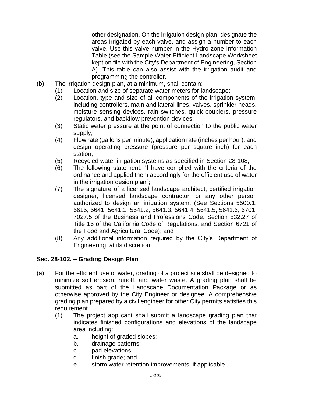other designation. On the irrigation design plan, designate the areas irrigated by each valve, and assign a number to each valve. Use this valve number in the Hydro zone Information Table (see the Sample Water Efficient Landscape Worksheet kept on file with the City's Department of Engineering, Section A). This table can also assist with the irrigation audit and programming the controller.

- (b) The irrigation design plan, at a minimum, shall contain:
	- (1) Location and size of separate water meters for landscape;
	- (2) Location, type and size of all components of the irrigation system, including controllers, main and lateral lines, valves, sprinkler heads, moisture sensing devices, rain switches, quick couplers, pressure regulators, and backflow prevention devices;
	- (3) Static water pressure at the point of connection to the public water supply;
	- (4) Flow rate (gallons per minute), application rate (inches per hour), and design operating pressure (pressure per square inch) for each station;
	- (5) Recycled water irrigation systems as specified in Section 28-108;
	- (6) The following statement: "I have complied with the criteria of the ordinance and applied them accordingly for the efficient use of water in the irrigation design plan";
	- (7) The signature of a licensed landscape architect, certified irrigation designer, licensed landscape contractor, or any other person authorized to design an irrigation system. (See Sections 5500.1, 5615, 5641, 5641.1, 5641.2, 5641.3, 5641.4, 5641.5, 5641.6, 6701, 7027.5 of the Business and Professions Code, Section 832.27 of Title 16 of the California Code of Regulations, and Section 6721 of the Food and Agricultural Code); and
	- (8) Any additional information required by the City's Department of Engineering, at its discretion.

## **Sec. 28-102. – Grading Design Plan**

- (a) For the efficient use of water, grading of a project site shall be designed to minimize soil erosion, runoff, and water waste. A grading plan shall be submitted as part of the Landscape Documentation Package or as otherwise approved by the City Engineer or designee. A comprehensive grading plan prepared by a civil engineer for other City permits satisfies this requirement.
	- (1) The project applicant shall submit a landscape grading plan that indicates finished configurations and elevations of the landscape area including:
		- a. height of graded slopes;
		- b. drainage patterns;
		- c. pad elevations;
		- d. finish grade; and
		- e. storm water retention improvements, if applicable.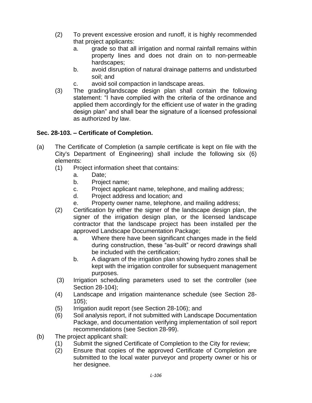- (2) To prevent excessive erosion and runoff, it is highly recommended that project applicants:
	- a. grade so that all irrigation and normal rainfall remains within property lines and does not drain on to non-permeable hardscapes;
	- b. avoid disruption of natural drainage patterns and undisturbed soil; and
	- c. avoid soil compaction in landscape areas.
- (3) The grading/landscape design plan shall contain the following statement: "I have complied with the criteria of the ordinance and applied them accordingly for the efficient use of water in the grading design plan" and shall bear the signature of a licensed professional as authorized by law.

# **Sec. 28-103. – Certificate of Completion.**

- (a) The Certificate of Completion (a sample certificate is kept on file with the City's Department of Engineering) shall include the following six (6) elements:
	- (1) Project information sheet that contains:
		- a. Date;
		- b. Project name;
		- c. Project applicant name, telephone, and mailing address;
		- d. Project address and location; and
		- e. Property owner name, telephone, and mailing address;
	- (2) Certification by either the signer of the landscape design plan, the signer of the irrigation design plan, or the licensed landscape contractor that the landscape project has been installed per the approved Landscape Documentation Package;
		- a. Where there have been significant changes made in the field during construction, these "as-built" or record drawings shall be included with the certification;
		- b. A diagram of the irrigation plan showing hydro zones shall be kept with the irrigation controller for subsequent management purposes.
	- (3) Irrigation scheduling parameters used to set the controller (see Section 28-104);
	- (4) Landscape and irrigation maintenance schedule (see Section 28- 105);
	- (5) Irrigation audit report (see Section 28-106); and
	- (6) Soil analysis report, if not submitted with Landscape Documentation Package, and documentation verifying implementation of soil report recommendations (see Section 28-99).
- (b) The project applicant shall:
	- (1) Submit the signed Certificate of Completion to the City for review;
	- (2) Ensure that copies of the approved Certificate of Completion are submitted to the local water purveyor and property owner or his or her designee.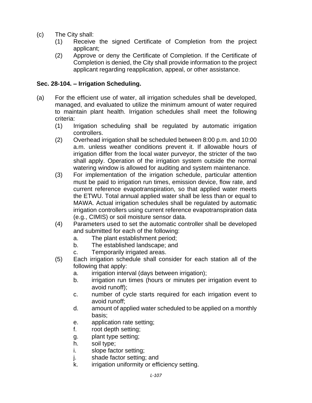- (c) The City shall:
	- (1) Receive the signed Certificate of Completion from the project applicant;
	- (2) Approve or deny the Certificate of Completion. If the Certificate of Completion is denied, the City shall provide information to the project applicant regarding reapplication, appeal, or other assistance.

## **Sec. 28-104. – Irrigation Scheduling.**

- (a) For the efficient use of water, all irrigation schedules shall be developed, managed, and evaluated to utilize the minimum amount of water required to maintain plant health. Irrigation schedules shall meet the following criteria:
	- (1) Irrigation scheduling shall be regulated by automatic irrigation controllers.
	- (2) Overhead irrigation shall be scheduled between 8:00 p.m. and 10:00 a.m. unless weather conditions prevent it. If allowable hours of irrigation differ from the local water purveyor, the stricter of the two shall apply. Operation of the irrigation system outside the normal watering window is allowed for auditing and system maintenance.
	- (3) For implementation of the irrigation schedule, particular attention must be paid to irrigation run times, emission device, flow rate, and current reference evapotranspiration, so that applied water meets the ETWU. Total annual applied water shall be less than or equal to MAWA. Actual irrigation schedules shall be regulated by automatic irrigation controllers using current reference evapotranspiration data (e.g., CIMIS) or soil moisture sensor data.
	- (4) Parameters used to set the automatic controller shall be developed and submitted for each of the following:
		- a. The plant establishment period;
		- b. The established landscape; and
		- c. Temporarily irrigated areas.
	- (5) Each irrigation schedule shall consider for each station all of the following that apply:
		- a. irrigation interval (days between irrigation);
		- b. irrigation run times (hours or minutes per irrigation event to avoid runoff);
		- c. number of cycle starts required for each irrigation event to avoid runoff;
		- d. amount of applied water scheduled to be applied on a monthly basis;
		- e. application rate setting;
		- f. root depth setting;
		- g. plant type setting;
		- h. soil type;
		- i. slope factor setting;
		- j. shade factor setting; and
		- k. irrigation uniformity or efficiency setting.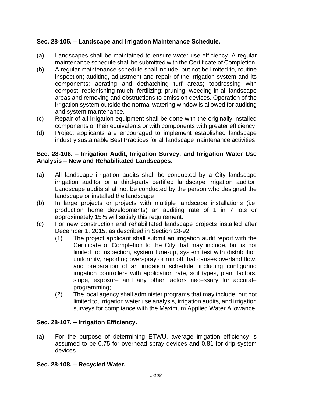# **Sec. 28-105. – Landscape and Irrigation Maintenance Schedule.**

- (a) Landscapes shall be maintained to ensure water use efficiency. A regular maintenance schedule shall be submitted with the Certificate of Completion.
- (b) A regular maintenance schedule shall include, but not be limited to, routine inspection; auditing, adjustment and repair of the irrigation system and its components; aerating and dethatching turf areas; topdressing with compost, replenishing mulch; fertilizing; pruning; weeding in all landscape areas and removing and obstructions to emission devices. Operation of the irrigation system outside the normal watering window is allowed for auditing and system maintenance.
- (c) Repair of all irrigation equipment shall be done with the originally installed components or their equivalents or with components with greater efficiency.
- (d) Project applicants are encouraged to implement established landscape industry sustainable Best Practices for all landscape maintenance activities.

## **Sec. 28-106. – Irrigation Audit, Irrigation Survey, and Irrigation Water Use Analysis – New and Rehabilitated Landscapes.**

- (a) All landscape irrigation audits shall be conducted by a City landscape irrigation auditor or a third-party certified landscape irrigation auditor. Landscape audits shall not be conducted by the person who designed the landscape or installed the landscape
- (b) In large projects or projects with multiple landscape installations (i.e. production home developments) an auditing rate of 1 in 7 lots or approximately 15% will satisfy this requirement.
- (c) For new construction and rehabilitated landscape projects installed after December 1, 2015, as described in Section 28-92:
	- (1) The project applicant shall submit an irrigation audit report with the Certificate of Completion to the City that may include, but is not limited to: inspection, system tune-up, system test with distribution uniformity, reporting overspray or run off that causes overland flow, and preparation of an irrigation schedule, including configuring irrigation controllers with application rate, soil types, plant factors, slope, exposure and any other factors necessary for accurate programming;
	- (2) The local agency shall administer programs that may include, but not limited to, irrigation water use analysis, irrigation audits, and irrigation surveys for compliance with the Maximum Applied Water Allowance.

# **Sec. 28-107. – Irrigation Efficiency.**

(a) For the purpose of determining ETWU, average irrigation efficiency is assumed to be 0.75 for overhead spray devices and 0.81 for drip system devices.

## **Sec. 28-108. – Recycled Water.**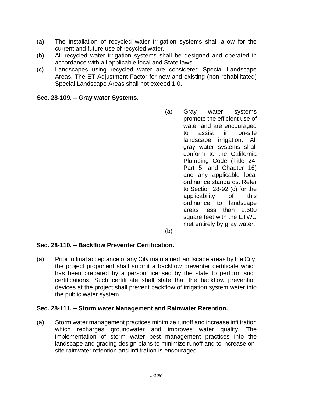- (a) The installation of recycled water irrigation systems shall allow for the current and future use of recycled water.
- (b) All recycled water irrigation systems shall be designed and operated in accordance with all applicable local and State laws.
- (c) Landscapes using recycled water are considered Special Landscape Areas. The ET Adjustment Factor for new and existing (non-rehabilitated) Special Landscape Areas shall not exceed 1.0.

### **Sec. 28-109. – Gray water Systems.**

(a) Gray water systems promote the efficient use of water and are encouraged to assist in on-site landscape irrigation. All gray water systems shall conform to the California Plumbing Code (Title 24, Part 5, and Chapter 16) and any applicable local ordinance standards. Refer to Section 28-92 (c) for the applicability of this ordinance to landscape areas less than 2,500 square feet with the ETWU met entirely by gray water.

#### (b)

#### **Sec. 28-110. – Backflow Preventer Certification.**

(a) Prior to final acceptance of any City maintained landscape areas by the City, the project proponent shall submit a backflow preventer certificate which has been prepared by a person licensed by the state to perform such certifications. Such certificate shall state that the backflow prevention devices at the project shall prevent backflow of irrigation system water into the public water system.

#### **Sec. 28-111. – Storm water Management and Rainwater Retention.**

(a) Storm water management practices minimize runoff and increase infiltration which recharges groundwater and improves water quality. The implementation of storm water best management practices into the landscape and grading design plans to minimize runoff and to increase onsite rainwater retention and infiltration is encouraged.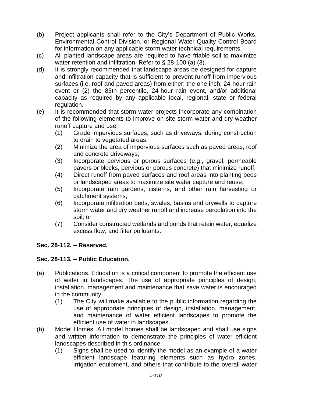- (b) Project applicants shall refer to the City's Department of Public Works, Environmental Control Division, or Regional Water Quality Control Board for information on any applicable storm water technical requirements.
- (c) All planted landscape areas are required to have friable soil to maximize water retention and infiltration. Refer to § 28-100 (a) (3).
- (d) It is strongly recommended that landscape areas be designed for capture and infiltration capacity that is sufficient to prevent runoff from impervious surfaces (i.e. roof and paved areas) from either: the one inch, 24-hour rain event or (2) the 85th percentile, 24-hour rain event, and/or additional capacity as required by any applicable local, regional, state or federal regulation.
- (e) It is recommended that storm water projects incorporate any combination of the following elements to improve on-site storm water and dry weather runoff capture and use:
	- (1) Grade impervious surfaces, such as driveways, during construction to drain to vegetated areas;
	- (2) Minimize the area of impervious surfaces such as paved areas, roof and concrete driveways;
	- (3) Incorporate pervious or porous surfaces (e.g., gravel, permeable pavers or blocks, pervious or porous concrete) that minimize runoff;
	- (4) Direct runoff from paved surfaces and roof areas into planting beds or landscaped areas to maximize site water capture and reuse;
	- (5) Incorporate rain gardens, cisterns, and other rain harvesting or catchment systems;
	- (6) Incorporate infiltration beds, swales, basins and drywells to capture storm water and dry weather runoff and increase percolation into the soil; or
	- (7) Consider constructed wetlands and ponds that retain water, equalize excess flow, and filter pollutants.

# **Sec. 28-112. – Reserved.**

## **Sec. 28-113. – Public Education.**

- (a) Publications. Education is a critical component to promote the efficient use of water in landscapes. The use of appropriate principles of design, installation, management and maintenance that save water is encouraged in the community.
	- (1) The City will make available to the public information regarding the use of appropriate principles of design, installation, management, and maintenance of water efficient landscapes to promote the efficient use of water in landscapes. .
- (b) Model Homes. All model homes shall be landscaped and shall use signs and written information to demonstrate the principles of water efficient landscapes described in this ordinance.
	- (1) Signs shall be used to identify the model as an example of a water efficient landscape featuring elements such as hydro zones, irrigation equipment, and others that contribute to the overall water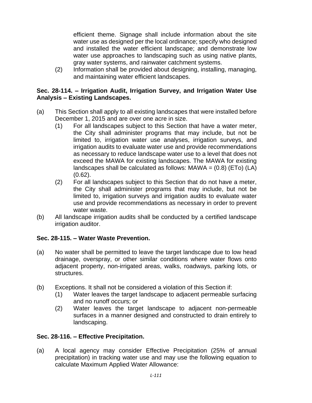efficient theme. Signage shall include information about the site water use as designed per the local ordinance; specify who designed and installed the water efficient landscape; and demonstrate low water use approaches to landscaping such as using native plants, gray water systems, and rainwater catchment systems.

(2) Information shall be provided about designing, installing, managing, and maintaining water efficient landscapes.

## **Sec. 28-114. – Irrigation Audit, Irrigation Survey, and Irrigation Water Use Analysis – Existing Landscapes.**

- (a) This Section shall apply to all existing landscapes that were installed before December 1, 2015 and are over one acre in size.
	- (1) For all landscapes subject to this Section that have a water meter, the City shall administer programs that may include, but not be limited to, irrigation water use analyses, irrigation surveys, and irrigation audits to evaluate water use and provide recommendations as necessary to reduce landscape water use to a level that does not exceed the MAWA for existing landscapes. The MAWA for existing landscapes shall be calculated as follows:  $MAWA = (0.8)$  (ETo) (LA) (0.62).
	- (2) For all landscapes subject to this Section that do not have a meter, the City shall administer programs that may include, but not be limited to, irrigation surveys and irrigation audits to evaluate water use and provide recommendations as necessary in order to prevent water waste.
- (b) All landscape irrigation audits shall be conducted by a certified landscape irrigation auditor.

# **Sec. 28-115. – Water Waste Prevention.**

- (a) No water shall be permitted to leave the target landscape due to low head drainage, overspray, or other similar conditions where water flows onto adjacent property, non-irrigated areas, walks, roadways, parking lots, or structures.
- (b) Exceptions. It shall not be considered a violation of this Section if:
	- (1) Water leaves the target landscape to adjacent permeable surfacing and no runoff occurs; or
	- (2) Water leaves the target landscape to adjacent non-permeable surfaces in a manner designed and constructed to drain entirely to landscaping.

## **Sec. 28-116. – Effective Precipitation.**

(a) A local agency may consider Effective Precipitation (25% of annual precipitation) in tracking water use and may use the following equation to calculate Maximum Applied Water Allowance: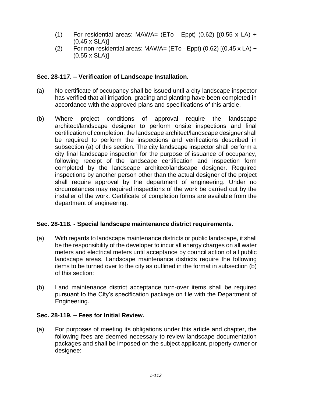- (1) For residential areas: MAWA= (ETo Eppt)  $(0.62)$   $[(0.55 \times LA) +$ (0.45 x SLA)]
- (2) For non-residential areas: MAWA= (ETo Eppt)  $(0.62)$   $[(0.45 \times LA) +$ (0.55 x SLA)]

## **Sec. 28-117. – Verification of Landscape Installation.**

- (a) No certificate of occupancy shall be issued until a city landscape inspector has verified that all irrigation, grading and planting have been completed in accordance with the approved plans and specifications of this article.
- (b) Where project conditions of approval require the landscape architect/landscape designer to perform onsite inspections and final certification of completion, the landscape architect/landscape designer shall be required to perform the inspections and verifications described in subsection (a) of this section. The city landscape inspector shall perform a city final landscape inspection for the purpose of issuance of occupancy, following receipt of the landscape certification and inspection form completed by the landscape architect/landscape designer. Required inspections by another person other than the actual designer of the project shall require approval by the department of engineering. Under no circumstances may required inspections of the work be carried out by the installer of the work. Certificate of completion forms are available from the department of engineering.

## **Sec. 28-118. - Special landscape maintenance district requirements.**

- (a) With regards to landscape maintenance districts or public landscape, it shall be the responsibility of the developer to incur all energy charges on all water meters and electrical meters until acceptance by council action of all public landscape areas. Landscape maintenance districts require the following items to be turned over to the city as outlined in the format in subsection (b) of this section:
- (b) Land maintenance district acceptance turn-over items shall be required pursuant to the City's specification package on file with the Department of Engineering.

## **Sec. 28-119. – Fees for Initial Review.**

(a) For purposes of meeting its obligations under this article and chapter, the following fees are deemed necessary to review landscape documentation packages and shall be imposed on the subject applicant, property owner or desianee: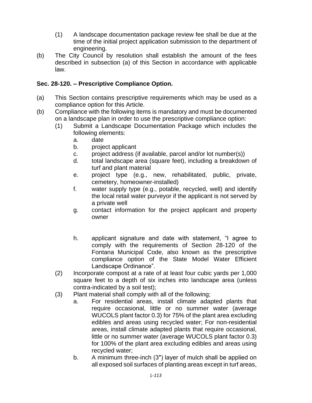- (1) A landscape documentation package review fee shall be due at the time of the initial project application submission to the department of engineering.
- (b) The City Council by resolution shall establish the amount of the fees described in subsection (a) of this Section in accordance with applicable law.

# **Sec. 28-120. – Prescriptive Compliance Option.**

- (a) This Section contains prescriptive requirements which may be used as a compliance option for this Article.
- (b) Compliance with the following items is mandatory and must be documented on a landscape plan in order to use the prescriptive compliance option:
	- (1) Submit a Landscape Documentation Package which includes the following elements:
		- a. date
		- b. project applicant
		- c. project address (if available, parcel and/or lot number(s))
		- d. total landscape area (square feet), including a breakdown of turf and plant material
		- e. project type (e.g., new, rehabilitated, public, private, cemetery, homeowner-installed)
		- f. water supply type (e.g., potable, recycled, well) and identify the local retail water purveyor if the applicant is not served by a private well
		- g. contact information for the project applicant and property owner
		- h. applicant signature and date with statement, "I agree to comply with the requirements of Section 28-120 of the Fontana Municipal Code, also known as the prescriptive compliance option of the State Model Water Efficient Landscape Ordinance".
	- (2) Incorporate compost at a rate of at least four cubic yards per 1,000 square feet to a depth of six inches into landscape area (unless contra-indicated by a soil test);
	- (3) Plant material shall comply with all of the following;
		- a. For residential areas, install climate adapted plants that require occasional, little or no summer water (average WUCOLS plant factor 0.3) for 75% of the plant area excluding edibles and areas using recycled water; For non-residential areas, install climate adapted plants that require occasional, little or no summer water (average WUCOLS plant factor 0.3) for 100% of the plant area excluding edibles and areas using recycled water;
		- b. A minimum three-inch (3″) layer of mulch shall be applied on all exposed soil surfaces of planting areas except in turf areas,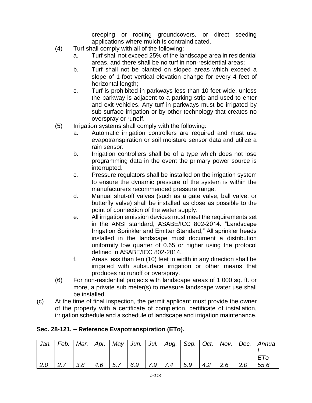creeping or rooting groundcovers, or direct seeding applications where mulch is contraindicated.

- (4) Turf shall comply with all of the following:
	- a. Turf shall not exceed 25% of the landscape area in residential areas, and there shall be no turf in non-residential areas;
	- b. Turf shall not be planted on sloped areas which exceed a slope of 1-foot vertical elevation change for every 4 feet of horizontal length;
	- c. Turf is prohibited in parkways less than 10 feet wide, unless the parkway is adjacent to a parking strip and used to enter and exit vehicles. Any turf in parkways must be irrigated by sub-surface irrigation or by other technology that creates no overspray or runoff.
- (5) Irrigation systems shall comply with the following:
	- a. Automatic irrigation controllers are required and must use evapotranspiration or soil moisture sensor data and utilize a rain sensor.
	- b. Irrigation controllers shall be of a type which does not lose programming data in the event the primary power source is interrupted.
	- c. Pressure regulators shall be installed on the irrigation system to ensure the dynamic pressure of the system is within the manufacturers recommended pressure range.
	- d. Manual shut-off valves (such as a gate valve, ball valve, or butterfly valve) shall be installed as close as possible to the point of connection of the water supply.
	- e. All irrigation emission devices must meet the requirements set in the ANSI standard, ASABE/ICC 802-2014. "Landscape Irrigation Sprinkler and Emitter Standard," All sprinkler heads installed in the landscape must document a distribution uniformity low quarter of 0.65 or higher using the protocol defined in ASABE/ICC 802-2014.
	- f. Areas less than ten (10) feet in width in any direction shall be irrigated with subsurface irrigation or other means that produces no runoff or overspray.
- (6) For non-residential projects with landscape areas of 1,000 sq. ft. or more, a private sub meter(s) to measure landscape water use shall be installed.
- (c) At the time of final inspection, the permit applicant must provide the owner of the property with a certificate of completion, certificate of installation, irrigation schedule and a schedule of landscape and irrigation maintenance.

## **Sec. 28-121. – Reference Evapotranspiration (ETo).**

| Jan. |                   |     |     |                   |     |           |     |     |                   |                   | Feb.   Mar.   Apr.   May   Jun.   Jul.   Aug.   Sep.   Oct.   Nov.   Dec.   Annua |
|------|-------------------|-----|-----|-------------------|-----|-----------|-----|-----|-------------------|-------------------|-----------------------------------------------------------------------------------|
|      |                   |     |     |                   |     |           |     |     |                   |                   | ETo                                                                               |
| 2.0  | $\vert 2.7 \vert$ | 3.8 | 4.6 | $\vert 5.7 \vert$ | 6.9 | $7.9$ 7.4 | 5.9 | 4.2 | $\vert 2.6 \vert$ | $\vert 2.0 \vert$ | 55.6                                                                              |